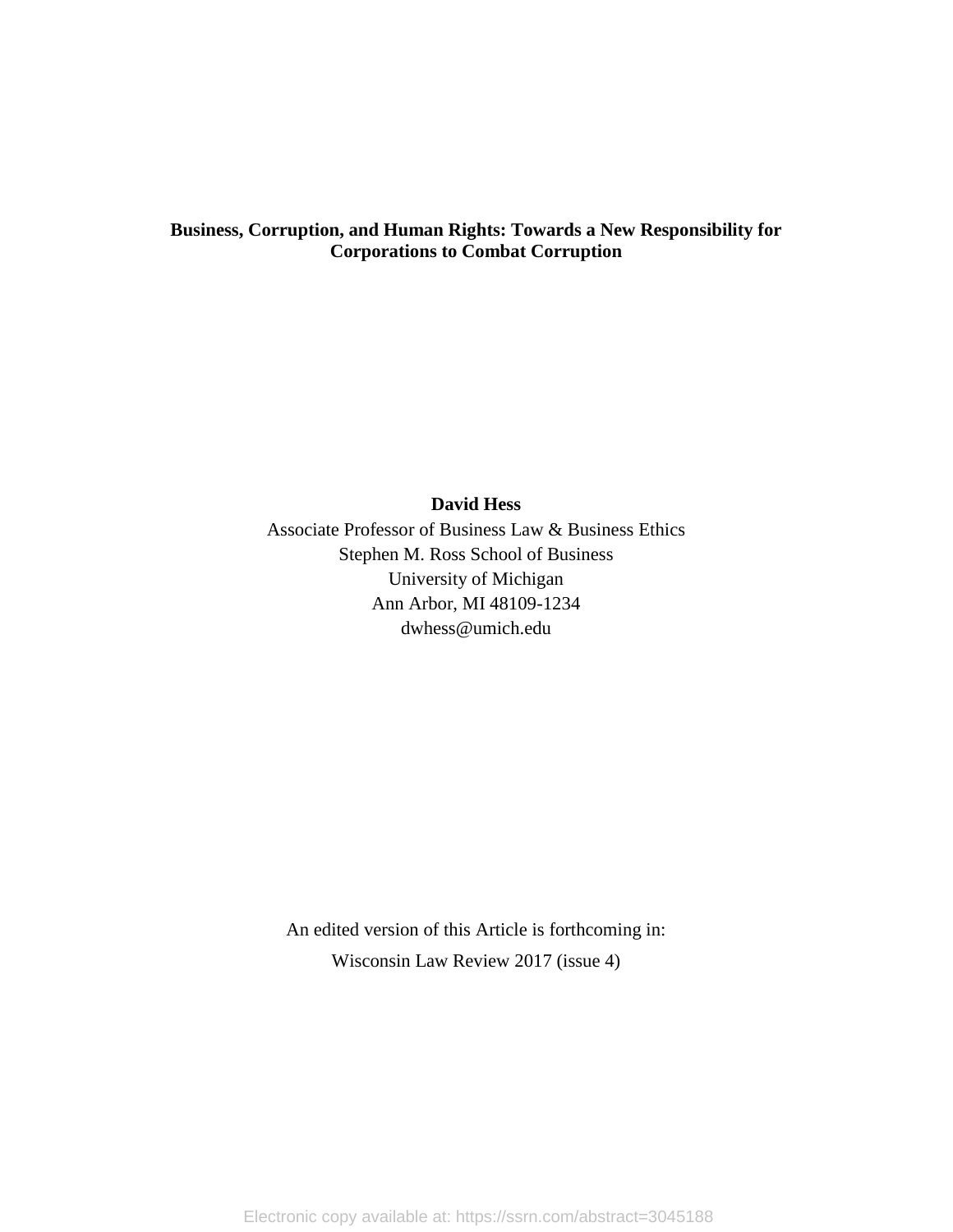# **Business, Corruption, and Human Rights: Towards a New Responsibility for Corporations to Combat Corruption**

# **David Hess**

Associate Professor of Business Law & Business Ethics Stephen M. Ross School of Business University of Michigan Ann Arbor, MI 48109-1234 dwhess@umich.edu

An edited version of this Article is forthcoming in: Wisconsin Law Review 2017 (issue 4)

Electronic copy available at: https://ssrn.com/abstract=3045188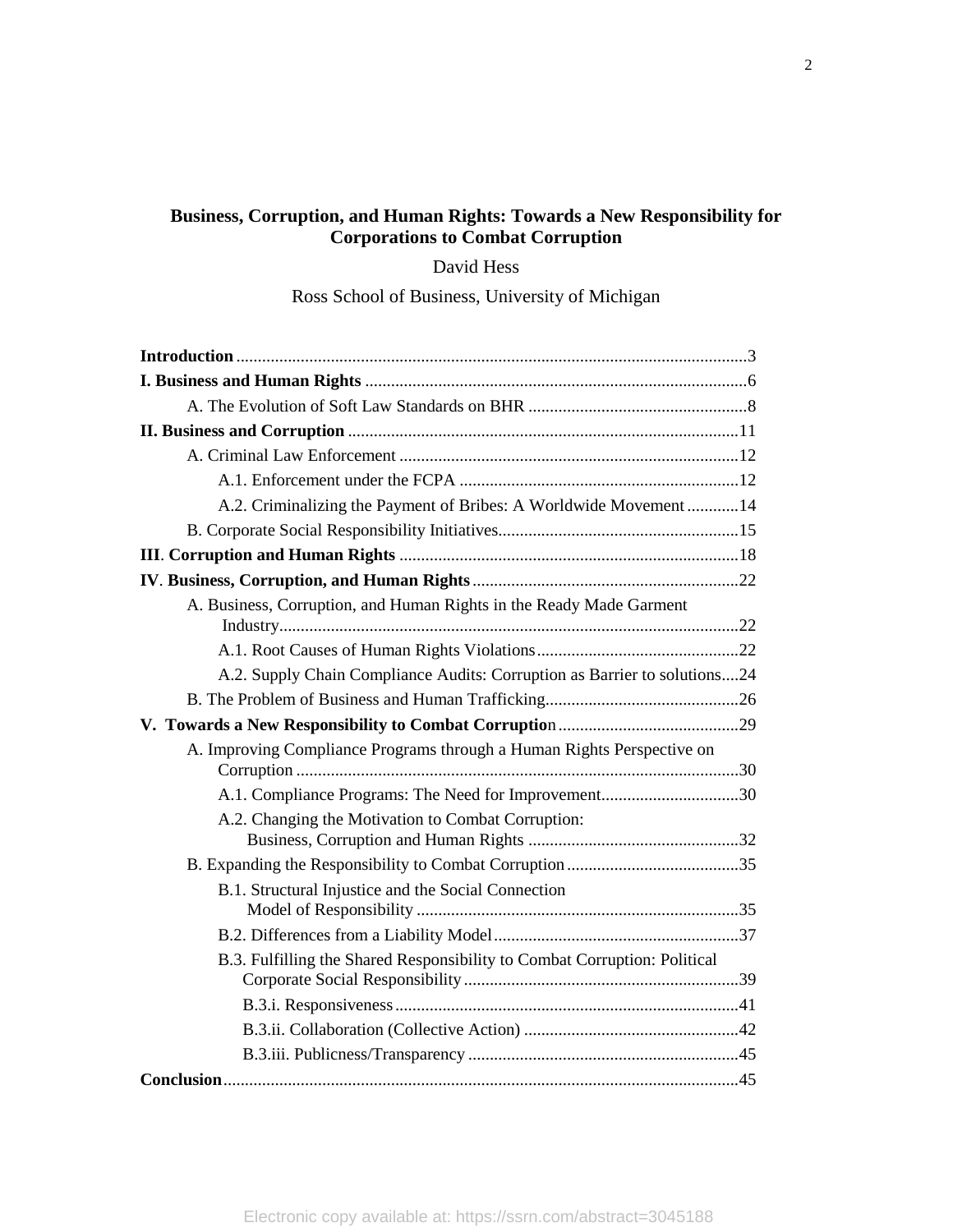# **Business, Corruption, and Human Rights: Towards a New Responsibility for Corporations to Combat Corruption**

David Hess

Ross School of Business, University of Michigan

| A.2. Criminalizing the Payment of Bribes: A Worldwide Movement  14        |
|---------------------------------------------------------------------------|
|                                                                           |
|                                                                           |
|                                                                           |
| A. Business, Corruption, and Human Rights in the Ready Made Garment       |
|                                                                           |
| A.2. Supply Chain Compliance Audits: Corruption as Barrier to solutions24 |
|                                                                           |
|                                                                           |
| A. Improving Compliance Programs through a Human Rights Perspective on    |
| A.1. Compliance Programs: The Need for Improvement30                      |
| A.2. Changing the Motivation to Combat Corruption:                        |
|                                                                           |
| B.1. Structural Injustice and the Social Connection                       |
|                                                                           |
| B.3. Fulfilling the Shared Responsibility to Combat Corruption: Political |
|                                                                           |
|                                                                           |
|                                                                           |
|                                                                           |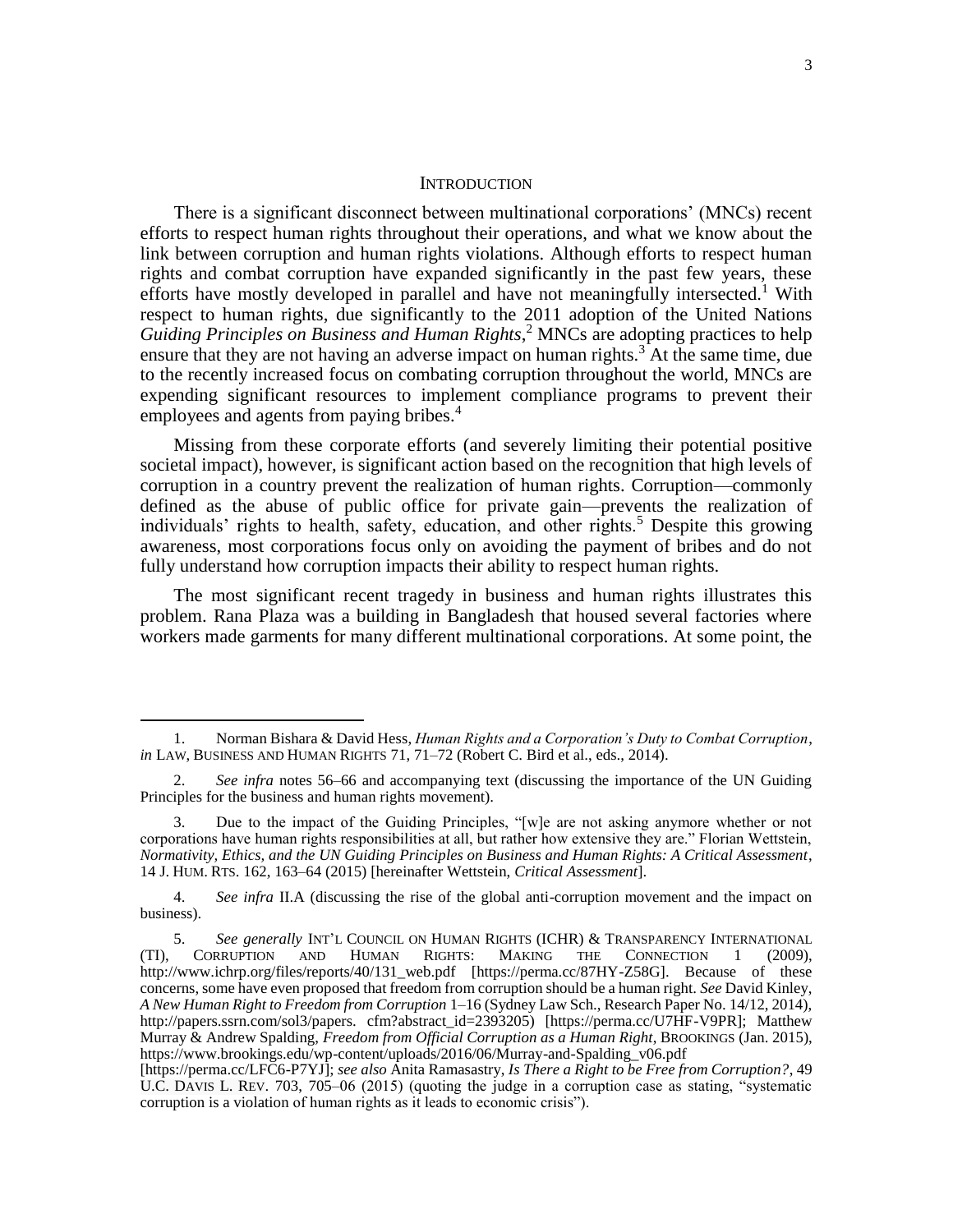#### <span id="page-2-1"></span><span id="page-2-0"></span>**INTRODUCTION**

There is a significant disconnect between multinational corporations' (MNCs) recent efforts to respect human rights throughout their operations, and what we know about the link between corruption and human rights violations. Although efforts to respect human rights and combat corruption have expanded significantly in the past few years, these efforts have mostly developed in parallel and have not meaningfully intersected.<sup>1</sup> With respect to human rights, due significantly to the 2011 adoption of the United Nations *Guiding Principles on Business and Human Rights*, <sup>2</sup> MNCs are adopting practices to help ensure that they are not having an adverse impact on human rights.<sup>3</sup> At the same time, due to the recently increased focus on combating corruption throughout the world, MNCs are expending significant resources to implement compliance programs to prevent their employees and agents from paying bribes.<sup>4</sup>

Missing from these corporate efforts (and severely limiting their potential positive societal impact), however, is significant action based on the recognition that high levels of corruption in a country prevent the realization of human rights. Corruption—commonly defined as the abuse of public office for private gain—prevents the realization of individuals' rights to health, safety, education, and other rights.<sup>5</sup> Despite this growing awareness, most corporations focus only on avoiding the payment of bribes and do not fully understand how corruption impacts their ability to respect human rights.

The most significant recent tragedy in business and human rights illustrates this problem. Rana Plaza was a building in Bangladesh that housed several factories where workers made garments for many different multinational corporations. At some point, the

<sup>1.</sup> Norman Bishara & David Hess, *Human Rights and a Corporation's Duty to Combat Corruption*, *in* LAW, BUSINESS AND HUMAN RIGHTS 71, 71–72 (Robert C. Bird et al., eds., 2014).

<sup>2.</sup> *See infra* notes [56](#page-9-0)[–66](#page-10-0) and accompanying text (discussing the importance of the UN Guiding Principles for the business and human rights movement).

<sup>3.</sup> Due to the impact of the Guiding Principles, "[w]e are not asking anymore whether or not corporations have human rights responsibilities at all, but rather how extensive they are." Florian Wettstein, *Normativity, Ethics, and the UN Guiding Principles on Business and Human Rights: A Critical Assessment*, 14 J. HUM. RTS. 162, 163–64 (2015) [hereinafter Wettstein, *Critical Assessment*].

<sup>4.</sup> *See infra* II.A (discussing the rise of the global anti-corruption movement and the impact on business).

<sup>5.</sup> *See generally* INT'L COUNCIL ON HUMAN RIGHTS (ICHR) & TRANSPARENCY INTERNATIONAL CORRUPTION AND HUMAN RIGHTS: MAKING THE CONNECTION 1 (2009), (TI), CORRUPTION AND HUMAN RIGHTS: MAKING THE CONNECTION 1 (2009), [http://www.ichrp.org/files/reports/40/131\\_web.pdf](http://www.ichrp.org/files/reports/40/131_web.pdf) [https://perma.cc/87HY-Z58G]. Because of these concerns, some have even proposed that freedom from corruption should be a human right. *See* David Kinley, *A New Human Right to Freedom from Corruption* 1–16 (Sydney Law Sch., Research Paper No. 14/12, 2014), http://papers.ssrn.com/sol3/papers. cfm?abstract\_id=2393205) [https://perma.cc/U7HF-V9PR]; Matthew Murray & Andrew Spalding, *Freedom from Official Corruption as a Human Right*, BROOKINGS (Jan. 2015), [https://www.brookings.edu/wp-content/uploads/2016/06/Murray-and-Spalding\\_v06.pdf](https://www.brookings.edu/wp-content/uploads/2016/06/Murray-and-Spalding_v06.pdf)

<sup>[</sup>https://perma.cc/LFC6-P7YJ]; *see also* Anita Ramasastry, *Is There a Right to be Free from Corruption?*, 49 U.C. DAVIS L. REV. 703, 705–06 (2015) (quoting the judge in a corruption case as stating, "systematic corruption is a violation of human rights as it leads to economic crisis").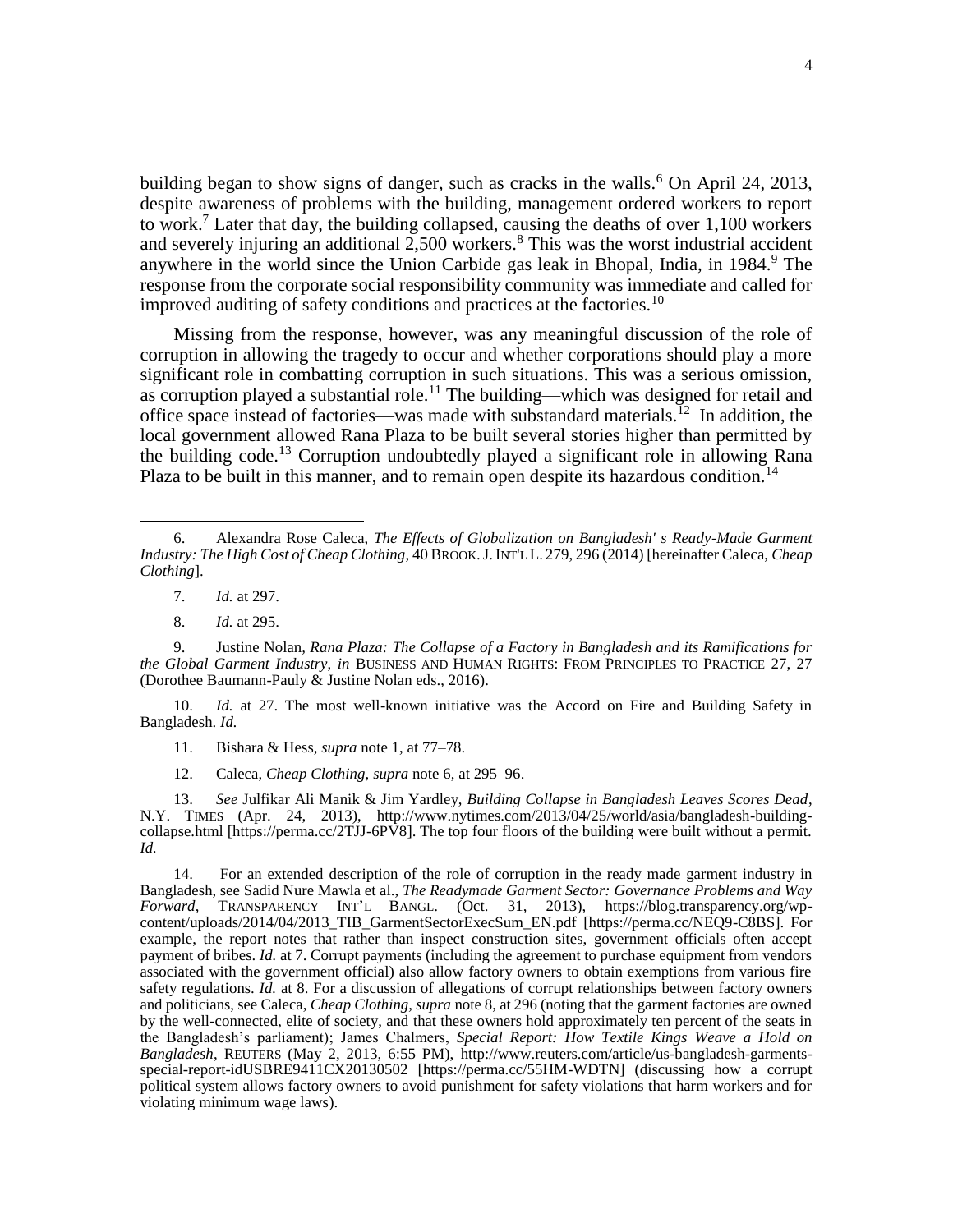<span id="page-3-0"></span>building began to show signs of danger, such as cracks in the walls.<sup>6</sup> On April 24, 2013, despite awareness of problems with the building, management ordered workers to report to work.<sup>7</sup> Later that day, the building collapsed, causing the deaths of over  $1,100$  workers and severely injuring an additional 2,500 workers.<sup>8</sup> This was the worst industrial accident anywhere in the world since the Union Carbide gas leak in Bhopal, India, in 1984.<sup>9</sup> The response from the corporate social responsibility community was immediate and called for improved auditing of safety conditions and practices at the factories.<sup>10</sup>

Missing from the response, however, was any meaningful discussion of the role of corruption in allowing the tragedy to occur and whether corporations should play a more significant role in combatting corruption in such situations. This was a serious omission, as corruption played a substantial role.<sup>11</sup> The building—which was designed for retail and office space instead of factories—was made with substandard materials.<sup>12</sup> In addition, the local government allowed Rana Plaza to be built several stories higher than permitted by the building code.<sup>13</sup> Corruption undoubtedly played a significant role in allowing Rana Plaza to be built in this manner, and to remain open despite its hazardous condition.<sup>14</sup>

7. *Id.* at 297.

 $\overline{\phantom{a}}$ 

8. *Id.* at 295.

9. Justine Nolan*, Rana Plaza: The Collapse of a Factory in Bangladesh and its Ramifications for the Global Garment Industry*, *in* BUSINESS AND HUMAN RIGHTS: FROM PRINCIPLES TO PRACTICE 27, 27 (Dorothee Baumann-Pauly & Justine Nolan eds., 2016).

10. *Id.* at 27. The most well-known initiative was the Accord on Fire and Building Safety in Bangladesh. *Id.*

- 11. Bishara & Hess, *supra* not[e 1,](#page-2-0) at 77–78.
- 12. Caleca, *Cheap Clothing, supra* note 6, at 295–96.

13. *See* Julfikar Ali Manik & Jim Yardley, *Building Collapse in Bangladesh Leaves Scores Dead*, N.Y. TIMES (Apr. 24, 2013), [http://www.nytimes.com/2013/04/25/world/asia/bangladesh-building](http://www.nytimes.com/2013/04/25/world/asia/bangladesh-building-collapse.html)[collapse.html](http://www.nytimes.com/2013/04/25/world/asia/bangladesh-building-collapse.html) [https://perma.cc/2TJJ-6PV8]. The top four floors of the building were built without a permit. *Id.*

14. For an extended description of the role of corruption in the ready made garment industry in Bangladesh, see Sadid Nure Mawla et al., *The Readymade Garment Sector: Governance Problems and Way Forward*, TRANSPARENCY INT'L BANGL. (Oct. 31, 2013), [https://blog.transparency.org/wp](https://blog.transparency.org/wp-content/uploads/2014/04/2013_TIB_GarmentSectorExecSum_EN.pdf)[content/uploads/2014/04/2013\\_TIB\\_GarmentSectorExecSum\\_EN.pdf](https://blog.transparency.org/wp-content/uploads/2014/04/2013_TIB_GarmentSectorExecSum_EN.pdf) [https://perma.cc/NEQ9-C8BS]. For example, the report notes that rather than inspect construction sites, government officials often accept payment of bribes. *Id.* at 7. Corrupt payments (including the agreement to purchase equipment from vendors associated with the government official) also allow factory owners to obtain exemptions from various fire safety regulations. *Id.* at 8. For a discussion of allegations of corrupt relationships between factory owners and politicians, see Caleca, *Cheap Clothing, supra* not[e 8,](#page-3-0) at 296 (noting that the garment factories are owned by the well-connected, elite of society, and that these owners hold approximately ten percent of the seats in the Bangladesh's parliament); James Chalmers, *Special Report: How Textile Kings Weave a Hold on Bangladesh*, REUTERS (May 2, 2013, 6:55 PM), [http://www.reuters.com/article/us-bangladesh-garments](http://www.reuters.com/article/us-bangladesh-garments-special-report-idUSBRE9411CX20130502)[special-report-idUSBRE9411CX20130502](http://www.reuters.com/article/us-bangladesh-garments-special-report-idUSBRE9411CX20130502) [https://perma.cc/55HM-WDTN] (discussing how a corrupt political system allows factory owners to avoid punishment for safety violations that harm workers and for violating minimum wage laws).

<sup>6.</sup> Alexandra Rose Caleca, *The Effects of Globalization on Bangladesh' s Ready-Made Garment Industry: The High Cost of Cheap Clothing*, 40 BROOK.J.INT'L L. 279, 296 (2014) [hereinafter Caleca, *Cheap Clothing*].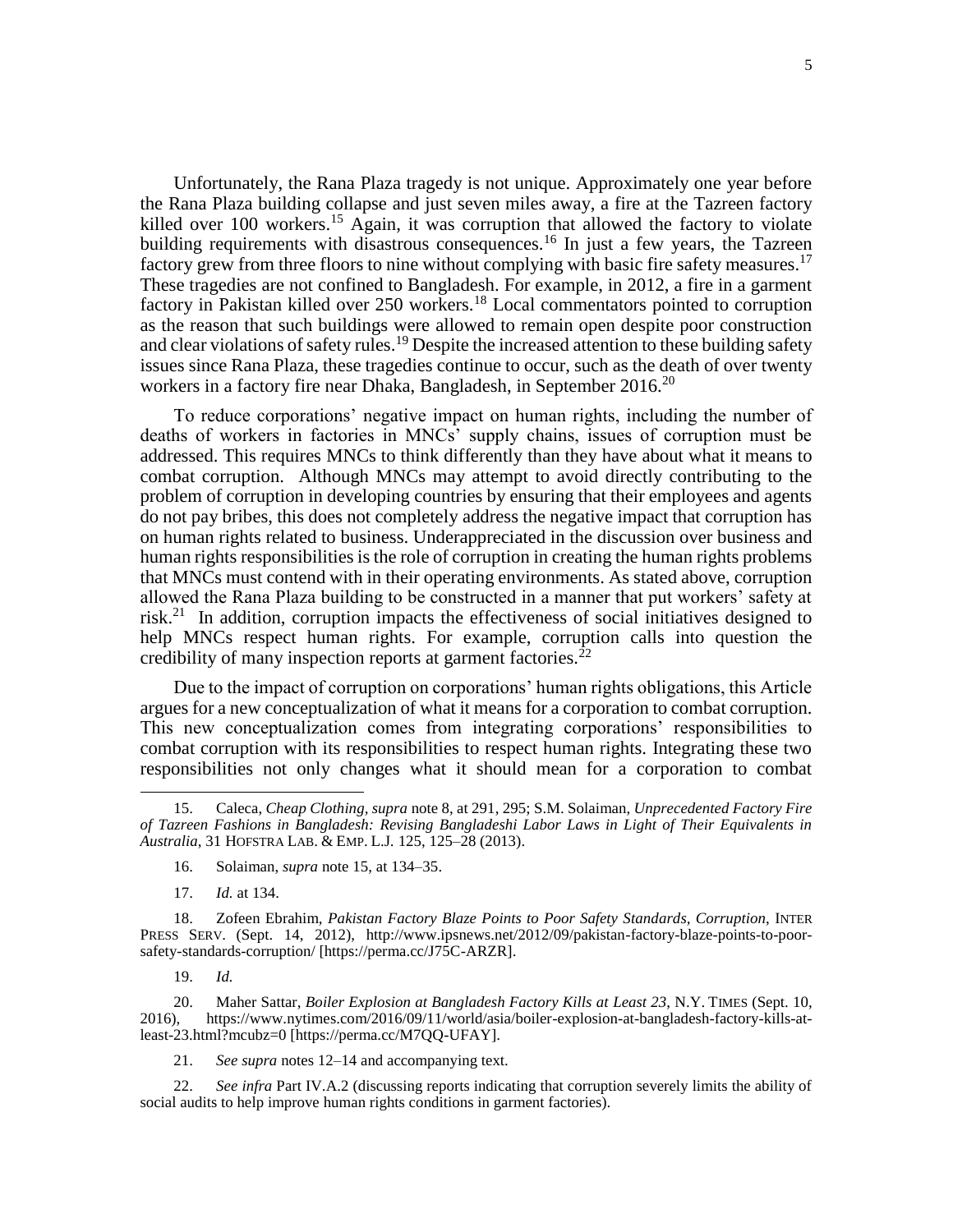Unfortunately, the Rana Plaza tragedy is not unique. Approximately one year before the Rana Plaza building collapse and just seven miles away, a fire at the Tazreen factory killed over 100 workers.<sup>15</sup> Again, it was corruption that allowed the factory to violate building requirements with disastrous consequences.<sup>16</sup> In just a few years, the Tazreen factory grew from three floors to nine without complying with basic fire safety measures.<sup>17</sup> These tragedies are not confined to Bangladesh. For example, in 2012, a fire in a garment factory in Pakistan killed over 250 workers.<sup>18</sup> Local commentators pointed to corruption as the reason that such buildings were allowed to remain open despite poor construction and clear violations of safety rules.<sup>19</sup> Despite the increased attention to these building safety issues since Rana Plaza, these tragedies continue to occur, such as the death of over twenty workers in a factory fire near Dhaka, Bangladesh, in September 2016.<sup>20</sup>

To reduce corporations' negative impact on human rights, including the number of deaths of workers in factories in MNCs' supply chains, issues of corruption must be addressed. This requires MNCs to think differently than they have about what it means to combat corruption. Although MNCs may attempt to avoid directly contributing to the problem of corruption in developing countries by ensuring that their employees and agents do not pay bribes, this does not completely address the negative impact that corruption has on human rights related to business. Underappreciated in the discussion over business and human rights responsibilities is the role of corruption in creating the human rights problems that MNCs must contend with in their operating environments. As stated above, corruption allowed the Rana Plaza building to be constructed in a manner that put workers' safety at risk.<sup>21</sup> In addition, corruption impacts the effectiveness of social initiatives designed to help MNCs respect human rights. For example, corruption calls into question the credibility of many inspection reports at garment factories. $^{22}$ 

Due to the impact of corruption on corporations' human rights obligations, this Article argues for a new conceptualization of what it means for a corporation to combat corruption. This new conceptualization comes from integrating corporations' responsibilities to combat corruption with its responsibilities to respect human rights. Integrating these two responsibilities not only changes what it should mean for a corporation to combat

17. *Id.* at 134.

19. *Id.*

 $\overline{\phantom{a}}$ 

20. Maher Sattar, *Boiler Explosion at Bangladesh Factory Kills at Least 23*, N.Y. TIMES (Sept. 10, 2016), https://www.nytimes.com/2016/09/11/world/asia/boiler-explosion-at-bangladesh-factory-kills-at-2016), https://www.nytimes.com/2016/09/11/world/asia/boiler-explosion-at-bangladesh-factory-kills-atleast-23.html?mcubz=0 [https://perma.cc/M7QQ-UFAY].

21. *See supra* notes 12–14 and accompanying text.

22. *See infra* Part IV.A.2 (discussing reports indicating that corruption severely limits the ability of social audits to help improve human rights conditions in garment factories).

<sup>15.</sup> Caleca, *Cheap Clothing, supra* note [8,](#page-3-0) at 291, 295; S.M. Solaiman, *Unprecedented Factory Fire of Tazreen Fashions in Bangladesh: Revising Bangladeshi Labor Laws in Light of Their Equivalents in Australia*, 31 HOFSTRA LAB. & EMP. L.J*.* 125, 125–28 (2013).

<sup>16.</sup> Solaiman, *supra* note 15, at 134–35.

<sup>18.</sup> Zofeen Ebrahim, *Pakistan Factory Blaze Points to Poor Safety Standards, Corruption*, INTER PRESS SERV. (Sept. 14, 2012), http://www.ipsnews.net/2012/09/pakistan-factory-blaze-points-to-poorsafety-standards-corruption/ [https://perma.cc/J75C-ARZR].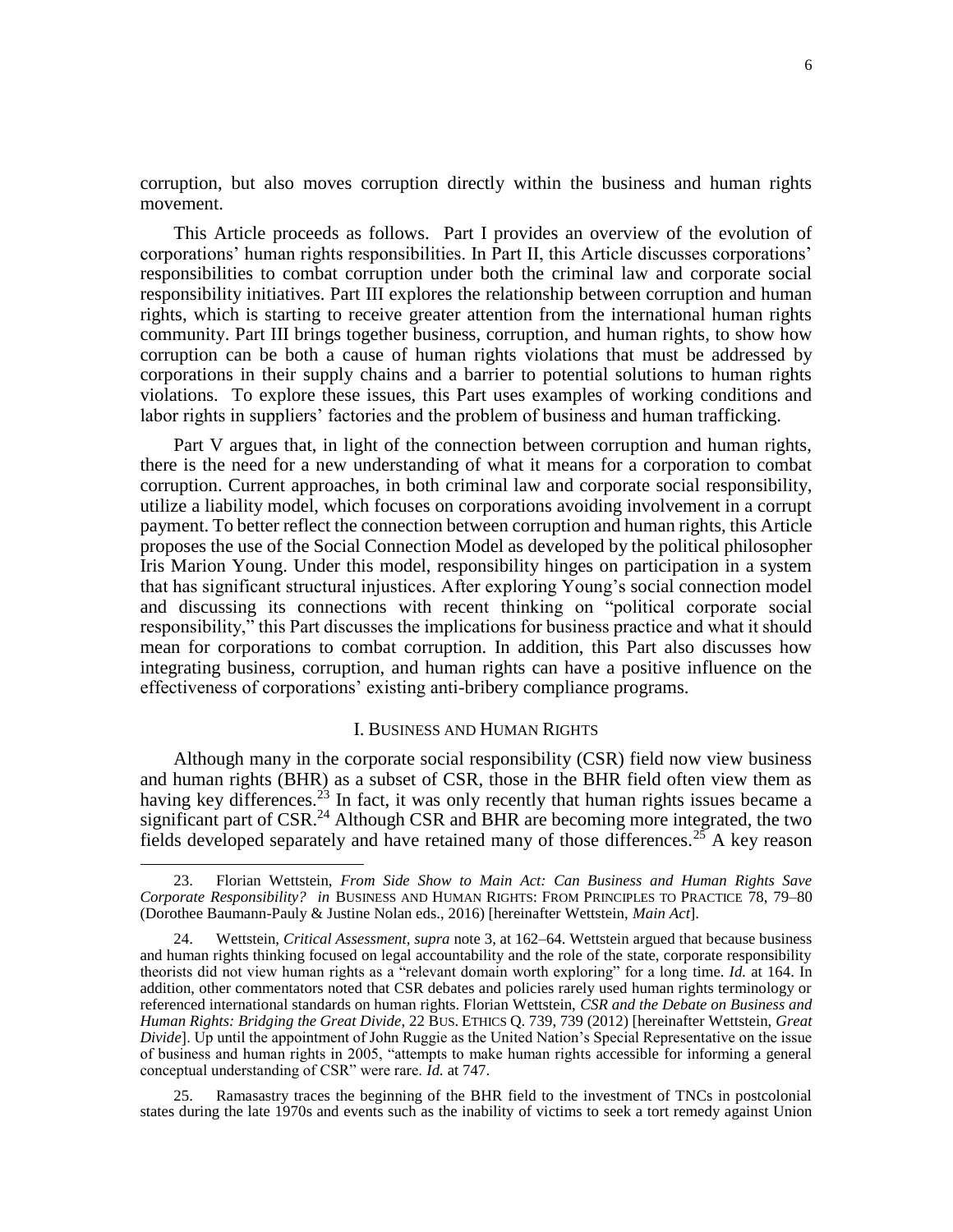corruption, but also moves corruption directly within the business and human rights movement.

This Article proceeds as follows. Part I provides an overview of the evolution of corporations' human rights responsibilities. In Part II, this Article discusses corporations' responsibilities to combat corruption under both the criminal law and corporate social responsibility initiatives. Part III explores the relationship between corruption and human rights, which is starting to receive greater attention from the international human rights community. Part III brings together business, corruption, and human rights, to show how corruption can be both a cause of human rights violations that must be addressed by corporations in their supply chains and a barrier to potential solutions to human rights violations. To explore these issues, this Part uses examples of working conditions and labor rights in suppliers' factories and the problem of business and human trafficking.

Part V argues that, in light of the connection between corruption and human rights, there is the need for a new understanding of what it means for a corporation to combat corruption. Current approaches, in both criminal law and corporate social responsibility, utilize a liability model, which focuses on corporations avoiding involvement in a corrupt payment. To better reflect the connection between corruption and human rights, this Article proposes the use of the Social Connection Model as developed by the political philosopher Iris Marion Young. Under this model, responsibility hinges on participation in a system that has significant structural injustices. After exploring Young's social connection model and discussing its connections with recent thinking on "political corporate social responsibility," this Part discusses the implications for business practice and what it should mean for corporations to combat corruption. In addition, this Part also discusses how integrating business, corruption, and human rights can have a positive influence on the effectiveness of corporations' existing anti-bribery compliance programs.

#### <span id="page-5-0"></span>I. BUSINESS AND HUMAN RIGHTS

Although many in the corporate social responsibility (CSR) field now view business and human rights (BHR) as a subset of CSR, those in the BHR field often view them as having key differences.<sup>23</sup> In fact, it was only recently that human rights issues became a significant part of CSR.<sup>24</sup> Although CSR and BHR are becoming more integrated, the two fields developed separately and have retained many of those differences.<sup>25</sup> A key reason

<sup>23.</sup> Florian Wettstein, *From Side Show to Main Act: Can Business and Human Rights Save Corporate Responsibility? in* BUSINESS AND HUMAN RIGHTS: FROM PRINCIPLES TO PRACTICE 78, 79–80 (Dorothee Baumann-Pauly & Justine Nolan eds., 2016) [hereinafter Wettstein, *Main Act*].

<sup>24.</sup> Wettstein, *Critical Assessment, supra* note [3,](#page-2-1) at 162–64. Wettstein argued that because business and human rights thinking focused on legal accountability and the role of the state, corporate responsibility theorists did not view human rights as a "relevant domain worth exploring" for a long time. *Id.* at 164. In addition, other commentators noted that CSR debates and policies rarely used human rights terminology or referenced international standards on human rights. Florian Wettstein, *CSR and the Debate on Business and Human Rights: Bridging the Great Divide*, 22 BUS. ETHICS Q. 739, 739 (2012) [hereinafter Wettstein, *Great Divide*]. Up until the appointment of John Ruggie as the United Nation's Special Representative on the issue of business and human rights in 2005, "attempts to make human rights accessible for informing a general conceptual understanding of CSR" were rare. *Id.* at 747.

<sup>25.</sup> Ramasastry traces the beginning of the BHR field to the investment of TNCs in postcolonial states during the late 1970s and events such as the inability of victims to seek a tort remedy against Union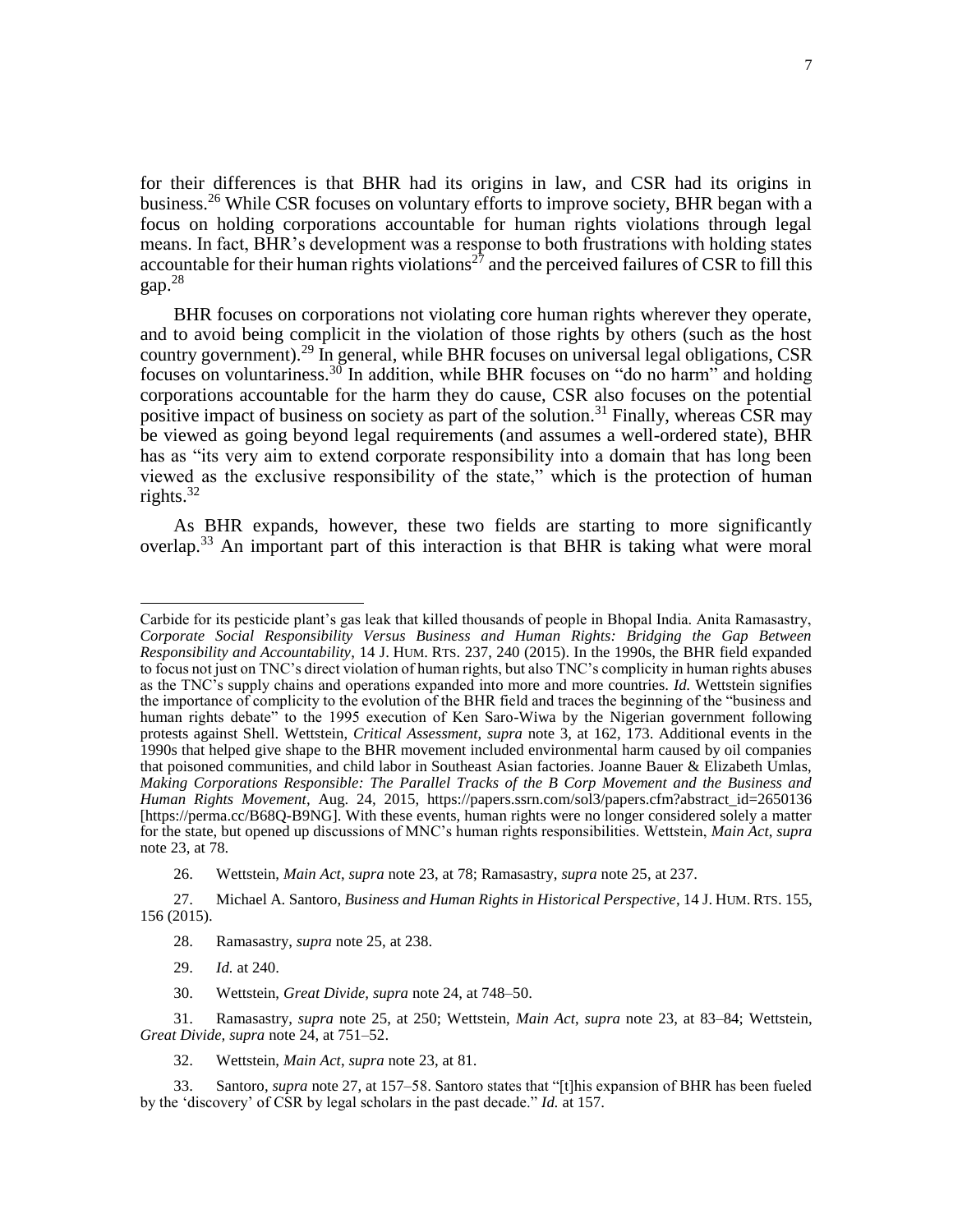for their differences is that BHR had its origins in law, and CSR had its origins in business.<sup>26</sup> While CSR focuses on voluntary efforts to improve society, BHR began with a focus on holding corporations accountable for human rights violations through legal means. In fact, BHR's development was a response to both frustrations with holding states accountable for their human rights violations<sup>27</sup> and the perceived failures of CSR to fill this gap $28$ 

BHR focuses on corporations not violating core human rights wherever they operate, and to avoid being complicit in the violation of those rights by others (such as the host country government).<sup>29</sup> In general, while BHR focuses on universal legal obligations, CSR focuses on voluntariness.<sup>30</sup> In addition, while BHR focuses on "do no harm" and holding corporations accountable for the harm they do cause, CSR also focuses on the potential positive impact of business on society as part of the solution.<sup>31</sup> Finally, whereas CSR may be viewed as going beyond legal requirements (and assumes a well-ordered state), BHR has as "its very aim to extend corporate responsibility into a domain that has long been viewed as the exclusive responsibility of the state," which is the protection of human rights. $32$ 

As BHR expands, however, these two fields are starting to more significantly overlap.<sup>33</sup> An important part of this interaction is that BHR is taking what were moral

 $\overline{\phantom{a}}$ 

32. Wettstein, *Main Act*, *supra* note 23, at 81.

Carbide for its pesticide plant's gas leak that killed thousands of people in Bhopal India. Anita Ramasastry, *Corporate Social Responsibility Versus Business and Human Rights: Bridging the Gap Between Responsibility and Accountability*, 14 J. HUM. RTS. 237, 240 (2015). In the 1990s, the BHR field expanded to focus not just on TNC's direct violation of human rights, but also TNC's complicity in human rights abuses as the TNC's supply chains and operations expanded into more and more countries. *Id.* Wettstein signifies the importance of complicity to the evolution of the BHR field and traces the beginning of the "business and human rights debate" to the 1995 execution of Ken Saro-Wiwa by the Nigerian government following protests against Shell. Wettstein, *Critical Assessment*, *supra* note [3,](#page-2-1) at 162, 173. Additional events in the 1990s that helped give shape to the BHR movement included environmental harm caused by oil companies that poisoned communities, and child labor in Southeast Asian factories. Joanne Bauer & Elizabeth Umlas, *Making Corporations Responsible: The Parallel Tracks of the B Corp Movement and the Business and Human Rights Movement*, Aug. 24, 2015, [https://papers.ssrn.com/sol3/papers.cfm?abstract\\_id=2650136](https://papers.ssrn.com/sol3/papers.cfm?abstract_id=2650136) [https://perma.cc/B68Q-B9NG]. With these events, human rights were no longer considered solely a matter for the state, but opened up discussions of MNC's human rights responsibilities. Wettstein, *Main Act*, *supra* not[e 23,](#page-5-0) at 78.

<sup>26.</sup> Wettstein, *Main Act*, *supra* note 23, at 78; Ramasastry, *supra* note 25, at 237.

<sup>27.</sup> Michael A. Santoro, *Business and Human Rights in Historical Perspective*, 14 J. HUM. RTS. 155, 156 (2015).

<sup>28.</sup> Ramasastry, *supra* note 25, at 238.

<sup>29.</sup> *Id.* at 240.

<sup>30.</sup> Wettstein, *Great Divide, supra* note 24, at 748–50.

<sup>31.</sup> Ramasastry, *supra* note 25, at 250; Wettstein, *Main Act*, *supra* note 23, at 83–84; Wettstein, *Great Divide, supra* note 24, at 751–52.

<sup>33.</sup> Santoro, *supra* note 27, at 157–58. Santoro states that "[t]his expansion of BHR has been fueled by the 'discovery' of CSR by legal scholars in the past decade." *Id.* at 157.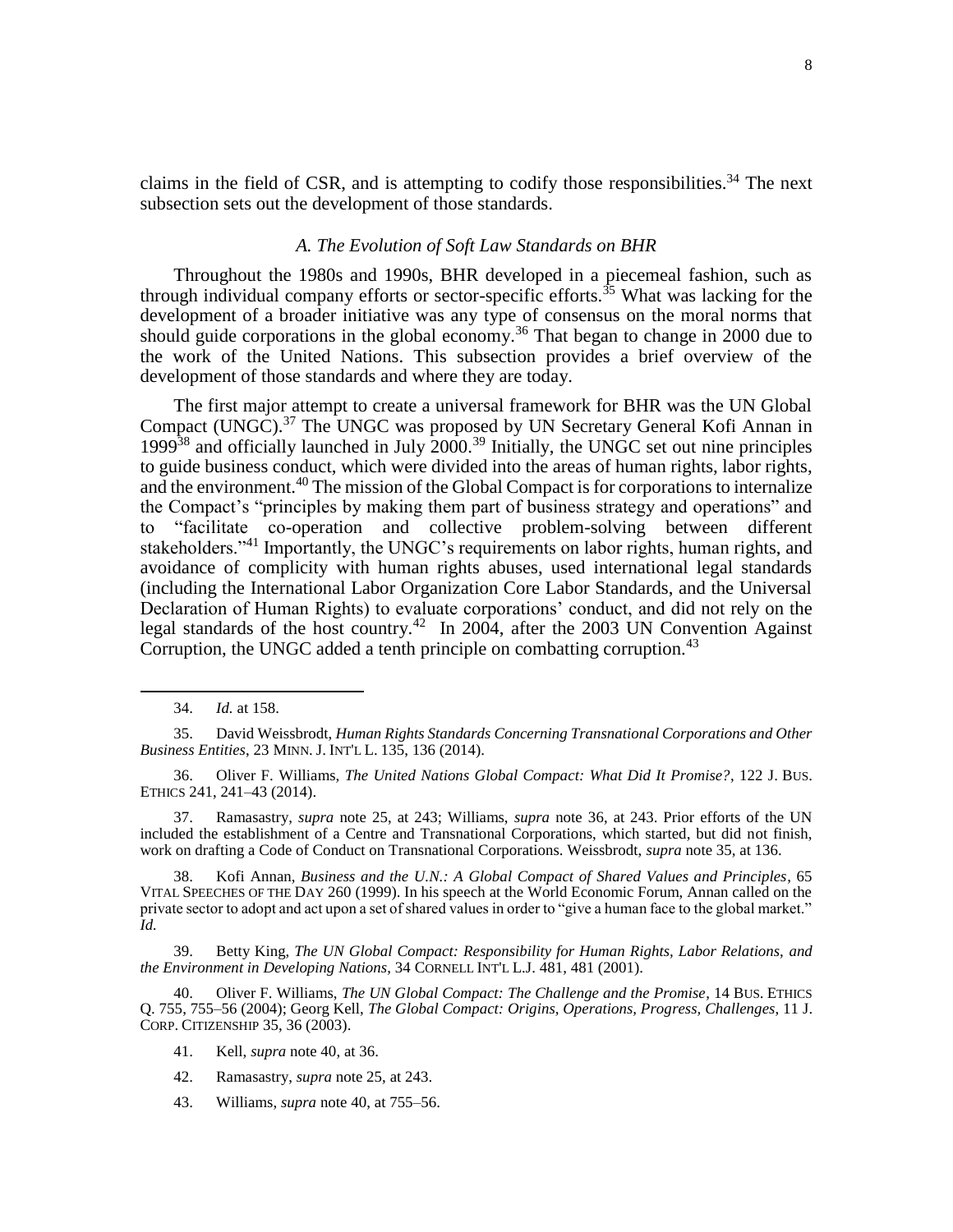claims in the field of CSR, and is attempting to codify those responsibilities.<sup>34</sup> The next subsection sets out the development of those standards.

### *A. The Evolution of Soft Law Standards on BHR*

Throughout the 1980s and 1990s, BHR developed in a piecemeal fashion, such as through individual company efforts or sector-specific efforts.<sup>35</sup> What was lacking for the development of a broader initiative was any type of consensus on the moral norms that should guide corporations in the global economy.<sup>36</sup> That began to change in 2000 due to the work of the United Nations. This subsection provides a brief overview of the development of those standards and where they are today.

The first major attempt to create a universal framework for BHR was the UN Global Compact (UNGC).<sup>37</sup> The UNGC was proposed by UN Secretary General Kofi Annan in 1999<sup>38</sup> and officially launched in July 2000.<sup>39</sup> Initially, the UNGC set out nine principles to guide business conduct, which were divided into the areas of human rights, labor rights, and the environment.<sup>40</sup> The mission of the Global Compact is for corporations to internalize the Compact's "principles by making them part of business strategy and operations" and to "facilitate co-operation and collective problem-solving between different stakeholders."<sup>41</sup> Importantly, the UNGC's requirements on labor rights, human rights, and avoidance of complicity with human rights abuses, used international legal standards (including the International Labor Organization Core Labor Standards, and the Universal Declaration of Human Rights) to evaluate corporations' conduct, and did not rely on the legal standards of the host country.<sup>42</sup> In 2004, after the 2003 UN Convention Against Corruption, the UNGC added a tenth principle on combatting corruption.<sup>43</sup>

 $\overline{\phantom{a}}$ 

37. Ramasastry, *supra* note 25, at 243; Williams, *supra* note 36, at 243. Prior efforts of the UN included the establishment of a Centre and Transnational Corporations, which started, but did not finish, work on drafting a Code of Conduct on Transnational Corporations. Weissbrodt, *supra* note 35, at 136.

38. Kofi Annan, *Business and the U.N.: A Global Compact of Shared Values and Principles*, 65 VITAL SPEECHES OF THE DAY 260 (1999). In his speech at the World Economic Forum, Annan called on the private sector to adopt and act upon a set of shared values in order to "give a human face to the global market." *Id.*

39. Betty King, *The UN Global Compact: Responsibility for Human Rights, Labor Relations, and the Environment in Developing Nations*, 34 CORNELL INT'L L.J. 481, 481 (2001).

40. Oliver F. Williams, *The UN Global Compact: The Challenge and the Promise*, 14 BUS. ETHICS Q. 755, 755–56 (2004); Georg Kell, *The Global Compact: Origins, Operations, Progress, Challenges*, 11 J. CORP. CITIZENSHIP 35, 36 (2003).

<sup>34.</sup> *Id.* at 158.

<sup>35.</sup> David Weissbrodt, *Human Rights Standards Concerning Transnational Corporations and Other Business Entities*, 23 MINN. J. INT'L L. 135, 136 (2014).

<sup>36.</sup> Oliver F. Williams, *The United Nations Global Compact: What Did It Promise?*, 122 J. BUS. ETHICS 241, 241–43 (2014).

<sup>41.</sup> Kell, *supra* note 40, at 36.

<sup>42.</sup> Ramasastry, *supra* note 25, at 243.

<sup>43.</sup> Williams, *supra* note 40, at 755–56.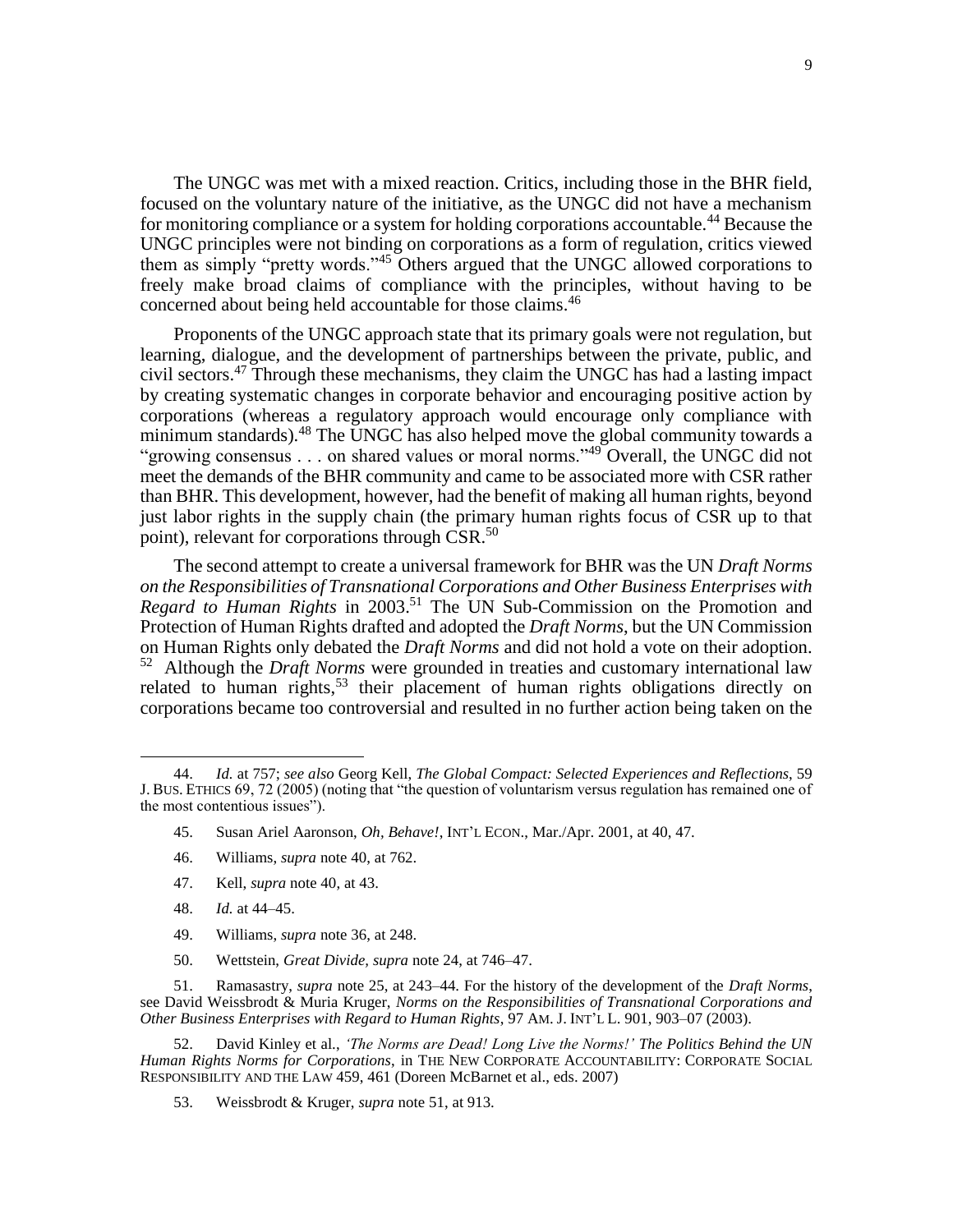The UNGC was met with a mixed reaction. Critics, including those in the BHR field, focused on the voluntary nature of the initiative, as the UNGC did not have a mechanism for monitoring compliance or a system for holding corporations accountable.<sup>44</sup> Because the UNGC principles were not binding on corporations as a form of regulation, critics viewed them as simply "pretty words."<sup>45</sup> Others argued that the UNGC allowed corporations to freely make broad claims of compliance with the principles, without having to be concerned about being held accountable for those claims.<sup>46</sup>

Proponents of the UNGC approach state that its primary goals were not regulation, but learning, dialogue, and the development of partnerships between the private, public, and civil sectors.<sup>47</sup> Through these mechanisms, they claim the UNGC has had a lasting impact by creating systematic changes in corporate behavior and encouraging positive action by corporations (whereas a regulatory approach would encourage only compliance with minimum standards).<sup>48</sup> The UNGC has also helped move the global community towards a "growing consensus . . . on shared values or moral norms."<sup>49</sup> Overall, the UNGC did not meet the demands of the BHR community and came to be associated more with CSR rather than BHR. This development, however, had the benefit of making all human rights, beyond just labor rights in the supply chain (the primary human rights focus of CSR up to that point), relevant for corporations through CSR.<sup>50</sup>

The second attempt to create a universal framework for BHR was the UN *Draft Norms on the Responsibilities of Transnational Corporations and Other Business Enterprises with Regard to Human Rights* in 2003.<sup>51</sup> The UN Sub-Commission on the Promotion and Protection of Human Rights drafted and adopted the *Draft Norms*, but the UN Commission on Human Rights only debated the *Draft Norms* and did not hold a vote on their adoption. 52 Although the *Draft Norms* were grounded in treaties and customary international law related to human rights,  $53$  their placement of human rights obligations directly on corporations became too controversial and resulted in no further action being taken on the

- 45. Susan Ariel Aaronson, *Oh, Behave!*, INT'L ECON., Mar./Apr. 2001, at 40, 47.
- 46. Williams, *supra* note 40, at 762.
- 47. Kell, *supra* note 40, at 43.
- 48. *Id.* at 44–45.

 $\overline{\phantom{a}}$ 

- 49. Williams, *supra* note 36, at 248.
- 50. Wettstein, *Great Divide, supra* note 24, at 746–47.

53. Weissbrodt & Kruger, *supra* note 51, at 913.

<sup>44.</sup> *Id.* at 757; *see also* Georg Kell, *The Global Compact: Selected Experiences and Reflections*, 59 J. BUS. ETHICS 69, 72 (2005) (noting that "the question of voluntarism versus regulation has remained one of the most contentious issues").

<sup>51.</sup> Ramasastry, *supra* note 25, at 243–44. For the history of the development of the *Draft Norms*, see David Weissbrodt & Muria Kruger, *Norms on the Responsibilities of Transnational Corporations and Other Business Enterprises with Regard to Human Rights*, 97 AM. J. INT'L L. 901, 903–07 (2003).

<sup>52.</sup> David Kinley et al., *'The Norms are Dead! Long Live the Norms!' The Politics Behind the UN Human Rights Norms for Corporations*, in THE NEW CORPORATE ACCOUNTABILITY: CORPORATE SOCIAL RESPONSIBILITY AND THE LAW 459, 461 (Doreen McBarnet et al., eds. 2007)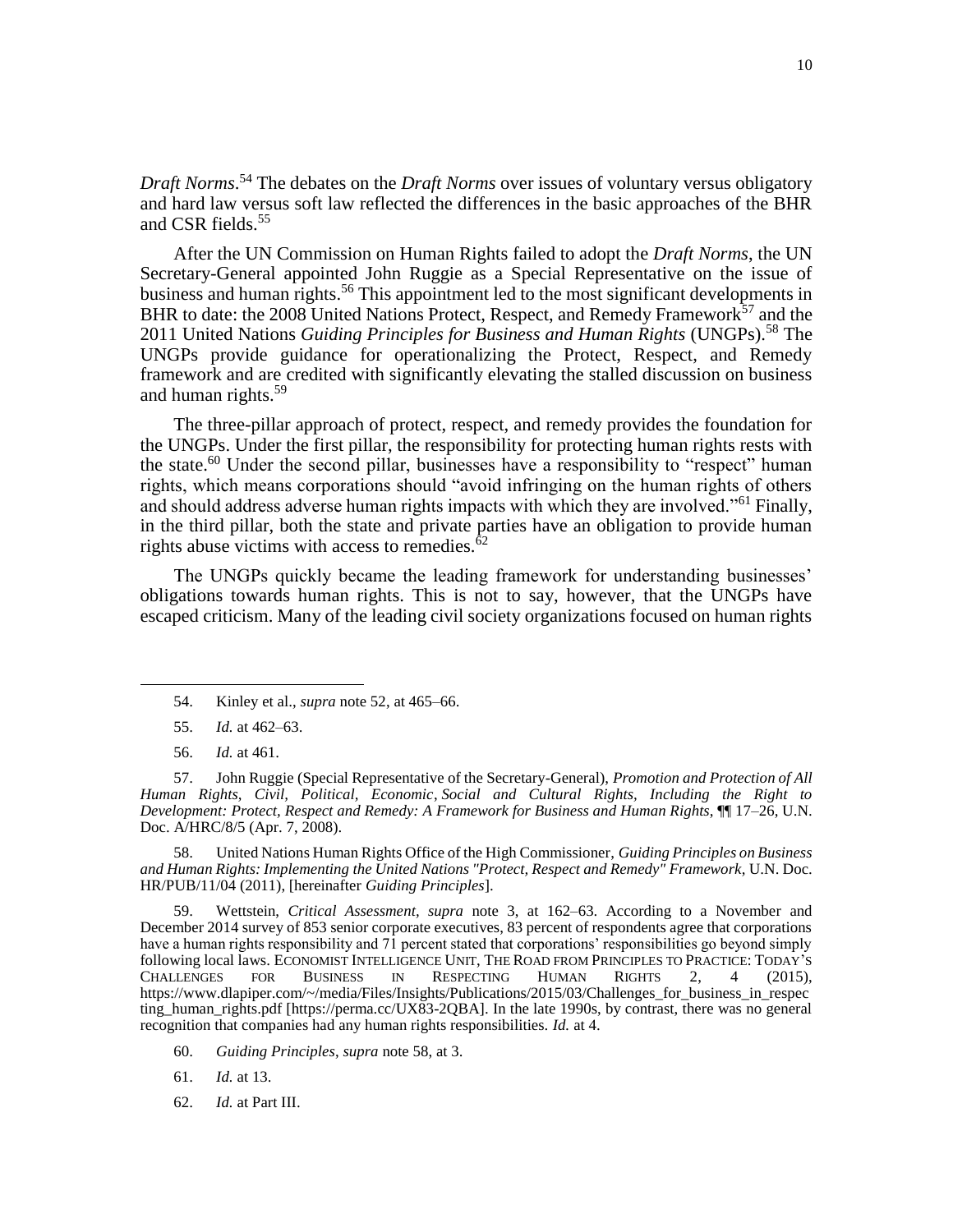*Draft Norms*. <sup>54</sup> The debates on the *Draft Norms* over issues of voluntary versus obligatory and hard law versus soft law reflected the differences in the basic approaches of the BHR and CSR fields.<sup>55</sup>

<span id="page-9-0"></span>After the UN Commission on Human Rights failed to adopt the *Draft Norms*, the UN Secretary-General appointed John Ruggie as a Special Representative on the issue of business and human rights.<sup>56</sup> This appointment led to the most significant developments in BHR to date: the 2008 United Nations Protect, Respect, and Remedy Framework<sup>57</sup> and the 2011 United Nations *Guiding Principles for Business and Human Rights* (UNGPs).<sup>58</sup> The UNGPs provide guidance for operationalizing the Protect, Respect, and Remedy framework and are credited with significantly elevating the stalled discussion on business and human rights.<sup>59</sup>

The three-pillar approach of protect, respect, and remedy provides the foundation for the UNGPs. Under the first pillar, the responsibility for protecting human rights rests with the state.<sup>60</sup> Under the second pillar, businesses have a responsibility to "respect" human rights, which means corporations should "avoid infringing on the human rights of others and should address adverse human rights impacts with which they are involved."<sup>61</sup> Finally, in the third pillar, both the state and private parties have an obligation to provide human rights abuse victims with access to remedies. $62$ 

The UNGPs quickly became the leading framework for understanding businesses' obligations towards human rights. This is not to say, however, that the UNGPs have escaped criticism. Many of the leading civil society organizations focused on human rights

56. *Id.* at 461.

 $\overline{\phantom{a}}$ 

57. John Ruggie (Special Representative of the Secretary-General), *Promotion and Protection of All Human Rights, Civil, Political, Economic*, *Social and Cultural Rights, Including the Right to Development: Protect, Respect and Remedy: A Framework for Business and Human Rights*, ¶¶ 17–26, U.N. Doc. A/HRC/8/5 (Apr. 7, 2008).

58. United Nations Human Rights Office of the High Commissioner, *Guiding Principles on Business and Human Rights: Implementing the United Nations "Protect, Respect and Remedy" Framework*, U.N. Doc. HR/PUB/11/04 (2011), [hereinafter *Guiding Principles*].

59. Wettstein, *Critical Assessment, supra* note [3,](#page-2-1) at 162–63. According to a November and December 2014 survey of 853 senior corporate executives, 83 percent of respondents agree that corporations have a human rights responsibility and 71 percent stated that corporations' responsibilities go beyond simply following local laws. ECONOMIST INTELLIGENCE UNIT, THE ROAD FROM PRINCIPLES TO PRACTICE: TODAY'S CHALLENGES FOR BUSINESS IN RESPECTING HUMAN RIGHTS 2, 4 (2015), https://www.dlapiper.com/~/media/Files/Insights/Publications/2015/03/Challenges\_for\_business\_in\_respec ting\_human\_rights.pdf [https://perma.cc/UX83-2QBA]. In the late 1990s, by contrast, there was no general recognition that companies had any human rights responsibilities. *Id.* at 4.

60. *Guiding Principles*, *supra* note 58, at 3.

61. *Id.* at 13.

<sup>54.</sup> Kinley et al., *supra* note 52, at 465–66.

<sup>55.</sup> *Id.* at 462–63.

<sup>62.</sup> *Id.* at Part III.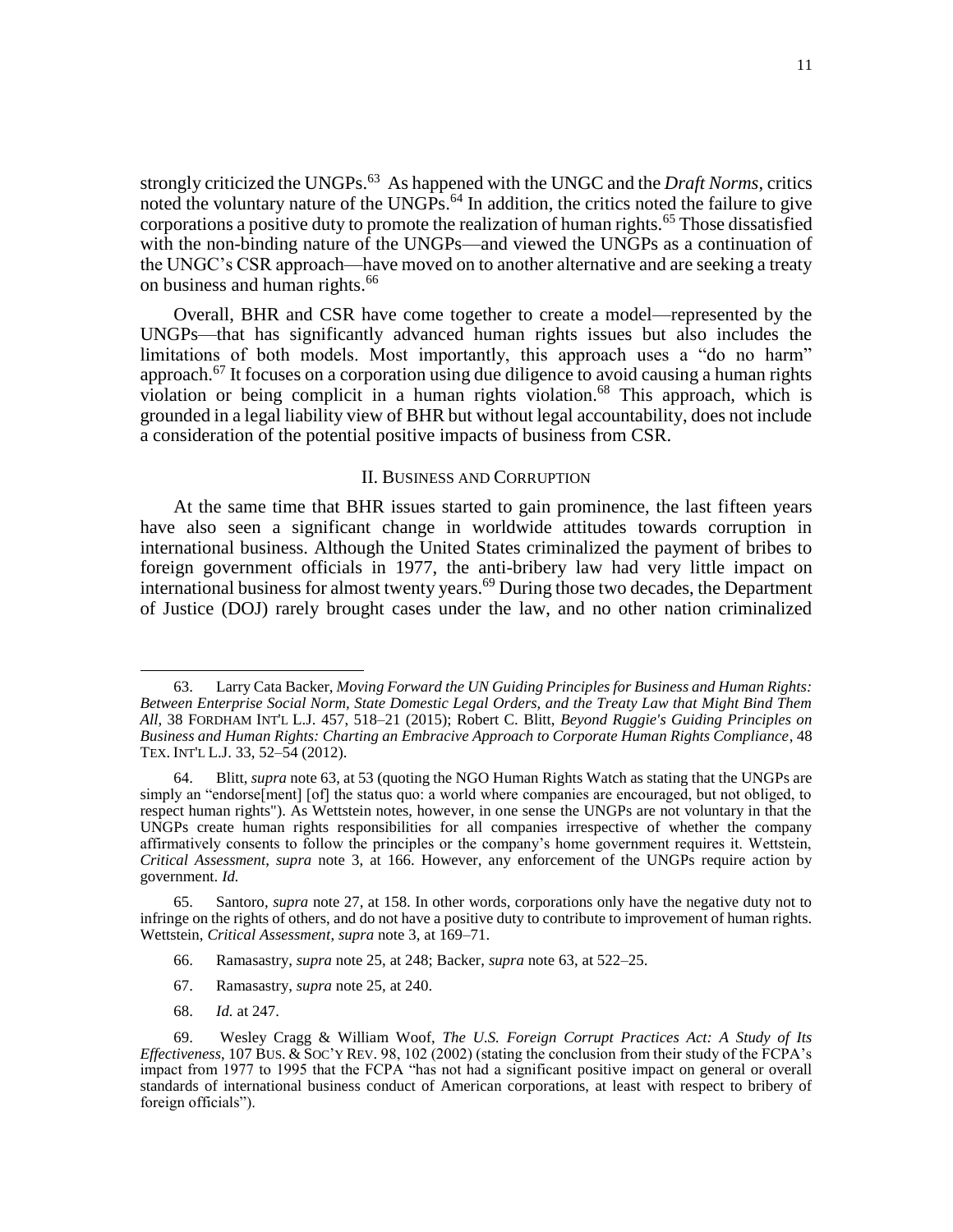strongly criticized the UNGPs.<sup>63</sup> As happened with the UNGC and the *Draft Norms*, critics noted the voluntary nature of the UNGPs.<sup>64</sup> In addition, the critics noted the failure to give corporations a positive duty to promote the realization of human rights.<sup>65</sup> Those dissatisfied with the non-binding nature of the UNGPs—and viewed the UNGPs as a continuation of the UNGC's CSR approach—have moved on to another alternative and are seeking a treaty on business and human rights.<sup>66</sup>

Overall, BHR and CSR have come together to create a model—represented by the UNGPs—that has significantly advanced human rights issues but also includes the limitations of both models. Most importantly, this approach uses a "do no harm" approach.<sup>67</sup> It focuses on a corporation using due diligence to avoid causing a human rights violation or being complicit in a human rights violation.<sup>68</sup> This approach, which is grounded in a legal liability view of BHR but without legal accountability, does not include a consideration of the potential positive impacts of business from CSR.

## <span id="page-10-0"></span>II. BUSINESS AND CORRUPTION

At the same time that BHR issues started to gain prominence, the last fifteen years have also seen a significant change in worldwide attitudes towards corruption in international business. Although the United States criminalized the payment of bribes to foreign government officials in 1977, the anti-bribery law had very little impact on international business for almost twenty years.<sup>69</sup> During those two decades, the Department of Justice (DOJ) rarely brought cases under the law, and no other nation criminalized

- 67. Ramasastry, *supra* note 25, at 240.
- 68. *Id.* at 247.

<sup>63.</sup> Larry Cata Backer, *Moving Forward the UN Guiding Principles for Business and Human Rights: Between Enterprise Social Norm, State Domestic Legal Orders, and the Treaty Law that Might Bind Them All*, 38 FORDHAM INT'L L.J. 457, 518–21 (2015); Robert C. Blitt, *Beyond Ruggie's Guiding Principles on Business and Human Rights: Charting an Embracive Approach to Corporate Human Rights Compliance*, 48 TEX. INT'L L.J. 33, 52–54 (2012).

<sup>64.</sup> Blitt, *supra* note 63, at 53 (quoting the NGO Human Rights Watch as stating that the UNGPs are simply an "endorse[ment] [of] the status quo: a world where companies are encouraged, but not obliged, to respect human rights"). As Wettstein notes, however, in one sense the UNGPs are not voluntary in that the UNGPs create human rights responsibilities for all companies irrespective of whether the company affirmatively consents to follow the principles or the company's home government requires it. Wettstein, *Critical Assessment*, *supra* note [3,](#page-2-1) at 166. However, any enforcement of the UNGPs require action by government. *Id.*

<sup>65.</sup> Santoro, *supra* note 27, at 158. In other words, corporations only have the negative duty not to infringe on the rights of others, and do not have a positive duty to contribute to improvement of human rights. Wettstein, *Critical Assessment*, *supra* not[e 3,](#page-2-1) at 169–71.

<sup>66.</sup> Ramasastry, *supra* note 25, at 248; Backer, *supra* note 63, at 522–25.

<sup>69.</sup> Wesley Cragg & William Woof, *The U.S. Foreign Corrupt Practices Act: A Study of Its Effectiveness*, 107 BUS.  $\&$  SOC'Y REV. 98, 102 (2002) (stating the conclusion from their study of the FCPA's impact from 1977 to 1995 that the FCPA "has not had a significant positive impact on general or overall standards of international business conduct of American corporations, at least with respect to bribery of foreign officials").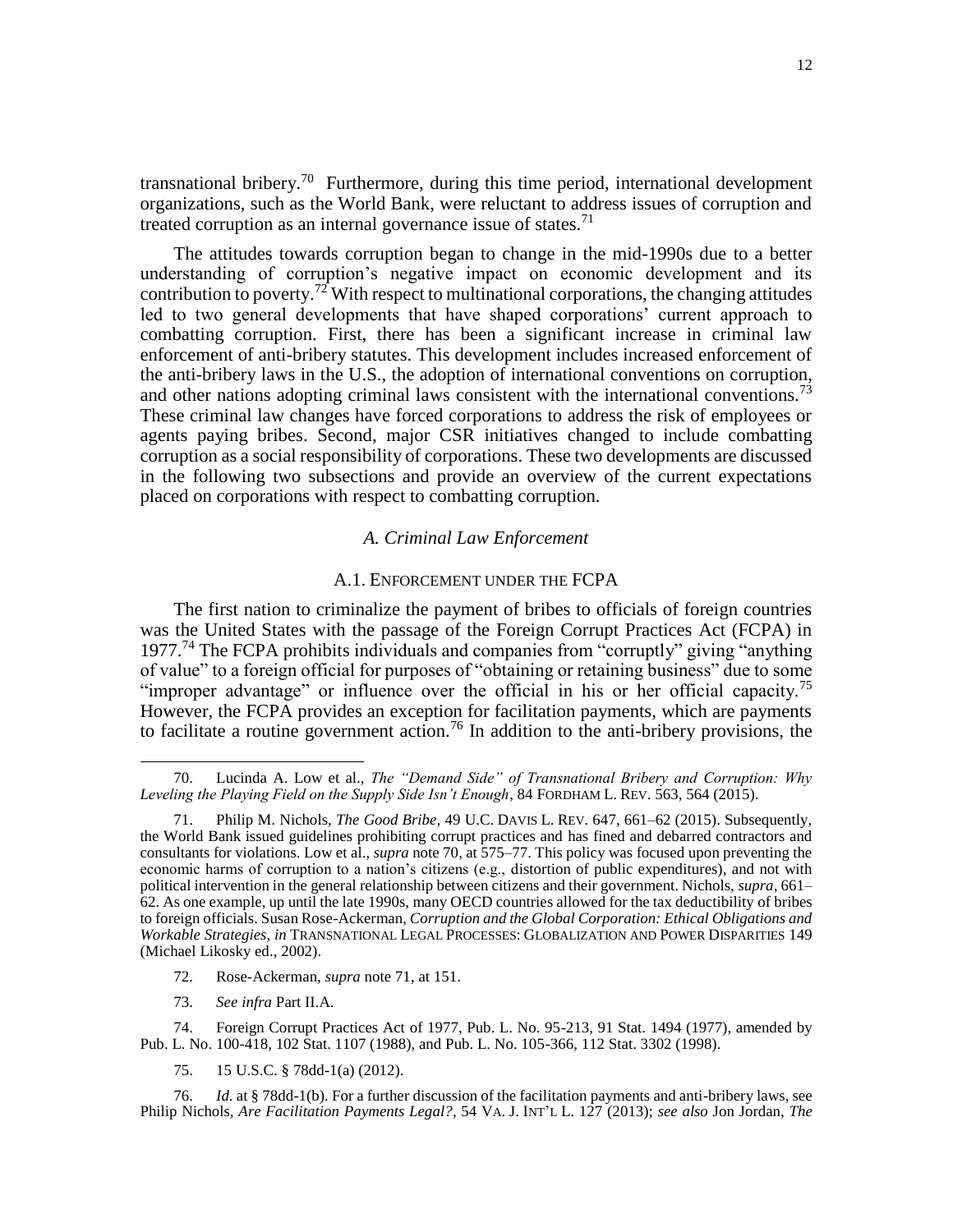<span id="page-11-0"></span>transnational bribery.<sup>70</sup> Furthermore, during this time period, international development organizations, such as the World Bank, were reluctant to address issues of corruption and treated corruption as an internal governance issue of states.<sup>71</sup>

The attitudes towards corruption began to change in the mid-1990s due to a better understanding of corruption's negative impact on economic development and its contribution to poverty.<sup>72</sup> With respect to multinational corporations, the changing attitudes led to two general developments that have shaped corporations' current approach to combatting corruption. First, there has been a significant increase in criminal law enforcement of anti-bribery statutes. This development includes increased enforcement of the anti-bribery laws in the U.S., the adoption of international conventions on corruption, and other nations adopting criminal laws consistent with the international conventions.<sup>73</sup> These criminal law changes have forced corporations to address the risk of employees or agents paying bribes. Second, major CSR initiatives changed to include combatting corruption as a social responsibility of corporations. These two developments are discussed in the following two subsections and provide an overview of the current expectations placed on corporations with respect to combatting corruption.

# *A. Criminal Law Enforcement*

# A.1. ENFORCEMENT UNDER THE FCPA

The first nation to criminalize the payment of bribes to officials of foreign countries was the United States with the passage of the Foreign Corrupt Practices Act (FCPA) in 1977.<sup>74</sup> The FCPA prohibits individuals and companies from "corruptly" giving "anything of value" to a foreign official for purposes of "obtaining or retaining business" due to some "improper advantage" or influence over the official in his or her official capacity.<sup>75</sup> However, the FCPA provides an exception for facilitation payments, which are payments to facilitate a routine government action.<sup>76</sup> In addition to the anti-bribery provisions, the

73. *See infra* Part II.A.

 $\overline{\phantom{a}}$ 

75. 15 U.S.C. § 78dd-1(a) (2012).

76. *Id.* at § 78dd-1(b). For a further discussion of the facilitation payments and anti-bribery laws, see Philip Nichols, *Are Facilitation Payments Legal?*, 54 VA. J. INT'L L. 127 (2013); *see also* Jon Jordan, *The* 

<sup>70.</sup> Lucinda A. Low et al., *The "Demand Side" of Transnational Bribery and Corruption: Why Leveling the Playing Field on the Supply Side Isn't Enough*, 84 FORDHAM L. REV. 563, 564 (2015).

<sup>71.</sup> Philip M. Nichols, *The Good Bribe,* 49 U.C. DAVIS L. REV. 647, 661–62 (2015). Subsequently, the World Bank issued guidelines prohibiting corrupt practices and has fined and debarred contractors and consultants for violations. Low et al., *supra* not[e 70,](#page-11-0) at 575–77. This policy was focused upon preventing the economic harms of corruption to a nation's citizens (e.g., distortion of public expenditures), and not with political intervention in the general relationship between citizens and their government. Nichols, *supra*, 661– 62. As one example, up until the late 1990s, many OECD countries allowed for the tax deductibility of bribes to foreign officials. Susan Rose-Ackerman, *Corruption and the Global Corporation: Ethical Obligations and Workable Strategies*, *in* TRANSNATIONAL LEGAL PROCESSES: GLOBALIZATION AND POWER DISPARITIES 149 (Michael Likosky ed., 2002).

<sup>72.</sup> Rose-Ackerman, *supra* note 71, at 151.

<sup>74.</sup> Foreign Corrupt Practices Act of 1977, Pub. L. No. 95-213, 91 Stat. 1494 (1977), amended by Pub. L. No. 100-418, 102 Stat. 1107 (1988), and Pub. L. No. 105-366, 112 Stat. 3302 (1998).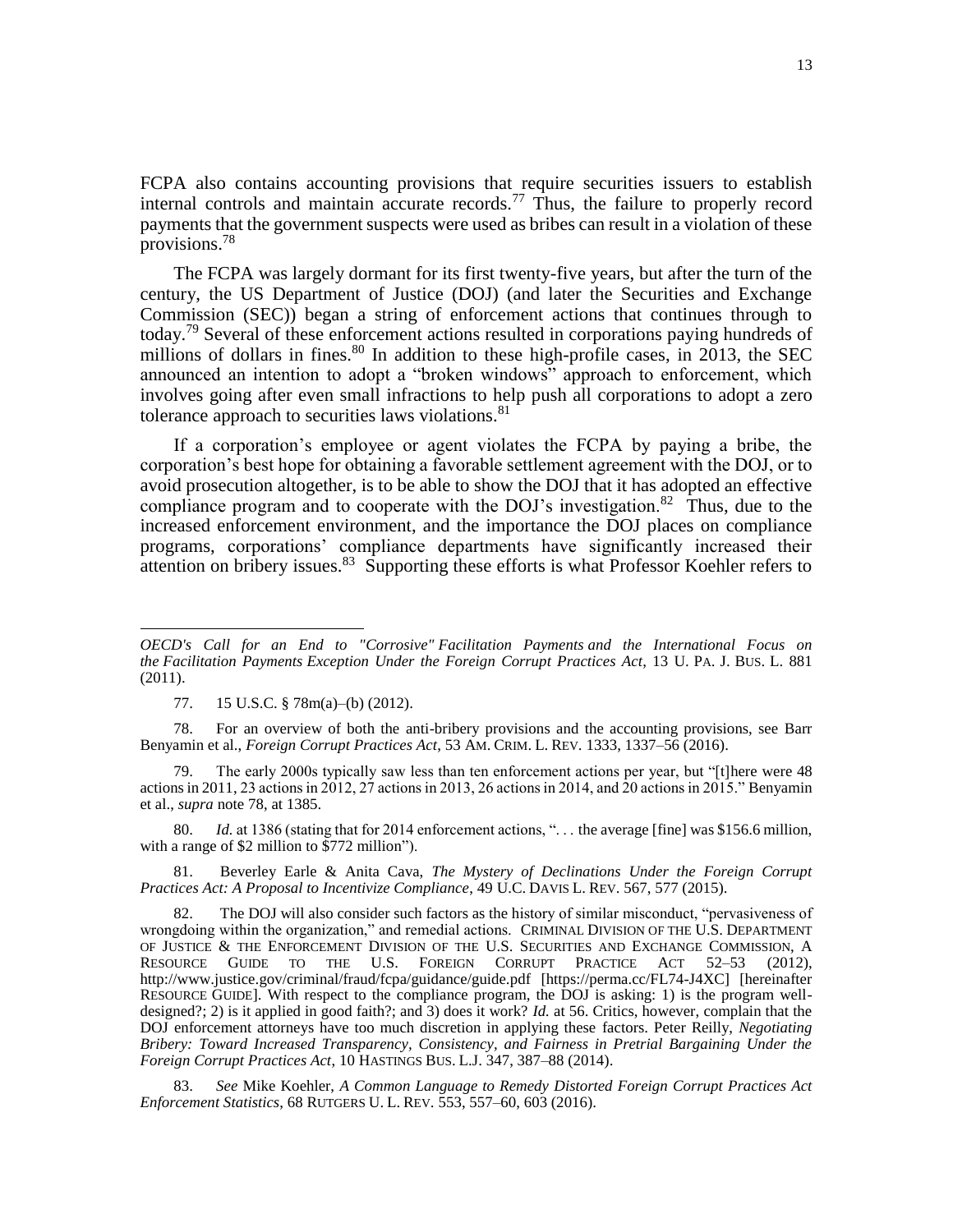FCPA also contains accounting provisions that require securities issuers to establish internal controls and maintain accurate records.<sup>77</sup> Thus, the failure to properly record payments that the government suspects were used as bribes can result in a violation of these provisions.<sup>78</sup>

<span id="page-12-0"></span>The FCPA was largely dormant for its first twenty-five years, but after the turn of the century, the US Department of Justice (DOJ) (and later the Securities and Exchange Commission (SEC)) began a string of enforcement actions that continues through to today.<sup>79</sup> Several of these enforcement actions resulted in corporations paying hundreds of millions of dollars in fines.<sup>80</sup> In addition to these high-profile cases, in 2013, the SEC announced an intention to adopt a "broken windows" approach to enforcement, which involves going after even small infractions to help push all corporations to adopt a zero tolerance approach to securities laws violations.<sup>81</sup>

If a corporation's employee or agent violates the FCPA by paying a bribe, the corporation's best hope for obtaining a favorable settlement agreement with the DOJ, or to avoid prosecution altogether, is to be able to show the DOJ that it has adopted an effective compliance program and to cooperate with the DOJ's investigation.<sup>82</sup> Thus, due to the increased enforcement environment, and the importance the DOJ places on compliance programs, corporations' compliance departments have significantly increased their attention on bribery issues.<sup>83</sup> Supporting these efforts is what Professor Koehler refers to

 $\overline{\phantom{a}}$ 

78. For an overview of both the anti-bribery provisions and the accounting provisions, see Barr Benyamin et al., *Foreign Corrupt Practices Act*, 53 AM. CRIM. L. REV. 1333, 1337–56 (2016).

The early 2000s typically saw less than ten enforcement actions per year, but "[t]here were 48 actions in 2011, 23 actions in 2012, 27 actions in 2013, 26 actions in 2014, and 20 actions in 2015." Benyamin et al., *supra* note 78, at 1385.

80. *Id.* at 1386 (stating that for 2014 enforcement actions, ". . . the average [fine] was \$156.6 million, with a range of \$2 million to \$772 million").

81. Beverley Earle & Anita Cava, *The Mystery of Declinations Under the Foreign Corrupt Practices Act: A Proposal to Incentivize Compliance*, 49 U.C. DAVIS L. REV. 567, 577 (2015).

82. The DOJ will also consider such factors as the history of similar misconduct, "pervasiveness of wrongdoing within the organization," and remedial actions. CRIMINAL DIVISION OF THE U.S. DEPARTMENT OF JUSTICE & THE ENFORCEMENT DIVISION OF THE U.S. SECURITIES AND EXCHANGE COMMISSION, A RESOURCE GUIDE TO THE U.S. FOREIGN CORRUPT PRACTICE ACT 52–53 (2012), CORRUPT PRACTICE ACT 52-53 (2012), <http://www.justice.gov/criminal/fraud/fcpa/guidance/guide.pdf> [https://perma.cc/FL74-J4XC] [hereinafter RESOURCE GUIDE]. With respect to the compliance program, the DOJ is asking: 1) is the program welldesigned?; 2) is it applied in good faith?; and 3) does it work? *Id.* at 56. Critics, however, complain that the DOJ enforcement attorneys have too much discretion in applying these factors. Peter Reilly, *Negotiating Bribery: Toward Increased Transparency, Consistency, and Fairness in Pretrial Bargaining Under the Foreign Corrupt Practices Act*, 10 HASTINGS BUS. L.J. 347, 387–88 (2014).

83. *See* Mike Koehler, *A Common Language to Remedy Distorted Foreign Corrupt Practices Act Enforcement Statistics*, 68 RUTGERS U. L. REV. 553, 557–60, 603 (2016).

*OECD's Call for an End to "Corrosive" Facilitation Payments and the International Focus on the Facilitation Payments Exception Under the Foreign Corrupt Practices Act*, 13 U. PA. J. BUS. L. 881 (2011).

<sup>77.</sup> 15 U.S.C. § 78m(a)–(b) (2012).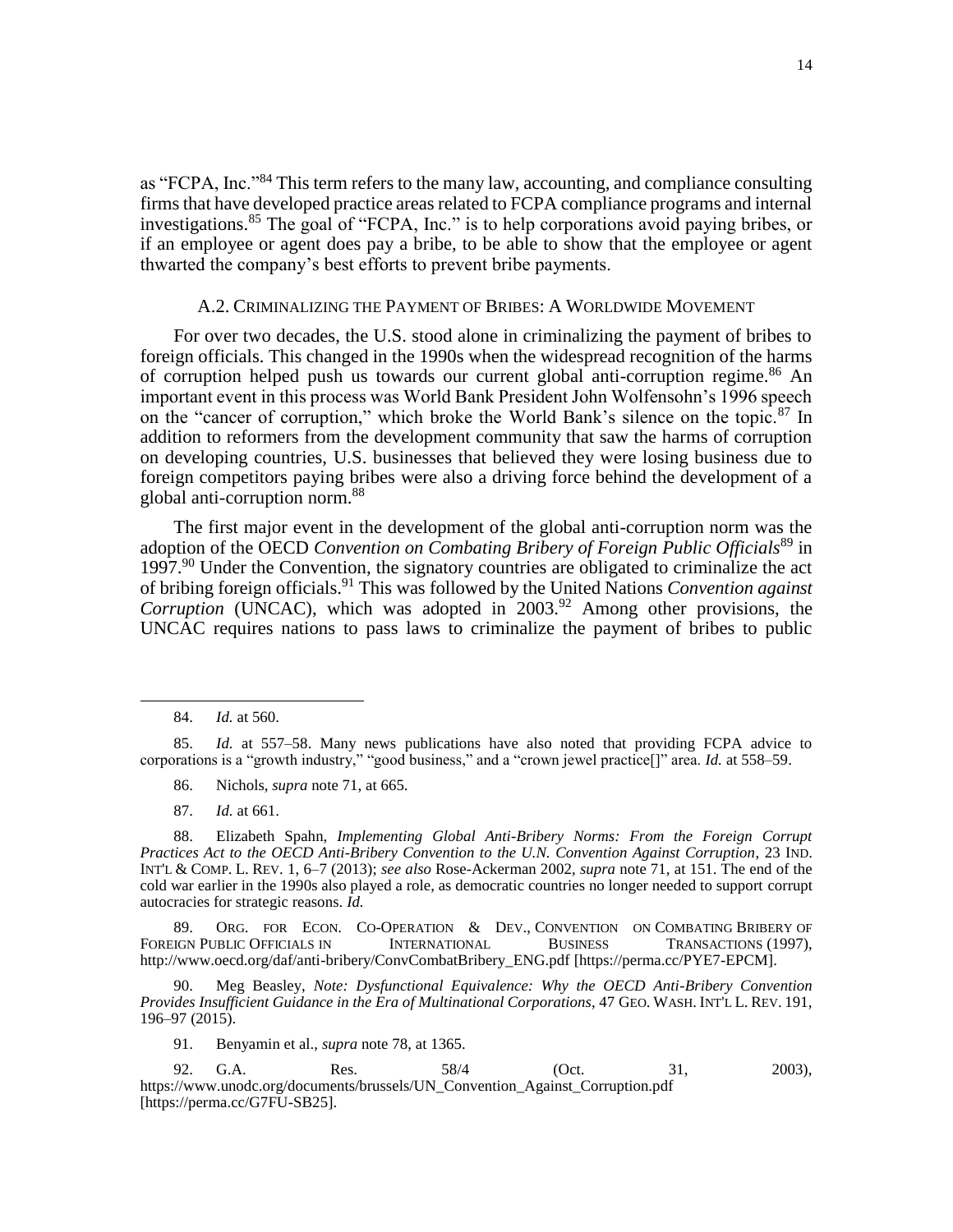as "FCPA, Inc."<sup>84</sup> This term refers to the many law, accounting, and compliance consulting firms that have developed practice areas related to FCPA compliance programs and internal investigations.<sup>85</sup> The goal of "FCPA, Inc." is to help corporations avoid paying bribes, or if an employee or agent does pay a bribe, to be able to show that the employee or agent thwarted the company's best efforts to prevent bribe payments.

## A.2. CRIMINALIZING THE PAYMENT OF BRIBES: A WORLDWIDE MOVEMENT

For over two decades, the U.S. stood alone in criminalizing the payment of bribes to foreign officials. This changed in the 1990s when the widespread recognition of the harms of corruption helped push us towards our current global anti-corruption regime.<sup>86</sup> An important event in this process was World Bank President John Wolfensohn's 1996 speech on the "cancer of corruption," which broke the World Bank's silence on the topic.<sup>87</sup> In addition to reformers from the development community that saw the harms of corruption on developing countries, U.S. businesses that believed they were losing business due to foreign competitors paying bribes were also a driving force behind the development of a global anti-corruption norm.<sup>88</sup>

The first major event in the development of the global anti-corruption norm was the adoption of the OECD *Convention on Combating Bribery of Foreign Public Officials*<sup>89</sup> in 1997.<sup>90</sup> Under the Convention, the signatory countries are obligated to criminalize the act of bribing foreign officials.<sup>91</sup> This was followed by the United Nations *Convention against Corruption* (UNCAC), which was adopted in 2003.<sup>92</sup> Among other provisions, the UNCAC requires nations to pass laws to criminalize the payment of bribes to public

 $\overline{\phantom{a}}$ 

- 86. Nichols, *supra* note 71, at 665.
- 87. *Id.* at 661.

88. Elizabeth Spahn, *Implementing Global Anti-Bribery Norms: From the Foreign Corrupt Practices Act to the OECD Anti-Bribery Convention to the U.N. Convention Against Corruption*, 23 IND. INT'L & COMP. L. REV. 1, 6–7 (2013); *see also* Rose-Ackerman 2002, *supra* note 71, at 151. The end of the cold war earlier in the 1990s also played a role, as democratic countries no longer needed to support corrupt autocracies for strategic reasons. *Id.*

89. ORG. FOR ECON. CO-OPERATION & DEV., CONVENTION ON COMBATING BRIBERY OF FOREIGN PUBLIC OFFICIALS IN INTERNATIONAL BUSINESS TRANSACTIONS (1997), [http://www.oecd.org/daf/anti-bribery/ConvCombatBribery\\_ENG.pdf](http://www.oecd.org/daf/anti-bribery/ConvCombatBribery_ENG.pdf) [https://perma.cc/PYE7-EPCM].

90. Meg Beasley, *Note: Dysfunctional Equivalence: Why the OECD Anti-Bribery Convention Provides Insufficient Guidance in the Era of Multinational Corporations*, 47 GEO. WASH. INT'L L. REV. 191, 196–97 (2015).

91. Benyamin et al., *supra* note 78, at 1365.

92. G.A. Res. 58/4 (Oct. 31, 2003), https://www.unodc.org/documents/brussels/UN\_Convention\_Against\_Corruption.pdf [https://perma.cc/G7FU-SB25].

<sup>84.</sup> *Id.* at 560.

<sup>85.</sup> *Id.* at 557–58. Many news publications have also noted that providing FCPA advice to corporations is a "growth industry," "good business," and a "crown jewel practice[]" area. *Id.* at 558–59.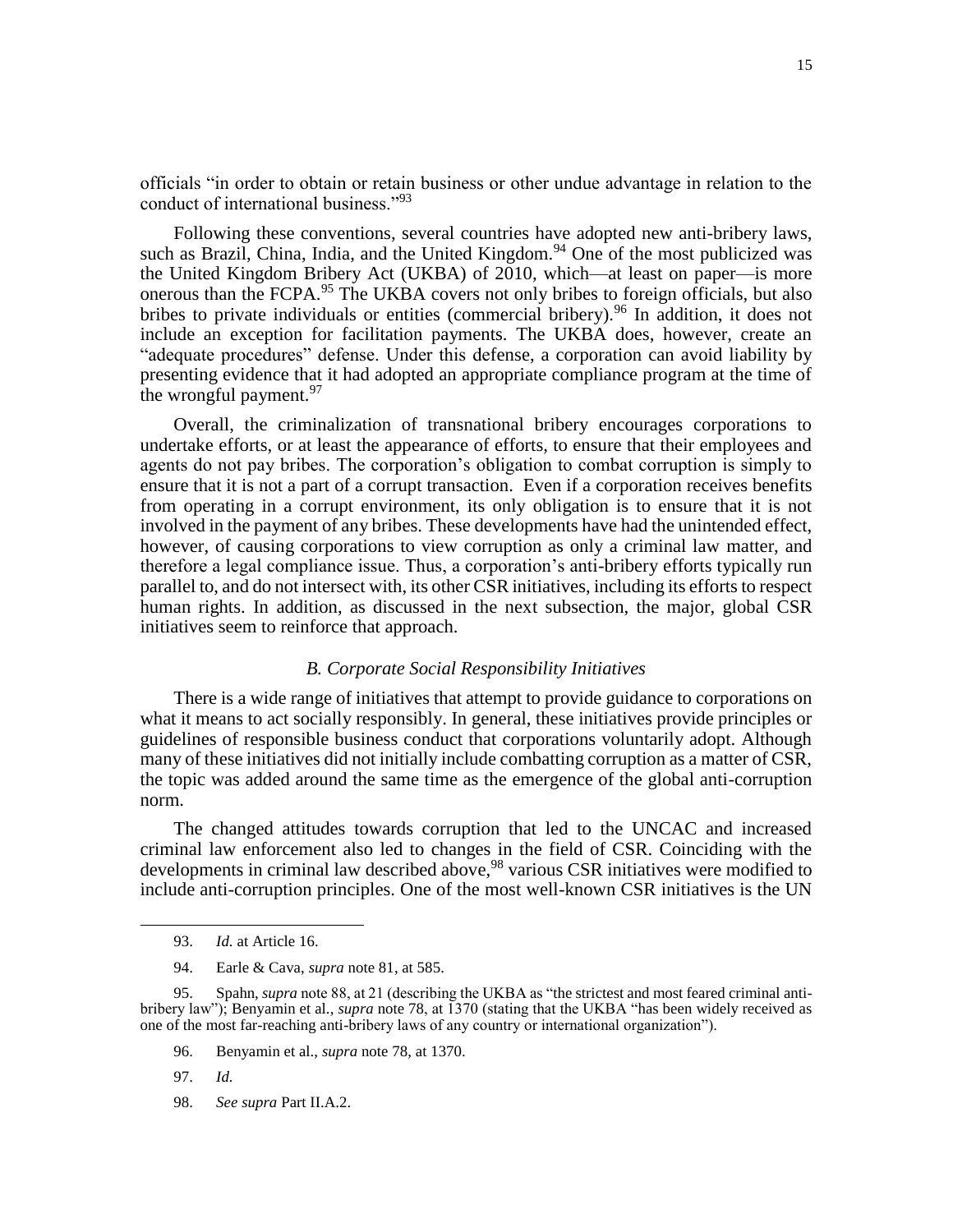officials "in order to obtain or retain business or other undue advantage in relation to the conduct of international business."<sup>93</sup>

Following these conventions, several countries have adopted new anti-bribery laws, such as Brazil, China, India, and the United Kingdom.<sup>94</sup> One of the most publicized was the United Kingdom Bribery Act (UKBA) of 2010, which—at least on paper—is more onerous than the FCPA.<sup>95</sup> The UKBA covers not only bribes to foreign officials, but also bribes to private individuals or entities (commercial bribery). <sup>96</sup> In addition, it does not include an exception for facilitation payments. The UKBA does, however, create an "adequate procedures" defense. Under this defense, a corporation can avoid liability by presenting evidence that it had adopted an appropriate compliance program at the time of the wrongful payment.<sup>97</sup>

Overall, the criminalization of transnational bribery encourages corporations to undertake efforts, or at least the appearance of efforts, to ensure that their employees and agents do not pay bribes. The corporation's obligation to combat corruption is simply to ensure that it is not a part of a corrupt transaction. Even if a corporation receives benefits from operating in a corrupt environment, its only obligation is to ensure that it is not involved in the payment of any bribes. These developments have had the unintended effect, however, of causing corporations to view corruption as only a criminal law matter, and therefore a legal compliance issue. Thus, a corporation's anti-bribery efforts typically run parallel to, and do not intersect with, its other CSR initiatives, including its efforts to respect human rights. In addition, as discussed in the next subsection, the major, global CSR initiatives seem to reinforce that approach.

# *B. Corporate Social Responsibility Initiatives*

There is a wide range of initiatives that attempt to provide guidance to corporations on what it means to act socially responsibly. In general, these initiatives provide principles or guidelines of responsible business conduct that corporations voluntarily adopt. Although many of these initiatives did not initially include combatting corruption as a matter of CSR, the topic was added around the same time as the emergence of the global anti-corruption norm.

The changed attitudes towards corruption that led to the UNCAC and increased criminal law enforcement also led to changes in the field of CSR. Coinciding with the developments in criminal law described above,<sup>98</sup> various CSR initiatives were modified to include anti-corruption principles. One of the most well-known CSR initiatives is the UN

<sup>93.</sup> *Id.* at Article 16.

<sup>94.</sup> Earle & Cava, *supra* note 81, at 585.

<sup>95.</sup> Spahn, *supra* note 88, at 21 (describing the UKBA as "the strictest and most feared criminal antibribery law"); Benyamin et al., *supra* note [78,](#page-12-0) at 1370 (stating that the UKBA "has been widely received as one of the most far-reaching anti-bribery laws of any country or international organization").

<sup>96.</sup> Benyamin et al., *supra* note 78, at 1370.

<sup>97.</sup> *Id.*

<sup>98.</sup> *See supra* Part II.A.2.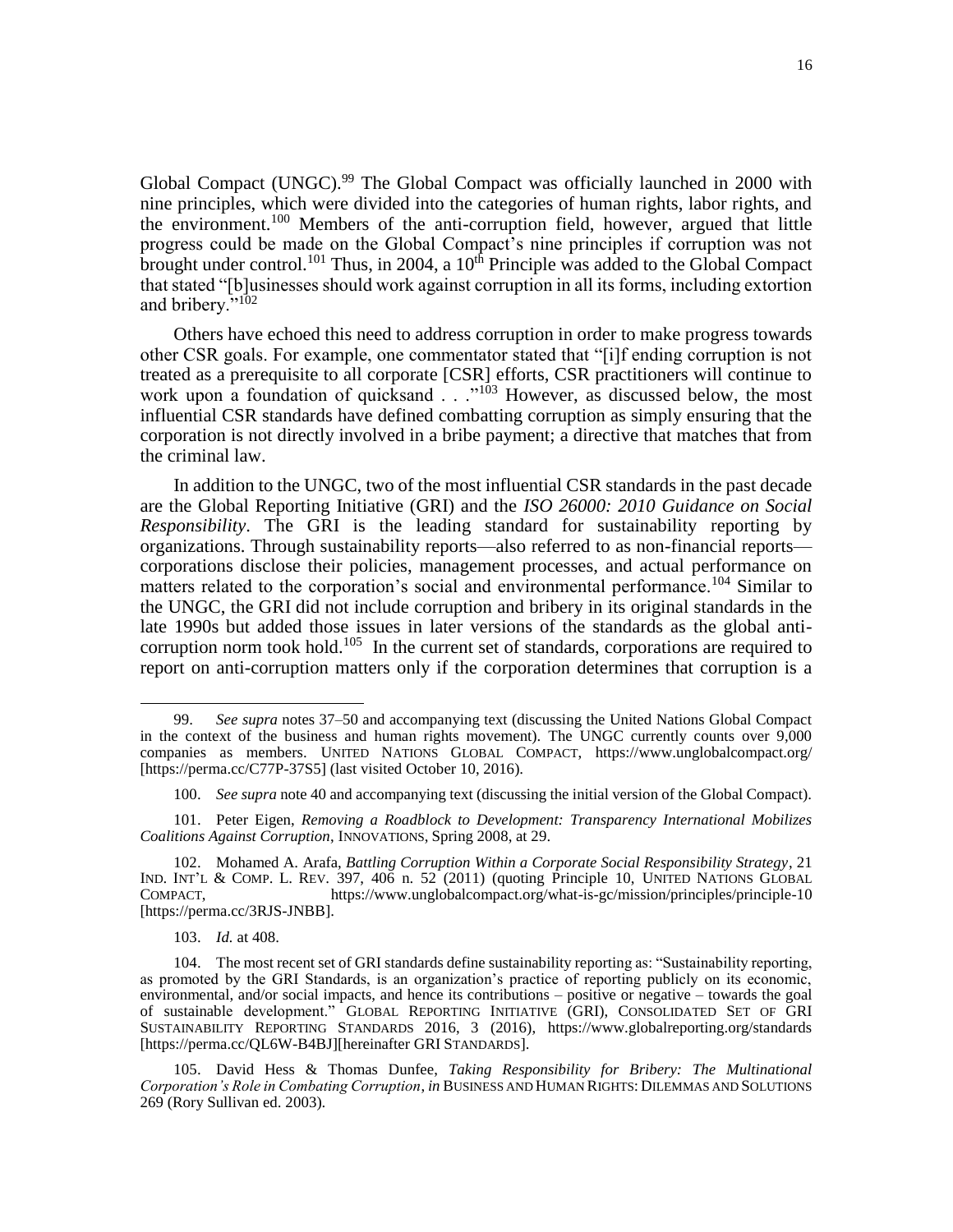Global Compact (UNGC).<sup>99</sup> The Global Compact was officially launched in 2000 with nine principles, which were divided into the categories of human rights, labor rights, and the environment.<sup>100</sup> Members of the anti-corruption field, however, argued that little progress could be made on the Global Compact's nine principles if corruption was not brought under control.<sup>101</sup> Thus, in 2004, a  $10<sup>th</sup>$  Principle was added to the Global Compact that stated "[b]usinesses should work against corruption in all its forms, including extortion and bribery."<sup>102</sup>

Others have echoed this need to address corruption in order to make progress towards other CSR goals. For example, one commentator stated that "[i]f ending corruption is not treated as a prerequisite to all corporate [CSR] efforts, CSR practitioners will continue to work upon a foundation of quicksand . . . "<sup>103</sup> However, as discussed below, the most influential CSR standards have defined combatting corruption as simply ensuring that the corporation is not directly involved in a bribe payment; a directive that matches that from the criminal law.

In addition to the UNGC, two of the most influential CSR standards in the past decade are the Global Reporting Initiative (GRI) and the *ISO 26000: 2010 Guidance on Social Responsibility*. The GRI is the leading standard for sustainability reporting by organizations. Through sustainability reports—also referred to as non-financial reports corporations disclose their policies, management processes, and actual performance on matters related to the corporation's social and environmental performance.<sup>104</sup> Similar to the UNGC, the GRI did not include corruption and bribery in its original standards in the late 1990s but added those issues in later versions of the standards as the global anticorruption norm took hold.<sup>105</sup> In the current set of standards, corporations are required to report on anti-corruption matters only if the corporation determines that corruption is a

103. *Id.* at 408.

<sup>99.</sup> *See supra* notes 37–50 and accompanying text (discussing the United Nations Global Compact in the context of the business and human rights movement). The UNGC currently counts over 9,000 companies as members. UNITED NATIONS GLOBAL COMPACT, <https://www.unglobalcompact.org/> [https://perma.cc/C77P-37S5] (last visited October 10, 2016).

<sup>100.</sup> *See supra* note 40 and accompanying text (discussing the initial version of the Global Compact).

<sup>101.</sup> Peter Eigen, *Removing a Roadblock to Development: Transparency International Mobilizes Coalitions Against Corruption*, INNOVATIONS, Spring 2008, at 29.

<sup>102.</sup> Mohamed A. Arafa, *Battling Corruption Within a Corporate Social Responsibility Strategy*, 21 IND. INT'L & COMP. L. REV. 397, 406 n. 52 (2011) (quoting Principle 10, UNITED NATIONS GLOBAL COMPACT, https://www.unglobalcompact.org/what-is-gc/mission/principles/principle-10 [https://perma.cc/3RJS-JNBB].

<sup>104.</sup> The most recent set of GRI standards define sustainability reporting as: "Sustainability reporting, as promoted by the GRI Standards, is an organization's practice of reporting publicly on its economic, environmental, and/or social impacts, and hence its contributions – positive or negative – towards the goal of sustainable development." GLOBAL REPORTING INITIATIVE (GRI), CONSOLIDATED SET OF GRI SUSTAINABILITY REPORTING STANDARDS 2016, 3 (2016), <https://www.globalreporting.org/standards> [https://perma.cc/QL6W-B4BJ][hereinafter GRI STANDARDS].

<sup>105.</sup> David Hess & Thomas Dunfee, *Taking Responsibility for Bribery: The Multinational Corporation's Role in Combating Corruption*, *in* BUSINESS AND HUMAN RIGHTS: DILEMMAS AND SOLUTIONS 269 (Rory Sullivan ed. 2003).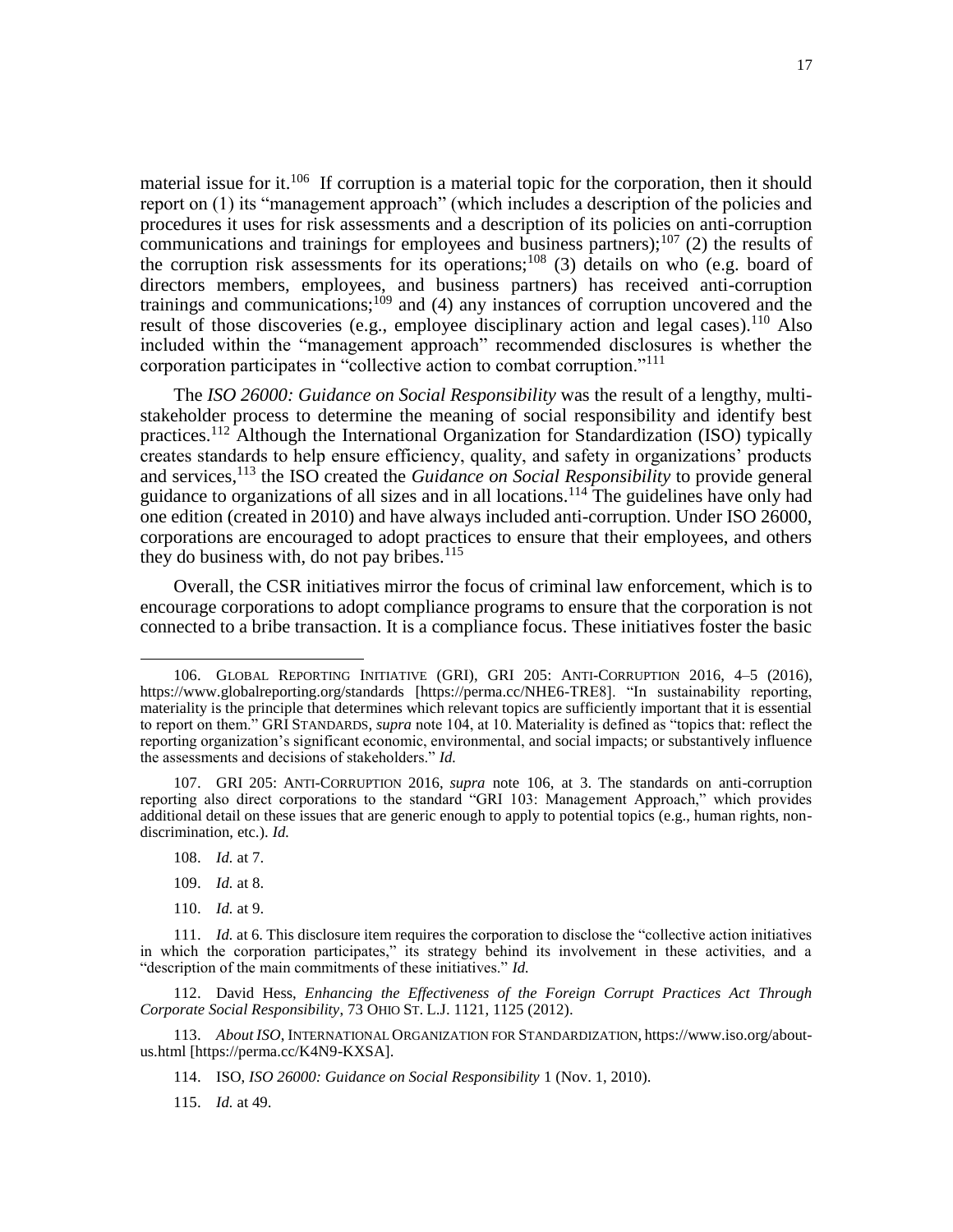material issue for it.<sup>106</sup> If corruption is a material topic for the corporation, then it should report on (1) its "management approach" (which includes a description of the policies and procedures it uses for risk assessments and a description of its policies on anti-corruption communications and trainings for employees and business partners);<sup>107</sup> (2) the results of the corruption risk assessments for its operations;<sup>108</sup> (3) details on who (e.g. board of directors members, employees, and business partners) has received anti-corruption trainings and communications;<sup>109</sup> and (4) any instances of corruption uncovered and the result of those discoveries (e.g., employee disciplinary action and legal cases).<sup>110</sup> Also included within the "management approach" recommended disclosures is whether the corporation participates in "collective action to combat corruption."<sup>111</sup>

The *ISO 26000: Guidance on Social Responsibility* was the result of a lengthy, multistakeholder process to determine the meaning of social responsibility and identify best practices.<sup>112</sup> Although the International Organization for Standardization (ISO) typically creates standards to help ensure efficiency, quality, and safety in organizations' products and services,<sup>113</sup> the ISO created the *Guidance on Social Responsibility* to provide general guidance to organizations of all sizes and in all locations.<sup>114</sup> The guidelines have only had one edition (created in 2010) and have always included anti-corruption. Under ISO 26000, corporations are encouraged to adopt practices to ensure that their employees, and others they do business with, do not pay bribes.<sup>115</sup>

Overall, the CSR initiatives mirror the focus of criminal law enforcement, which is to encourage corporations to adopt compliance programs to ensure that the corporation is not connected to a bribe transaction. It is a compliance focus. These initiatives foster the basic

108. *Id.* at 7.

 $\overline{\phantom{a}}$ 

- 109. *Id.* at 8.
- 110. *Id.* at 9.

113. *About ISO*, INTERNATIONAL ORGANIZATION FOR STANDARDIZATION, https://www.iso.org/aboutus.html [https://perma.cc/K4N9-KXSA].

<sup>106.</sup> GLOBAL REPORTING INITIATIVE (GRI), GRI 205: ANTI-CORRUPTION 2016, 4–5 (2016), <https://www.globalreporting.org/standards> [https://perma.cc/NHE6-TRE8]. "In sustainability reporting, materiality is the principle that determines which relevant topics are sufficiently important that it is essential to report on them." GRI STANDARDS, *supra* note 104, at 10. Materiality is defined as "topics that: reflect the reporting organization's significant economic, environmental, and social impacts; or substantively influence the assessments and decisions of stakeholders." *Id.*

<sup>107.</sup> GRI 205: ANTI-CORRUPTION 2016, *supra* note 106, at 3. The standards on anti-corruption reporting also direct corporations to the standard "GRI 103: Management Approach," which provides additional detail on these issues that are generic enough to apply to potential topics (e.g., human rights, nondiscrimination, etc.). *Id.*

<sup>111.</sup> *Id.* at 6. This disclosure item requires the corporation to disclose the "collective action initiatives in which the corporation participates," its strategy behind its involvement in these activities, and a "description of the main commitments of these initiatives." *Id.*

<sup>112.</sup> David Hess, *Enhancing the Effectiveness of the Foreign Corrupt Practices Act Through Corporate Social Responsibility*, 73 OHIO ST. L.J. 1121, 1125 (2012).

<sup>114.</sup> ISO, *ISO 26000: Guidance on Social Responsibility* 1 (Nov. 1, 2010).

<sup>115.</sup> *Id.* at 49.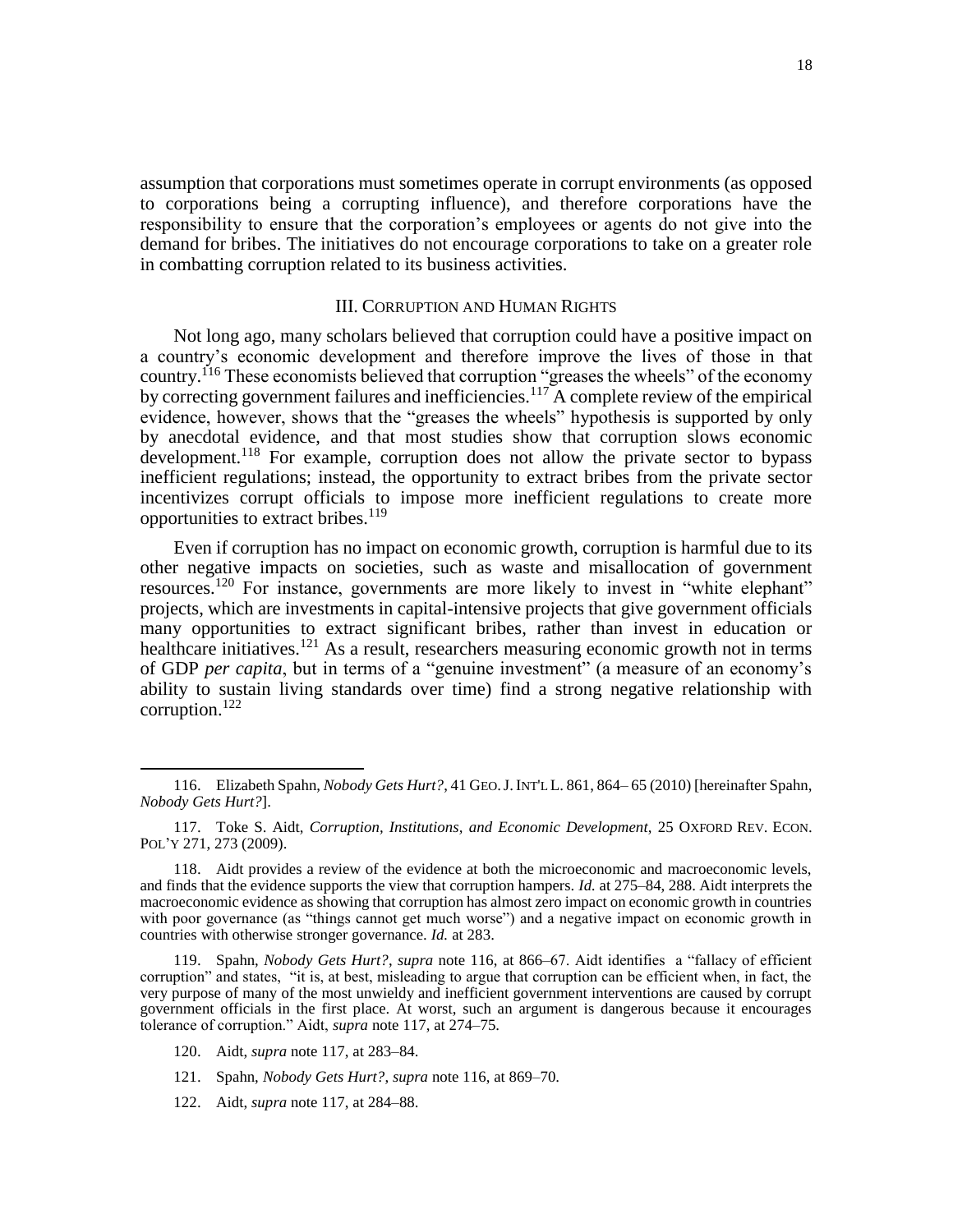assumption that corporations must sometimes operate in corrupt environments (as opposed to corporations being a corrupting influence), and therefore corporations have the responsibility to ensure that the corporation's employees or agents do not give into the demand for bribes. The initiatives do not encourage corporations to take on a greater role in combatting corruption related to its business activities.

# III. CORRUPTION AND HUMAN RIGHTS

Not long ago, many scholars believed that corruption could have a positive impact on a country's economic development and therefore improve the lives of those in that country.<sup>116</sup> These economists believed that corruption "greases the wheels" of the economy by correcting government failures and inefficiencies.<sup>117</sup> A complete review of the empirical evidence, however, shows that the "greases the wheels" hypothesis is supported by only by anecdotal evidence, and that most studies show that corruption slows economic development.<sup>118</sup> For example, corruption does not allow the private sector to bypass inefficient regulations; instead, the opportunity to extract bribes from the private sector incentivizes corrupt officials to impose more inefficient regulations to create more opportunities to extract bribes.<sup>119</sup>

Even if corruption has no impact on economic growth, corruption is harmful due to its other negative impacts on societies, such as waste and misallocation of government resources.<sup>120</sup> For instance, governments are more likely to invest in "white elephant" projects, which are investments in capital-intensive projects that give government officials many opportunities to extract significant bribes, rather than invest in education or healthcare initiatives.<sup>121</sup> As a result, researchers measuring economic growth not in terms of GDP *per capita*, but in terms of a "genuine investment" (a measure of an economy's ability to sustain living standards over time) find a strong negative relationship with corruption. $^{122}$ 

<sup>116.</sup> Elizabeth Spahn, *Nobody Gets Hurt?*, 41 GEO.J.INT'L L. 861, 864– 65 (2010) [hereinafter Spahn, *Nobody Gets Hurt?*].

<sup>117.</sup> Toke S. Aidt, *Corruption, Institutions, and Economic Development*, 25 OXFORD REV. ECON. POL'Y 271, 273 (2009).

<sup>118.</sup> Aidt provides a review of the evidence at both the microeconomic and macroeconomic levels, and finds that the evidence supports the view that corruption hampers. *Id.* at 275–84, 288. Aidt interprets the macroeconomic evidence as showing that corruption has almost zero impact on economic growth in countries with poor governance (as "things cannot get much worse") and a negative impact on economic growth in countries with otherwise stronger governance. *Id.* at 283.

<sup>119.</sup> Spahn, *Nobody Gets Hurt?*, *supra* note 116, at 866–67. Aidt identifies a "fallacy of efficient corruption" and states, "it is, at best, misleading to argue that corruption can be efficient when, in fact, the very purpose of many of the most unwieldy and inefficient government interventions are caused by corrupt government officials in the first place. At worst, such an argument is dangerous because it encourages tolerance of corruption." Aidt, *supra* note 117, at 274–75.

<sup>120.</sup> Aidt, *supra* note 117, at 283–84.

<sup>121.</sup> Spahn, *Nobody Gets Hurt?*, *supra* note 116, at 869–70.

<sup>122.</sup> Aidt, *supra* note 117, at 284–88.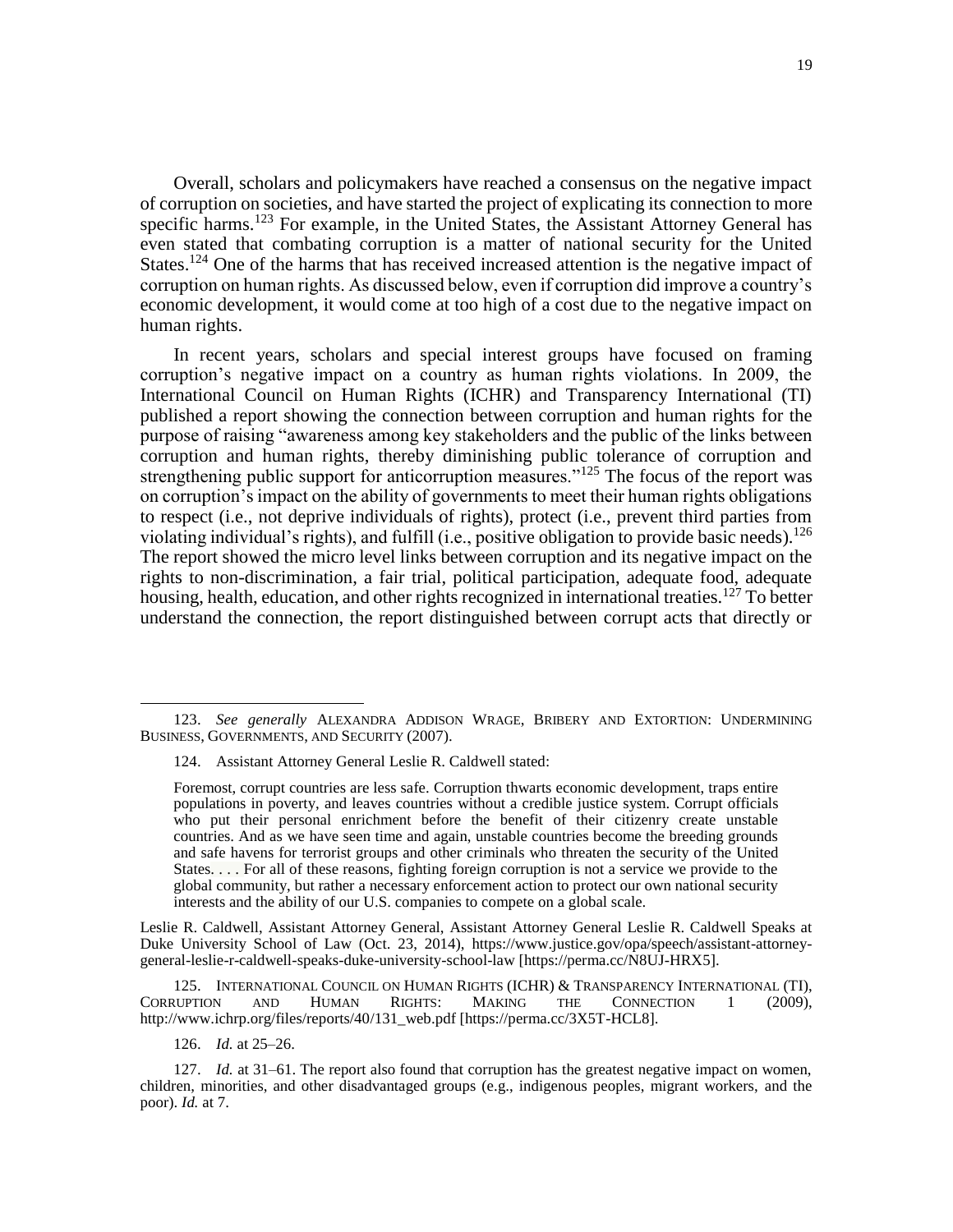Overall, scholars and policymakers have reached a consensus on the negative impact of corruption on societies, and have started the project of explicating its connection to more specific harms.<sup>123</sup> For example, in the United States, the Assistant Attorney General has even stated that combating corruption is a matter of national security for the United States.<sup>124</sup> One of the harms that has received increased attention is the negative impact of corruption on human rights. As discussed below, even if corruption did improve a country's economic development, it would come at too high of a cost due to the negative impact on human rights.

In recent years, scholars and special interest groups have focused on framing corruption's negative impact on a country as human rights violations. In 2009, the International Council on Human Rights (ICHR) and Transparency International (TI) published a report showing the connection between corruption and human rights for the purpose of raising "awareness among key stakeholders and the public of the links between corruption and human rights, thereby diminishing public tolerance of corruption and strengthening public support for anticorruption measures."<sup>125</sup> The focus of the report was on corruption's impact on the ability of governments to meet their human rights obligations to respect (i.e., not deprive individuals of rights), protect (i.e., prevent third parties from violating individual's rights), and fulfill (i.e., positive obligation to provide basic needs).<sup>126</sup> The report showed the micro level links between corruption and its negative impact on the rights to non-discrimination, a fair trial, political participation, adequate food, adequate housing, health, education, and other rights recognized in international treaties.<sup>127</sup> To better understand the connection, the report distinguished between corrupt acts that directly or

124. Assistant Attorney General Leslie R. Caldwell stated:

Leslie R. Caldwell, Assistant Attorney General, Assistant Attorney General Leslie R. Caldwell Speaks at Duke University School of Law (Oct. 23, 2014), https://www.justice.gov/opa/speech/assistant-attorneygeneral-leslie-r-caldwell-speaks-duke-university-school-law [https://perma.cc/N8UJ-HRX5].

125. INTERNATIONAL COUNCIL ON HUMAN RIGHTS (ICHR) & TRANSPARENCY INTERNATIONAL (TI),<br>CORRUPTION AND HUMAN RIGHTS: MAKING THE CONNECTION 1 (2009), AND HUMAN RIGHTS: MAKING THE CONNECTION 1 (2009), http://www.ichrp.org/files/reports/40/131\_web.pdf [https://perma.cc/3X5T-HCL8].

126. *Id.* at 25–26.

 $\overline{\phantom{a}}$ 

127. *Id.* at 31–61. The report also found that corruption has the greatest negative impact on women, children, minorities, and other disadvantaged groups (e.g., indigenous peoples, migrant workers, and the poor). *Id.* at 7.

<sup>123.</sup> *See generally* ALEXANDRA ADDISON WRAGE, BRIBERY AND EXTORTION: UNDERMINING BUSINESS, GOVERNMENTS, AND SECURITY (2007).

Foremost, corrupt countries are less safe. Corruption thwarts economic development, traps entire populations in poverty, and leaves countries without a credible justice system. Corrupt officials who put their personal enrichment before the benefit of their citizenry create unstable countries. And as we have seen time and again, unstable countries become the breeding grounds and safe havens for terrorist groups and other criminals who threaten the security of the United States. . . . For all of these reasons, fighting foreign corruption is not a service we provide to the global community, but rather a necessary enforcement action to protect our own national security interests and the ability of our U.S. companies to compete on a global scale.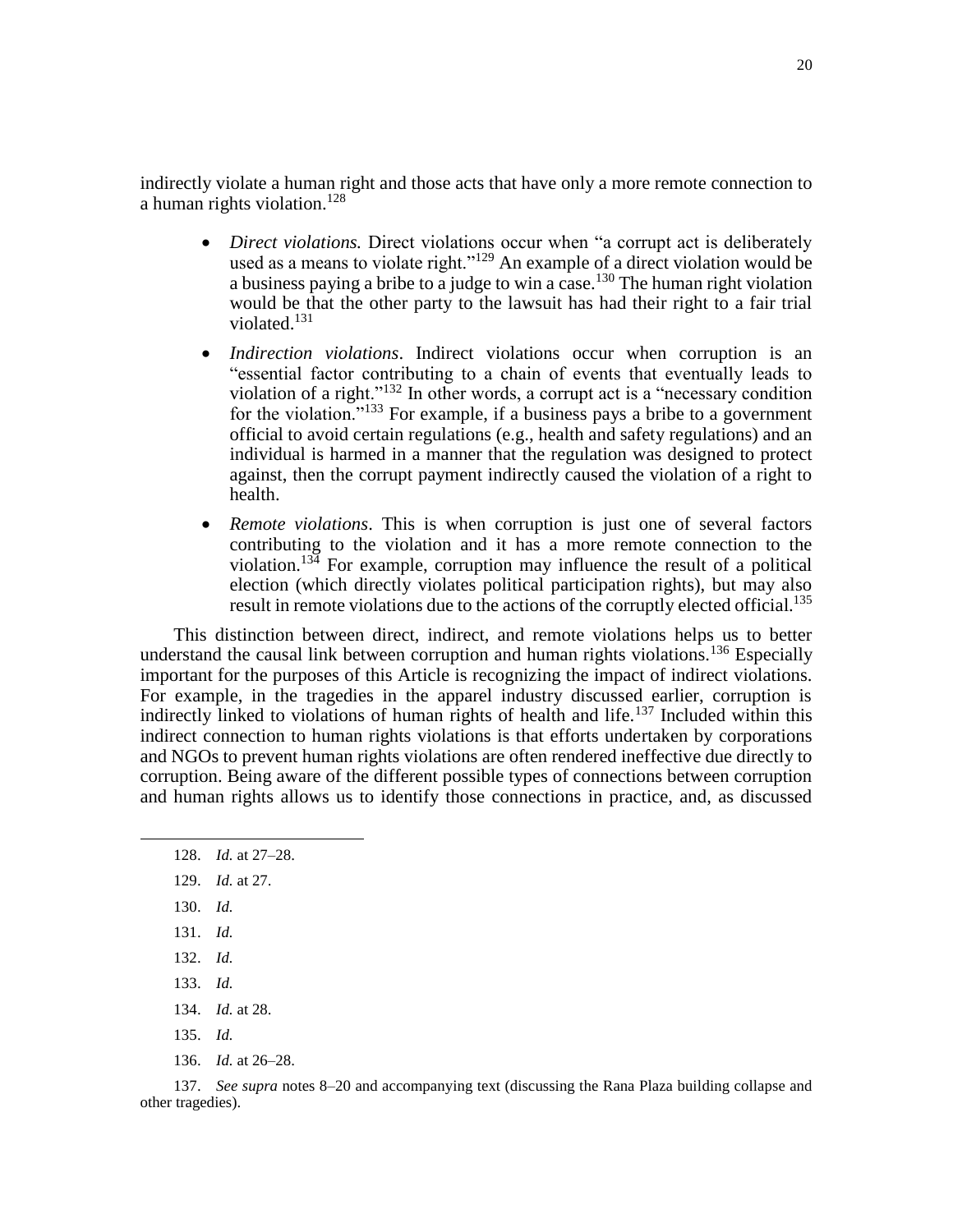indirectly violate a human right and those acts that have only a more remote connection to a human rights violation.<sup>128</sup>

- *Direct violations.* Direct violations occur when "a corrupt act is deliberately used as a means to violate right."<sup>129</sup> An example of a direct violation would be a business paying a bribe to a judge to win a case.<sup>130</sup> The human right violation would be that the other party to the lawsuit has had their right to a fair trial violated.<sup>131</sup>
- *Indirection violations*. Indirect violations occur when corruption is an "essential factor contributing to a chain of events that eventually leads to violation of a right."<sup>132</sup> In other words, a corrupt act is a "necessary condition for the violation."<sup>133</sup> For example, if a business pays a bribe to a government official to avoid certain regulations (e.g., health and safety regulations) and an individual is harmed in a manner that the regulation was designed to protect against, then the corrupt payment indirectly caused the violation of a right to health.
- *Remote violations*. This is when corruption is just one of several factors contributing to the violation and it has a more remote connection to the violation.<sup>134</sup> For example, corruption may influence the result of a political election (which directly violates political participation rights), but may also result in remote violations due to the actions of the corruptly elected official.<sup>135</sup>

This distinction between direct, indirect, and remote violations helps us to better understand the causal link between corruption and human rights violations.<sup>136</sup> Especially important for the purposes of this Article is recognizing the impact of indirect violations. For example, in the tragedies in the apparel industry discussed earlier, corruption is indirectly linked to violations of human rights of health and life.<sup>137</sup> Included within this indirect connection to human rights violations is that efforts undertaken by corporations and NGOs to prevent human rights violations are often rendered ineffective due directly to corruption. Being aware of the different possible types of connections between corruption and human rights allows us to identify those connections in practice, and, as discussed

- 128. *Id.* at 27–28.
- 129. *Id.* at 27.
- 130. *Id.*

 $\overline{\phantom{a}}$ 

- 131. *Id.*
- 132. *Id.*
- 133. *Id.*
- 134. *Id.* at 28.
- 135. *Id.*
- 136. *Id.* at 26–28.

137. *See supra* notes [8–](#page-3-0)20 and accompanying text (discussing the Rana Plaza building collapse and other tragedies).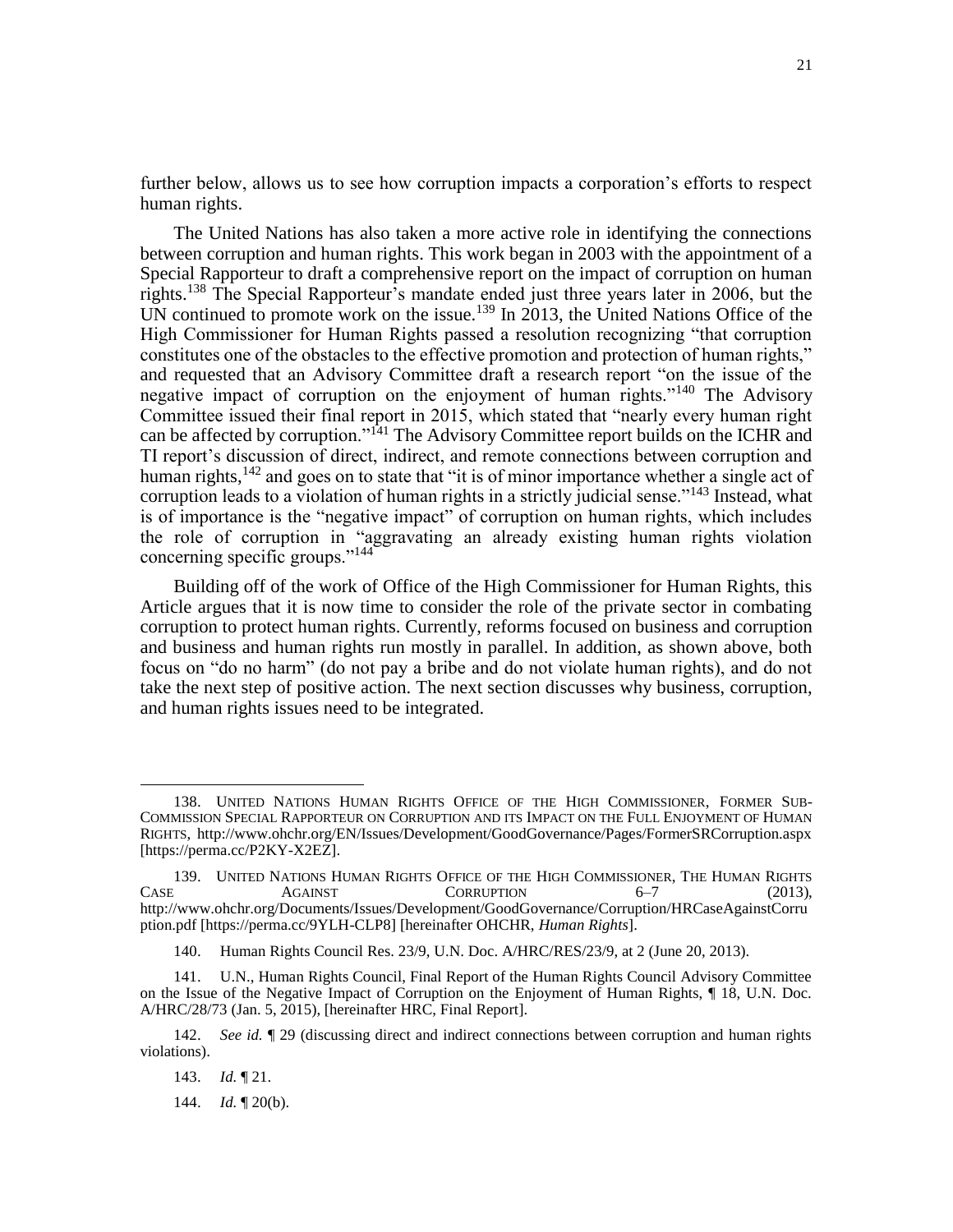further below, allows us to see how corruption impacts a corporation's efforts to respect human rights.

The United Nations has also taken a more active role in identifying the connections between corruption and human rights. This work began in 2003 with the appointment of a Special Rapporteur to draft a comprehensive report on the impact of corruption on human rights.<sup>138</sup> The Special Rapporteur's mandate ended just three years later in 2006, but the UN continued to promote work on the issue.<sup>139</sup> In 2013, the United Nations Office of the High Commissioner for Human Rights passed a resolution recognizing "that corruption constitutes one of the obstacles to the effective promotion and protection of human rights," and requested that an Advisory Committee draft a research report "on the issue of the negative impact of corruption on the enjoyment of human rights."<sup>140</sup> The Advisory Committee issued their final report in 2015, which stated that "nearly every human right can be affected by corruption."<sup>141</sup> The Advisory Committee report builds on the ICHR and TI report's discussion of direct, indirect, and remote connections between corruption and human rights,<sup>142</sup> and goes on to state that "it is of minor importance whether a single act of corruption leads to a violation of human rights in a strictly judicial sense."<sup>143</sup> Instead, what is of importance is the "negative impact" of corruption on human rights, which includes the role of corruption in "aggravating an already existing human rights violation concerning specific groups."<sup>144</sup>

Building off of the work of Office of the High Commissioner for Human Rights, this Article argues that it is now time to consider the role of the private sector in combating corruption to protect human rights. Currently, reforms focused on business and corruption and business and human rights run mostly in parallel. In addition, as shown above, both focus on "do no harm" (do not pay a bribe and do not violate human rights), and do not take the next step of positive action. The next section discusses why business, corruption, and human rights issues need to be integrated.

<sup>138.</sup> UNITED NATIONS HUMAN RIGHTS OFFICE OF THE HIGH COMMISSIONER, FORMER SUB-COMMISSION SPECIAL RAPPORTEUR ON CORRUPTION AND ITS IMPACT ON THE FULL ENJOYMENT OF HUMAN RIGHTS,<http://www.ohchr.org/EN/Issues/Development/GoodGovernance/Pages/FormerSRCorruption.aspx> [https://perma.cc/P2KY-X2EZ].

<sup>139.</sup> UNITED NATIONS HUMAN RIGHTS OFFICE OF THE HIGH COMMISSIONER, THE HUMAN RIGHTS<br>CORRUPTION 6-7 (2013).  $CORRUPTION$  6–7 (2013), [http://www.ohchr.org/Documents/Issues/Development/GoodGovernance/Corruption/HRCaseAgainstCorru](http://www.ohchr.org/Documents/Issues/Development/GoodGovernance/Corruption/HRCaseAgainstCorruption.pdf) [ption.pdf](http://www.ohchr.org/Documents/Issues/Development/GoodGovernance/Corruption/HRCaseAgainstCorruption.pdf) [https://perma.cc/9YLH-CLP8] [hereinafter OHCHR, *Human Rights*].

<sup>140.</sup> Human Rights Council Res. 23/9, U.N. Doc. A/HRC/RES/23/9, at 2 (June 20, 2013).

<sup>141.</sup> U.N., Human Rights Council, Final Report of the Human Rights Council Advisory Committee on the Issue of the Negative Impact of Corruption on the Enjoyment of Human Rights, ¶ 18, U.N. Doc. A/HRC/28/73 (Jan. 5, 2015), [hereinafter HRC, Final Report].

<sup>142.</sup> *See id.* ¶ 29 (discussing direct and indirect connections between corruption and human rights violations).

<sup>143.</sup> *Id.* ¶ 21.

<sup>144.</sup> *Id.* ¶ 20(b).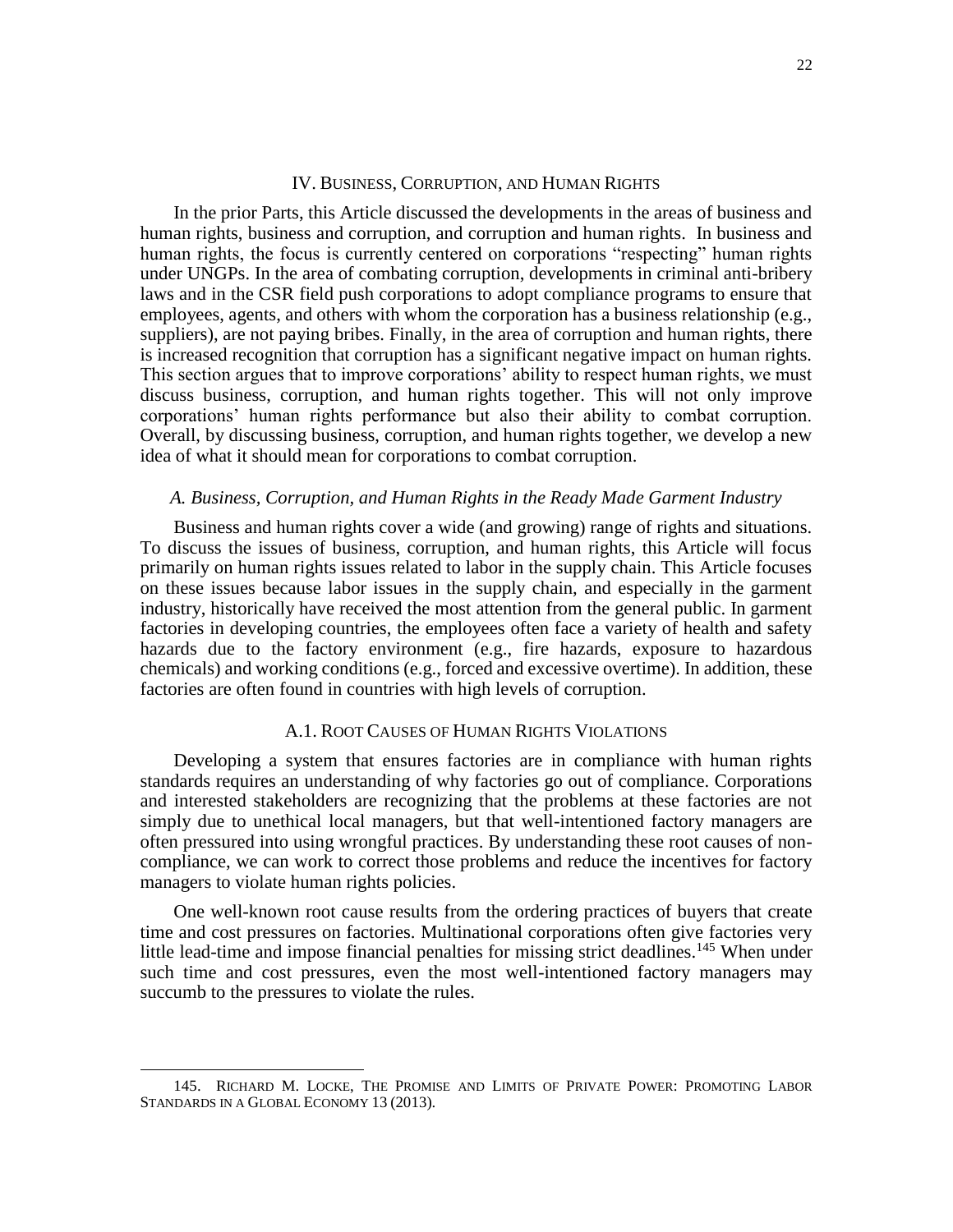#### IV. BUSINESS, CORRUPTION, AND HUMAN RIGHTS

In the prior Parts, this Article discussed the developments in the areas of business and human rights, business and corruption, and corruption and human rights. In business and human rights, the focus is currently centered on corporations "respecting" human rights under UNGPs. In the area of combating corruption, developments in criminal anti-bribery laws and in the CSR field push corporations to adopt compliance programs to ensure that employees, agents, and others with whom the corporation has a business relationship (e.g., suppliers), are not paying bribes. Finally, in the area of corruption and human rights, there is increased recognition that corruption has a significant negative impact on human rights. This section argues that to improve corporations' ability to respect human rights, we must discuss business, corruption, and human rights together. This will not only improve corporations' human rights performance but also their ability to combat corruption. Overall, by discussing business, corruption, and human rights together, we develop a new idea of what it should mean for corporations to combat corruption.

# *A. Business, Corruption, and Human Rights in the Ready Made Garment Industry*

Business and human rights cover a wide (and growing) range of rights and situations. To discuss the issues of business, corruption, and human rights, this Article will focus primarily on human rights issues related to labor in the supply chain. This Article focuses on these issues because labor issues in the supply chain, and especially in the garment industry, historically have received the most attention from the general public. In garment factories in developing countries, the employees often face a variety of health and safety hazards due to the factory environment (e.g., fire hazards, exposure to hazardous chemicals) and working conditions (e.g., forced and excessive overtime). In addition, these factories are often found in countries with high levels of corruption.

### A.1. ROOT CAUSES OF HUMAN RIGHTS VIOLATIONS

Developing a system that ensures factories are in compliance with human rights standards requires an understanding of why factories go out of compliance. Corporations and interested stakeholders are recognizing that the problems at these factories are not simply due to unethical local managers, but that well-intentioned factory managers are often pressured into using wrongful practices. By understanding these root causes of noncompliance, we can work to correct those problems and reduce the incentives for factory managers to violate human rights policies.

One well-known root cause results from the ordering practices of buyers that create time and cost pressures on factories. Multinational corporations often give factories very little lead-time and impose financial penalties for missing strict deadlines.<sup>145</sup> When under such time and cost pressures, even the most well-intentioned factory managers may succumb to the pressures to violate the rules.

<sup>145.</sup> RICHARD M. LOCKE, THE PROMISE AND LIMITS OF PRIVATE POWER: PROMOTING LABOR STANDARDS IN A GLOBAL ECONOMY 13 (2013).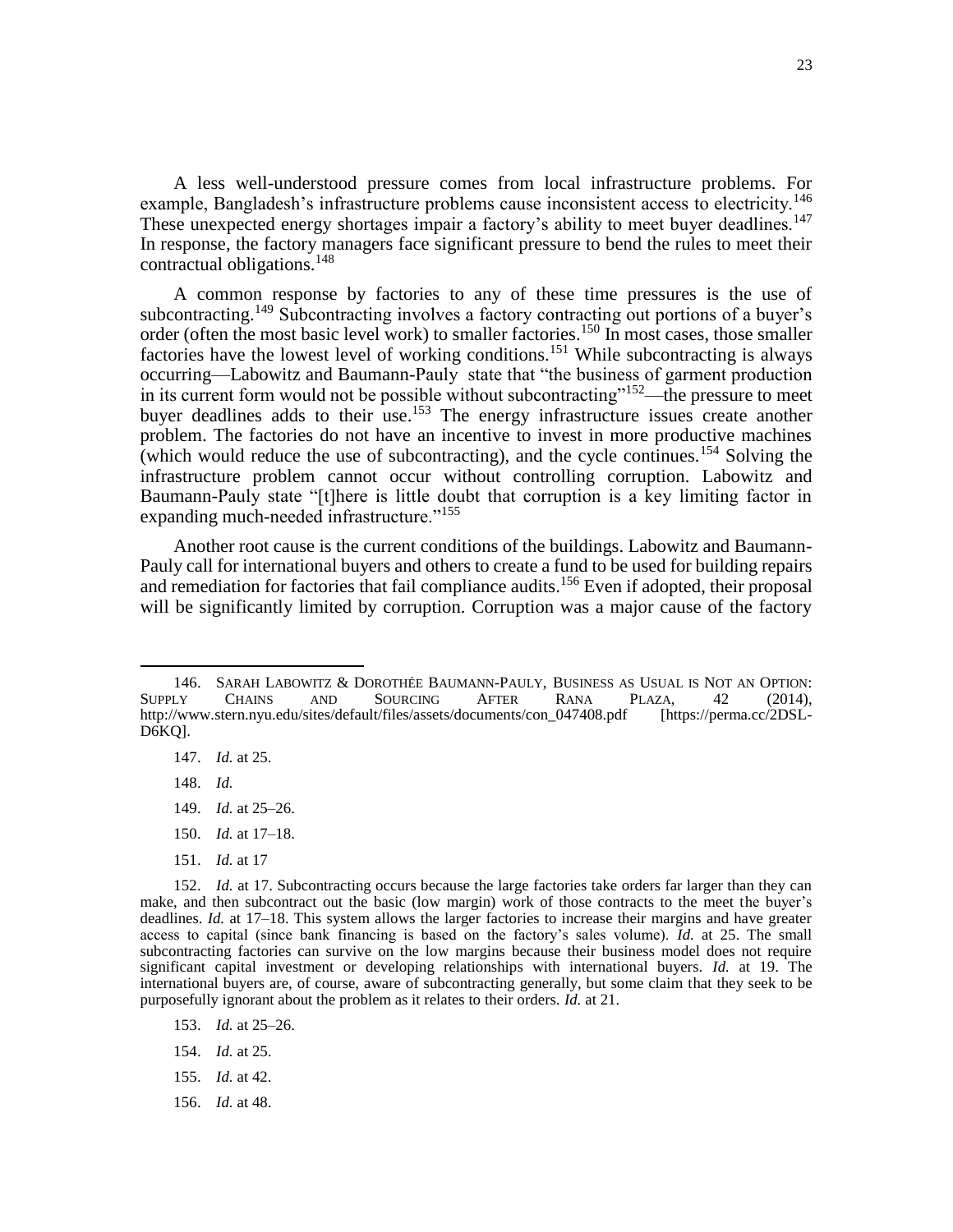A less well-understood pressure comes from local infrastructure problems. For example, Bangladesh's infrastructure problems cause inconsistent access to electricity.<sup>146</sup> These unexpected energy shortages impair a factory's ability to meet buyer deadlines.<sup>147</sup> In response, the factory managers face significant pressure to bend the rules to meet their contractual obligations.<sup>148</sup>

A common response by factories to any of these time pressures is the use of subcontracting.<sup>149</sup> Subcontracting involves a factory contracting out portions of a buyer's order (often the most basic level work) to smaller factories.<sup>150</sup> In most cases, those smaller factories have the lowest level of working conditions.<sup>151</sup> While subcontracting is always occurring—Labowitz and Baumann-Pauly state that "the business of garment production in its current form would not be possible without subcontracting"<sup>152</sup>—the pressure to meet buyer deadlines adds to their use.<sup>153</sup> The energy infrastructure issues create another problem. The factories do not have an incentive to invest in more productive machines (which would reduce the use of subcontracting), and the cycle continues.<sup>154</sup> Solving the infrastructure problem cannot occur without controlling corruption. Labowitz and Baumann-Pauly state "[t]here is little doubt that corruption is a key limiting factor in expanding much-needed infrastructure."<sup>155</sup>

Another root cause is the current conditions of the buildings. Labowitz and Baumann-Pauly call for international buyers and others to create a fund to be used for building repairs and remediation for factories that fail compliance audits.<sup>156</sup> Even if adopted, their proposal will be significantly limited by corruption. Corruption was a major cause of the factory

148. *Id.*

- 149. *Id.* at 25–26.
- 150. *Id.* at 17–18.
- 151. *Id.* at 17

- 153. *Id.* at 25–26.
- 154. *Id.* at 25.
- 155. *Id.* at 42.
- 156. *Id.* at 48.

<sup>146.</sup> SARAH LABOWITZ & DOROTHÉE BAUMANN-PAULY, BUSINESS AS USUAL IS NOT AN OPTION: SUPPLY CHAINS AND SOURCING AFTER RANA PLAZA, 42 (2014), [http://www.stern.nyu.edu/sites/default/files/assets/documents/con\\_047408.pdf](http://www.stern.nyu.edu/sites/default/files/assets/documents/con_047408.pdf) [https://perma.cc/2DSL-D6KQ].

<sup>147.</sup> *Id.* at 25.

<sup>152.</sup> *Id.* at 17. Subcontracting occurs because the large factories take orders far larger than they can make, and then subcontract out the basic (low margin) work of those contracts to the meet the buyer's deadlines. *Id.* at 17–18. This system allows the larger factories to increase their margins and have greater access to capital (since bank financing is based on the factory's sales volume). *Id.* at 25. The small subcontracting factories can survive on the low margins because their business model does not require significant capital investment or developing relationships with international buyers. *Id.* at 19. The international buyers are, of course, aware of subcontracting generally, but some claim that they seek to be purposefully ignorant about the problem as it relates to their orders. *Id.* at 21.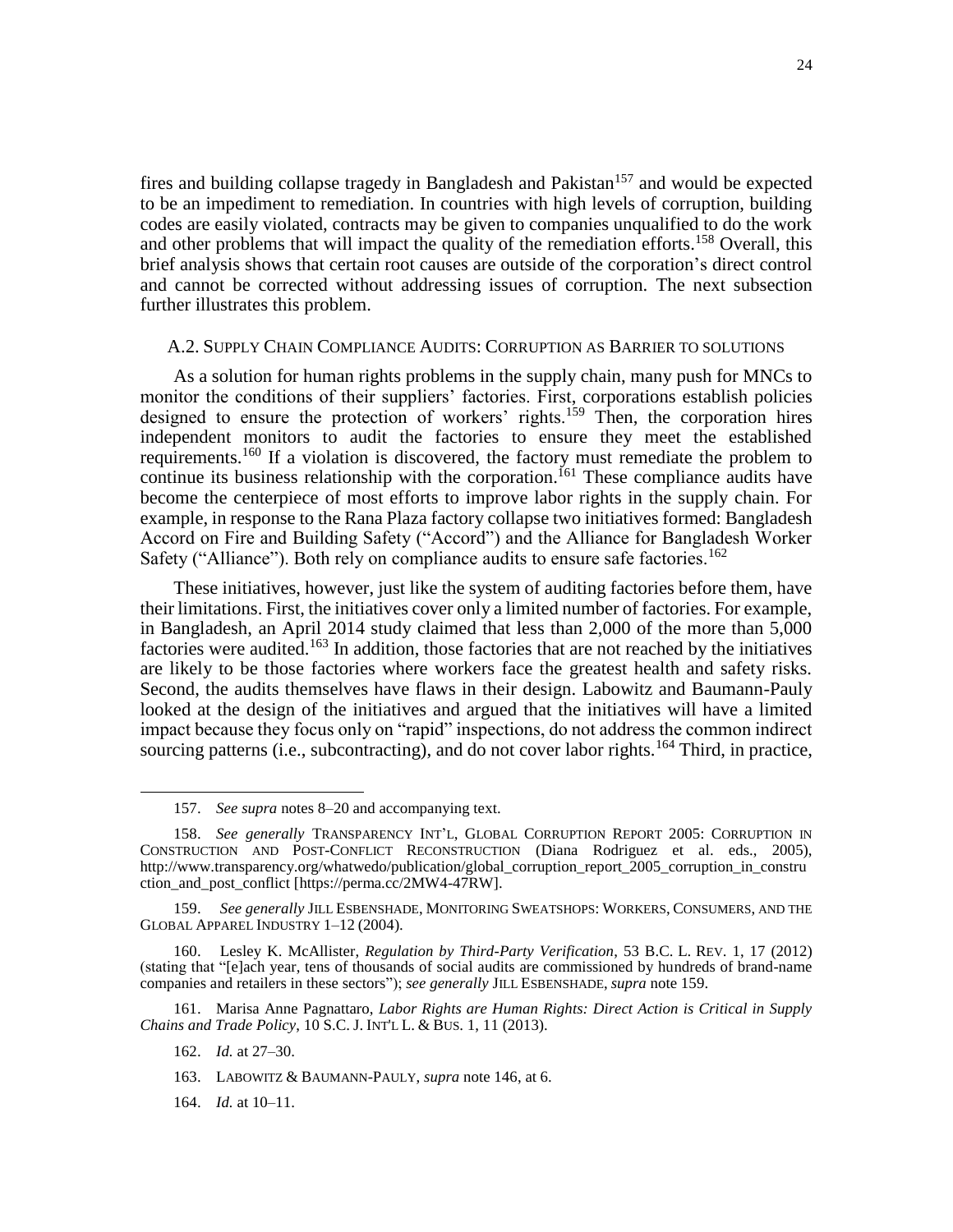fires and building collapse tragedy in Bangladesh and Pakistan<sup>157</sup> and would be expected to be an impediment to remediation. In countries with high levels of corruption, building codes are easily violated, contracts may be given to companies unqualified to do the work and other problems that will impact the quality of the remediation efforts.<sup>158</sup> Overall, this brief analysis shows that certain root causes are outside of the corporation's direct control and cannot be corrected without addressing issues of corruption. The next subsection further illustrates this problem.

#### A.2. SUPPLY CHAIN COMPLIANCE AUDITS: CORRUPTION AS BARRIER TO SOLUTIONS

As a solution for human rights problems in the supply chain, many push for MNCs to monitor the conditions of their suppliers' factories. First, corporations establish policies designed to ensure the protection of workers' rights.<sup>159</sup> Then, the corporation hires independent monitors to audit the factories to ensure they meet the established requirements.<sup>160</sup> If a violation is discovered, the factory must remediate the problem to continue its business relationship with the corporation.<sup>[61</sup> These compliance audits have become the centerpiece of most efforts to improve labor rights in the supply chain. For example, in response to the Rana Plaza factory collapse two initiatives formed: Bangladesh Accord on Fire and Building Safety ("Accord") and the Alliance for Bangladesh Worker Safety ("Alliance"). Both rely on compliance audits to ensure safe factories.<sup>162</sup>

These initiatives, however, just like the system of auditing factories before them, have their limitations. First, the initiatives cover only a limited number of factories. For example, in Bangladesh, an April 2014 study claimed that less than 2,000 of the more than 5,000 factories were audited.<sup>163</sup> In addition, those factories that are not reached by the initiatives are likely to be those factories where workers face the greatest health and safety risks. Second, the audits themselves have flaws in their design. Labowitz and Baumann-Pauly looked at the design of the initiatives and argued that the initiatives will have a limited impact because they focus only on "rapid" inspections, do not address the common indirect sourcing patterns (i.e., subcontracting), and do not cover labor rights.<sup>164</sup> Third, in practice,

161. Marisa Anne Pagnattaro, *Labor Rights are Human Rights: Direct Action is Critical in Supply Chains and Trade Policy*, 10 S.C. J. INT'L L. & BUS. 1, 11 (2013).

 $\overline{\phantom{a}}$ 

164. *Id.* at 10–11.

<sup>157.</sup> *See supra* notes [8–](#page-3-0)20 and accompanying text.

<sup>158.</sup> *See generally* TRANSPARENCY INT'L, GLOBAL CORRUPTION REPORT 2005: CORRUPTION IN CONSTRUCTION AND POST-CONFLICT RECONSTRUCTION (Diana Rodriguez et al. eds., 2005), [http://www.transparency.org/whatwedo/publication/global\\_corruption\\_report\\_2005\\_corruption\\_in\\_constru](http://www.transparency.org/whatwedo/publication/global_corruption_report_2005_corruption_in_construction_and_post_conflict) [ction\\_and\\_post\\_conflict](http://www.transparency.org/whatwedo/publication/global_corruption_report_2005_corruption_in_construction_and_post_conflict) [https://perma.cc/2MW4-47RW].

<sup>159.</sup> *See generally* JILL ESBENSHADE, MONITORING SWEATSHOPS: WORKERS, CONSUMERS, AND THE GLOBAL APPAREL INDUSTRY 1–12 (2004).

<sup>160.</sup> Lesley K. McAllister, *Regulation by Third-Party Verification*, 53 B.C. L. REV. 1, 17 (2012) (stating that "[e]ach year, tens of thousands of social audits are commissioned by hundreds of brand-name companies and retailers in these sectors"); *see generally* JILL ESBENSHADE, *supra* note 159.

<sup>162.</sup> *Id.* at 27–30.

<sup>163.</sup> LABOWITZ & BAUMANN-PAULY, *supra* note 146, at 6.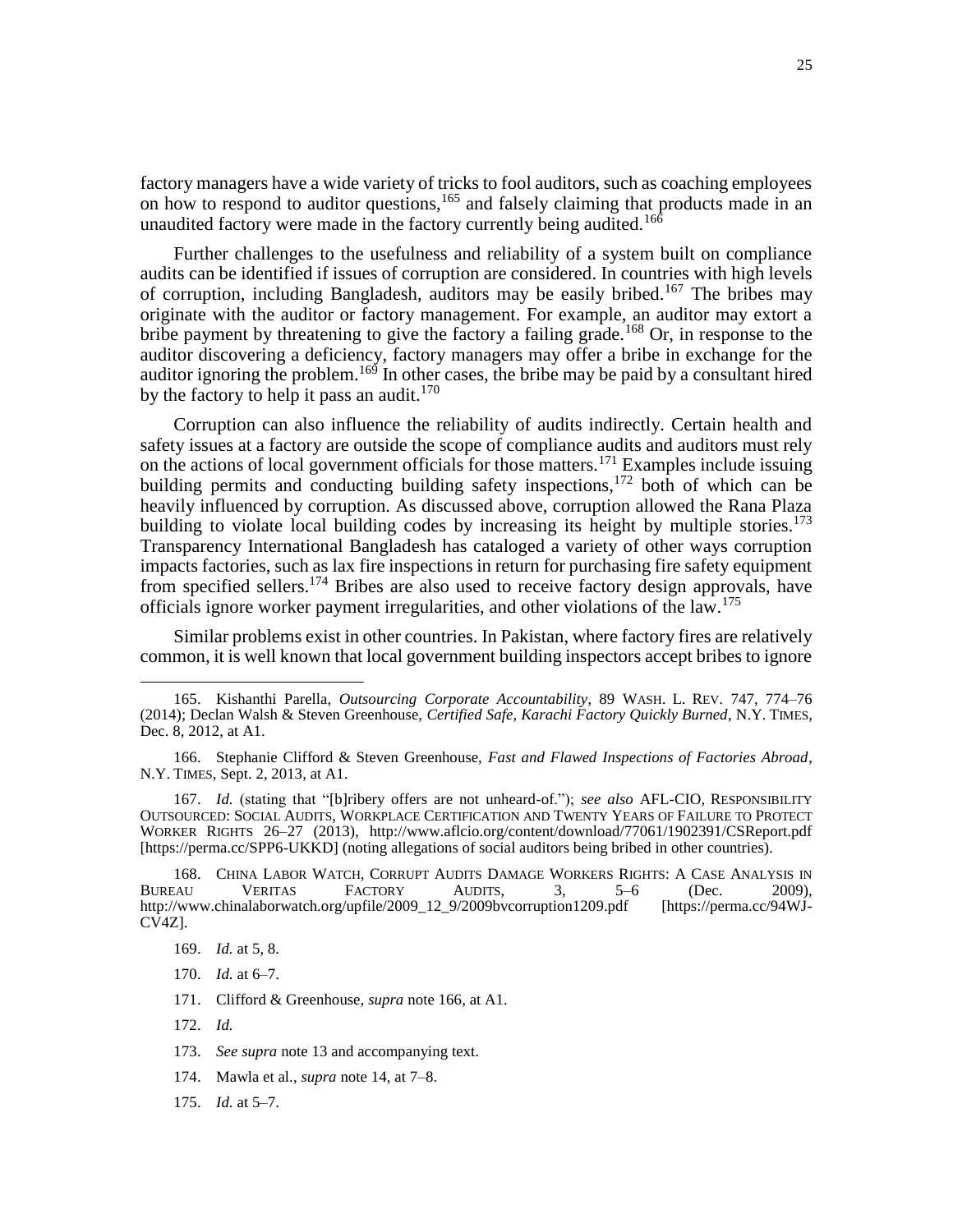factory managers have a wide variety of tricks to fool auditors, such as coaching employees on how to respond to auditor questions,<sup>165</sup> and falsely claiming that products made in an unaudited factory were made in the factory currently being audited.<sup>166</sup>

Further challenges to the usefulness and reliability of a system built on compliance audits can be identified if issues of corruption are considered. In countries with high levels of corruption, including Bangladesh, auditors may be easily bribed.<sup>167</sup> The bribes may originate with the auditor or factory management. For example, an auditor may extort a bribe payment by threatening to give the factory a failing grade.<sup>168</sup> Or, in response to the auditor discovering a deficiency, factory managers may offer a bribe in exchange for the auditor ignoring the problem.<sup>169</sup> In other cases, the bribe may be paid by a consultant hired by the factory to help it pass an audit. $170$ 

Corruption can also influence the reliability of audits indirectly. Certain health and safety issues at a factory are outside the scope of compliance audits and auditors must rely on the actions of local government officials for those matters.<sup>171</sup> Examples include issuing building permits and conducting building safety inspections,<sup>172</sup> both of which can be heavily influenced by corruption. As discussed above, corruption allowed the Rana Plaza building to violate local building codes by increasing its height by multiple stories.<sup>173</sup> Transparency International Bangladesh has cataloged a variety of other ways corruption impacts factories, such as lax fire inspections in return for purchasing fire safety equipment from specified sellers.<sup>174</sup> Bribes are also used to receive factory design approvals, have officials ignore worker payment irregularities, and other violations of the law.<sup>175</sup>

Similar problems exist in other countries. In Pakistan, where factory fires are relatively common, it is well known that local government building inspectors accept bribes to ignore

167. *Id.* (stating that "[b]ribery offers are not unheard-of."); *see also* AFL-CIO, RESPONSIBILITY OUTSOURCED: SOCIAL AUDITS, WORKPLACE CERTIFICATION AND TWENTY YEARS OF FAILURE TO PROTECT WORKER RIGHTS 26–27 (2013), <http://www.aflcio.org/content/download/77061/1902391/CSReport.pdf> [https://perma.cc/SPP6-UKKD] (noting allegations of social auditors being bribed in other countries).

168. CHINA LABOR WATCH, CORRUPT AUDITS DAMAGE WORKERS RIGHTS: A CASE ANALYSIS IN BUREAU VERITAS FACTORY AUDITS, 3, 5–6 (Dec. 2009), [http://www.chinalaborwatch.org/upfile/2009\\_12\\_9/2009bvcorruption1209.pdf](http://www.chinalaborwatch.org/upfile/2009_12_9/2009bvcorruption1209.pdf) [https://perma.cc/94WJ-CV4Z].

- 170. *Id.* at 6–7.
- 171. Clifford & Greenhouse, *supra* note 166, at A1.
- 172. *Id.*

- 173. *See supra* note 13 and accompanying text.
- 174. Mawla et al., *supra* note 14, at 7–8.
- 175. *Id.* at 5–7.

<sup>165.</sup> Kishanthi Parella, *Outsourcing Corporate Accountability*, 89 WASH. L. REV. 747, 774–76 (2014); Declan Walsh & Steven Greenhouse, *Certified Safe, Karachi Factory Quickly Burned*, N.Y. TIMES, Dec. 8, 2012, at A1.

<sup>166.</sup> Stephanie Clifford & Steven Greenhouse, *Fast and Flawed Inspections of Factories Abroad*, N.Y. TIMES, Sept. 2, 2013, at A1.

<sup>169.</sup> *Id.* at 5, 8.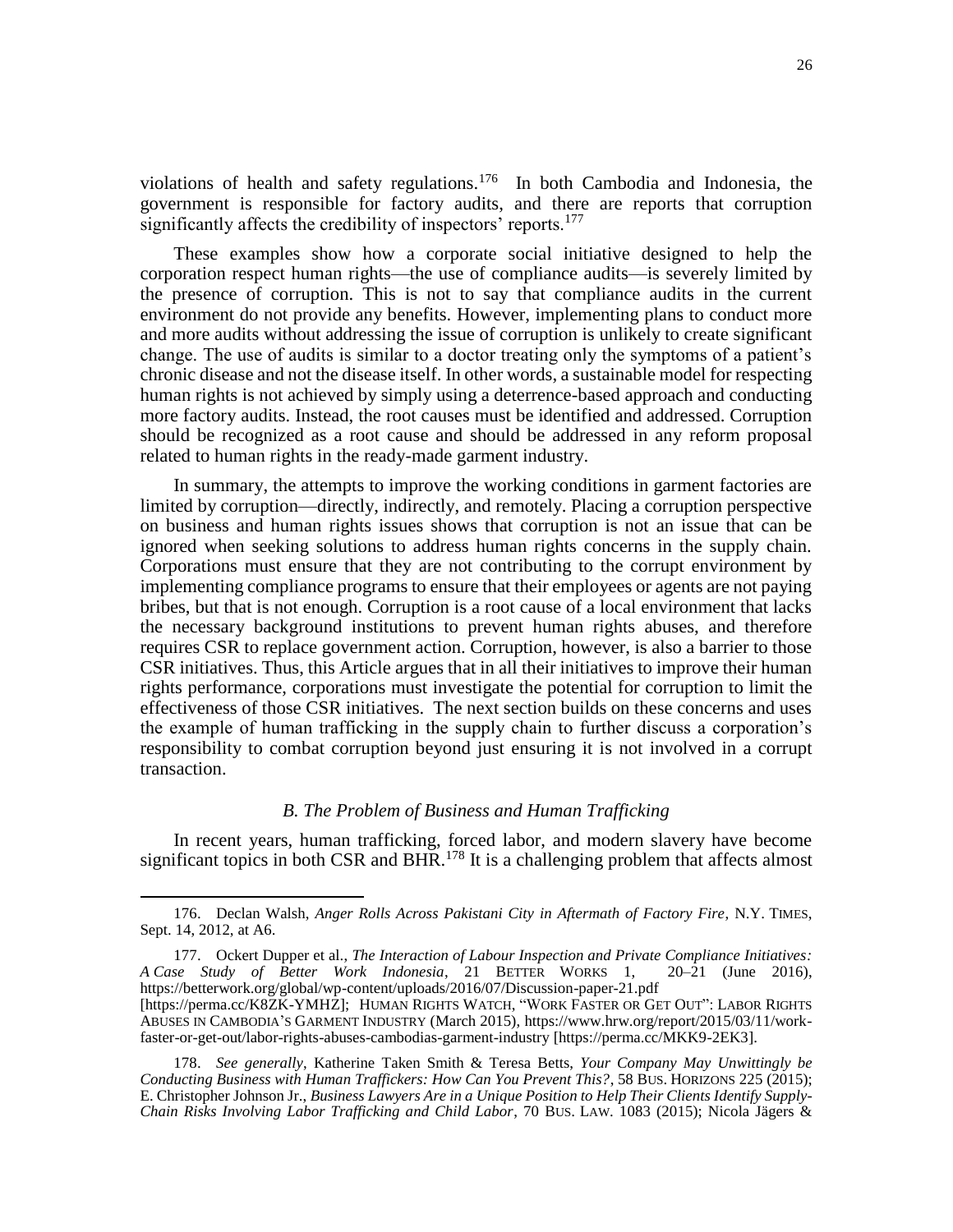violations of health and safety regulations.<sup>176</sup> In both Cambodia and Indonesia, the government is responsible for factory audits, and there are reports that corruption significantly affects the credibility of inspectors' reports.<sup>177</sup>

These examples show how a corporate social initiative designed to help the corporation respect human rights—the use of compliance audits—is severely limited by the presence of corruption. This is not to say that compliance audits in the current environment do not provide any benefits. However, implementing plans to conduct more and more audits without addressing the issue of corruption is unlikely to create significant change. The use of audits is similar to a doctor treating only the symptoms of a patient's chronic disease and not the disease itself. In other words, a sustainable model for respecting human rights is not achieved by simply using a deterrence-based approach and conducting more factory audits. Instead, the root causes must be identified and addressed. Corruption should be recognized as a root cause and should be addressed in any reform proposal related to human rights in the ready-made garment industry.

In summary, the attempts to improve the working conditions in garment factories are limited by corruption—directly, indirectly, and remotely. Placing a corruption perspective on business and human rights issues shows that corruption is not an issue that can be ignored when seeking solutions to address human rights concerns in the supply chain. Corporations must ensure that they are not contributing to the corrupt environment by implementing compliance programs to ensure that their employees or agents are not paying bribes, but that is not enough. Corruption is a root cause of a local environment that lacks the necessary background institutions to prevent human rights abuses, and therefore requires CSR to replace government action. Corruption, however, is also a barrier to those CSR initiatives. Thus, this Article argues that in all their initiatives to improve their human rights performance, corporations must investigate the potential for corruption to limit the effectiveness of those CSR initiatives. The next section builds on these concerns and uses the example of human trafficking in the supply chain to further discuss a corporation's responsibility to combat corruption beyond just ensuring it is not involved in a corrupt transaction.

## *B. The Problem of Business and Human Trafficking*

In recent years, human trafficking, forced labor, and modern slavery have become significant topics in both CSR and BHR.<sup>178</sup> It is a challenging problem that affects almost

<sup>176.</sup> Declan Walsh, *Anger Rolls Across Pakistani City in Aftermath of Factory Fire*, N.Y. TIMES, Sept. 14, 2012, at A6.

<sup>177.</sup> Ockert Dupper et al., *The Interaction of Labour Inspection and Private Compliance Initiatives:*  $se$  *Study of Better Work Indonesia*, 21 BETTER WORKS 1, 20–21 (June 2016), A *Case Study of Better Work Indonesia*, 21 BETTER WORKS 1, <https://betterwork.org/global/wp-content/uploads/2016/07/Discussion-paper-21.pdf>

<sup>[</sup>https://perma.cc/K8ZK-YMHZ]; HUMAN RIGHTS WATCH, "WORK FASTER OR GET OUT": LABOR RIGHTS ABUSES IN CAMBODIA'S GARMENT INDUSTRY (March 2015), [https://www.hrw.org/report/2015/03/11/work](https://www.hrw.org/report/2015/03/11/work-faster-or-get-out/labor-rights-abuses-cambodias-garment-industry)[faster-or-get-out/labor-rights-abuses-cambodias-garment-industry](https://www.hrw.org/report/2015/03/11/work-faster-or-get-out/labor-rights-abuses-cambodias-garment-industry) [https://perma.cc/MKK9-2EK3].

<sup>178.</sup> *See generally*, Katherine Taken Smith & Teresa Betts, *Your Company May Unwittingly be Conducting Business with Human Traffickers: How Can You Prevent This?*, 58 BUS. HORIZONS 225 (2015); E. Christopher Johnson Jr., *Business Lawyers Are in a Unique Position to Help Their Clients Identify Supply-Chain Risks Involving Labor Trafficking and Child Labor*, 70 BUS. LAW. 1083 (2015); Nicola Jägers &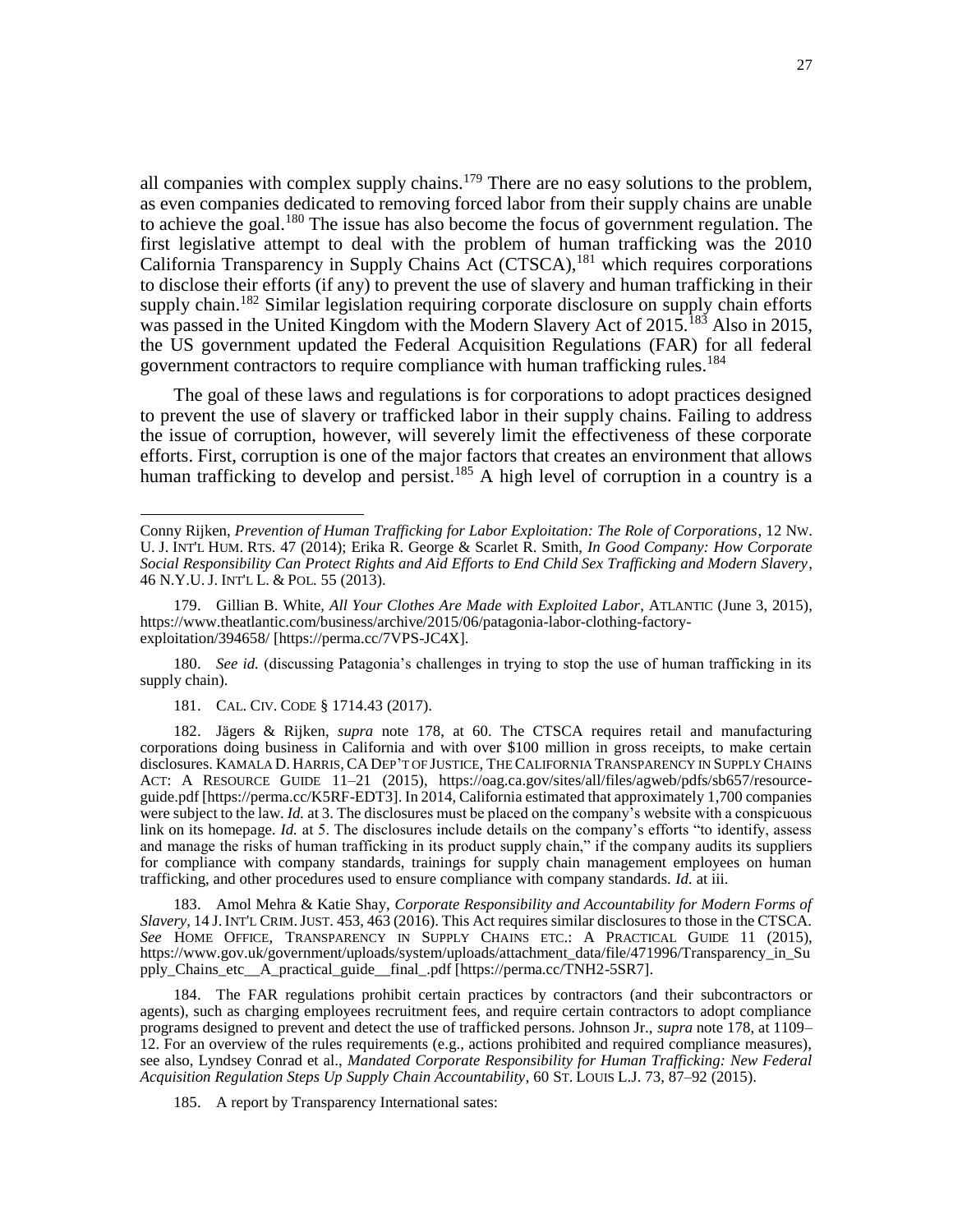all companies with complex supply chains.<sup>179</sup> There are no easy solutions to the problem, as even companies dedicated to removing forced labor from their supply chains are unable to achieve the goal.<sup>180</sup> The issue has also become the focus of government regulation. The first legislative attempt to deal with the problem of human trafficking was the 2010 California Transparency in Supply Chains Act  $(CTSCA)$ , <sup>181</sup> which requires corporations to disclose their efforts (if any) to prevent the use of slavery and human trafficking in their supply chain.<sup>182</sup> Similar legislation requiring corporate disclosure on supply chain efforts was passed in the United Kingdom with the Modern Slavery Act of 2015.<sup>183</sup> Also in 2015, the US government updated the Federal Acquisition Regulations (FAR) for all federal government contractors to require compliance with human trafficking rules.<sup>184</sup>

The goal of these laws and regulations is for corporations to adopt practices designed to prevent the use of slavery or trafficked labor in their supply chains. Failing to address the issue of corruption, however, will severely limit the effectiveness of these corporate efforts. First, corruption is one of the major factors that creates an environment that allows human trafficking to develop and persist.<sup>185</sup> A high level of corruption in a country is a

180. *See id.* (discussing Patagonia's challenges in trying to stop the use of human trafficking in its supply chain).

181. CAL. CIV. CODE § 1714.43 (2017).

 $\overline{\phantom{a}}$ 

182. Jägers & Rijken, *supra* note 178, at 60. The CTSCA requires retail and manufacturing corporations doing business in California and with over \$100 million in gross receipts, to make certain disclosures. KAMALA D. HARRIS, CA DEP'T OF JUSTICE, THE CALIFORNIA TRANSPARENCY IN SUPPLY CHAINS ACT: A RESOURCE GUIDE 11-21 (2015), https://oag.ca.gov/sites/all/files/agweb/pdfs/sb657/resourceguide.pdf [https://perma.cc/K5RF-EDT3]. In 2014, California estimated that approximately 1,700 companies were subject to the law. *Id.* at 3. The disclosures must be placed on the company's website with a conspicuous link on its homepage. *Id.* at 5. The disclosures include details on the company's efforts "to identify, assess and manage the risks of human trafficking in its product supply chain," if the company audits its suppliers for compliance with company standards, trainings for supply chain management employees on human trafficking, and other procedures used to ensure compliance with company standards. *Id.* at iii.

183. Amol Mehra & Katie Shay, *Corporate Responsibility and Accountability for Modern Forms of Slavery*, 14 J.INT'L CRIM.JUST. 453, 463 (2016). This Act requires similar disclosures to those in the CTSCA. *See* HOME OFFICE, TRANSPARENCY IN SUPPLY CHAINS ETC.: A PRACTICAL GUIDE 11 (2015), https://www.gov.uk/government/uploads/system/uploads/attachment\_data/file/471996/Transparency\_in\_Su pply\_Chains\_etc\_\_A\_practical\_guide\_\_final\_.pdf [https://perma.cc/TNH2-5SR7].

184. The FAR regulations prohibit certain practices by contractors (and their subcontractors or agents), such as charging employees recruitment fees, and require certain contractors to adopt compliance programs designed to prevent and detect the use of trafficked persons. Johnson Jr., *supra* note 178, at 1109– 12. For an overview of the rules requirements (e.g., actions prohibited and required compliance measures), see also, Lyndsey Conrad et al., *Mandated Corporate Responsibility for Human Trafficking: New Federal Acquisition Regulation Steps Up Supply Chain Accountability*, 60 ST. LOUIS L.J. 73, 87–92 (2015).

185. A report by Transparency International sates:

Conny Rijken, *Prevention of Human Trafficking for Labor Exploitation: The Role of Corporations*, 12 NW. U. J. INT'L HUM. RTS. 47 (2014); Erika R. George & Scarlet R. Smith, *In Good Company: How Corporate Social Responsibility Can Protect Rights and Aid Efforts to End Child Sex Trafficking and Modern Slavery*, 46 N.Y.U. J. INT'L L. & POL. 55 (2013).

<sup>179.</sup> Gillian B. White, *All Your Clothes Are Made with Exploited Labor*, ATLANTIC (June 3, 2015), [https://www.theatlantic.com/business/archive/2015/06/patagonia-labor-clothing-factory](https://www.theatlantic.com/business/archive/2015/06/patagonia-labor-clothing-factory-exploitation/394658/)[exploitation/394658/](https://www.theatlantic.com/business/archive/2015/06/patagonia-labor-clothing-factory-exploitation/394658/) [https://perma.cc/7VPS-JC4X].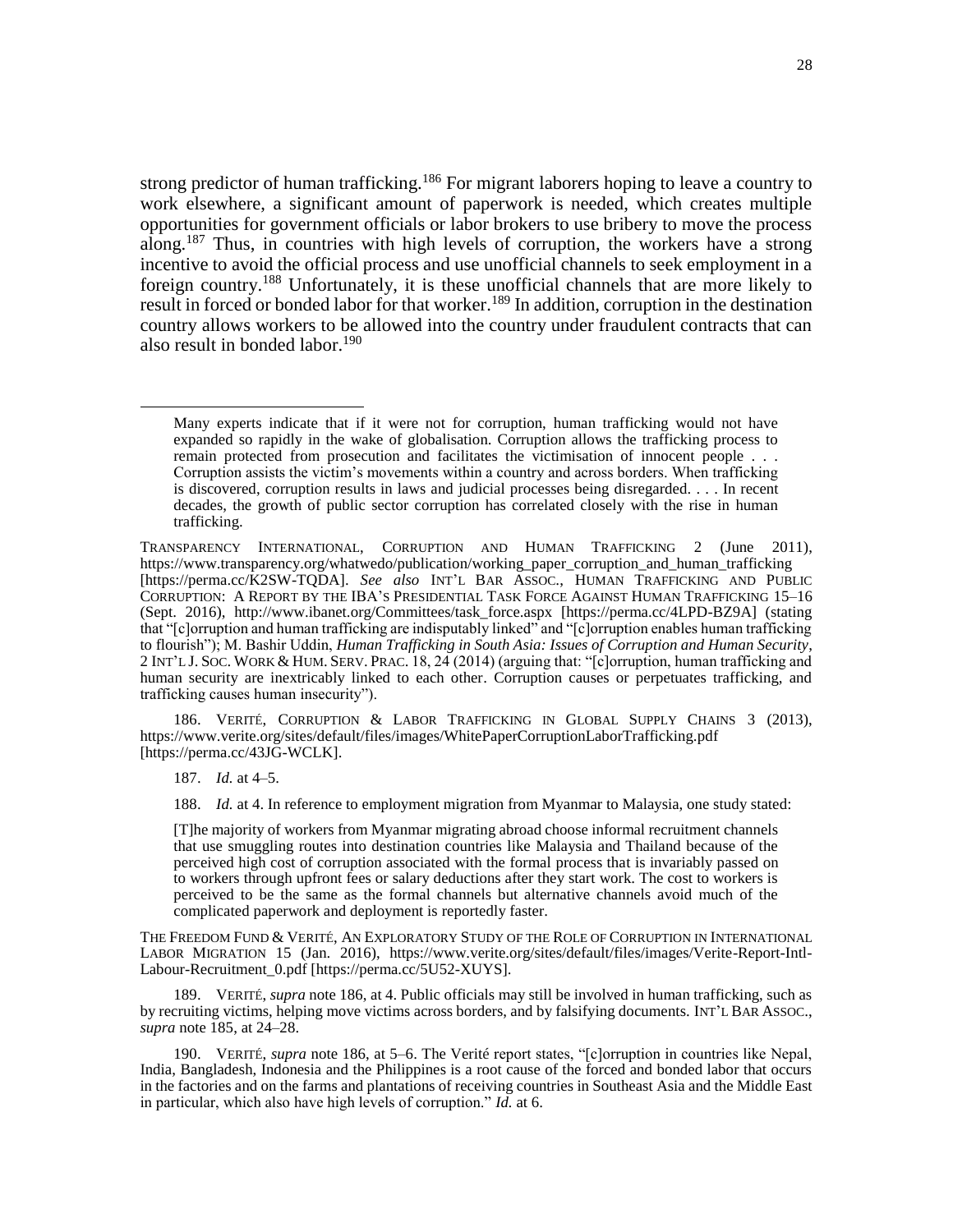strong predictor of human trafficking.<sup>186</sup> For migrant laborers hoping to leave a country to work elsewhere, a significant amount of paperwork is needed, which creates multiple opportunities for government officials or labor brokers to use bribery to move the process along.<sup>187</sup> Thus, in countries with high levels of corruption, the workers have a strong incentive to avoid the official process and use unofficial channels to seek employment in a foreign country.<sup>188</sup> Unfortunately, it is these unofficial channels that are more likely to result in forced or bonded labor for that worker.<sup>189</sup> In addition, corruption in the destination country allows workers to be allowed into the country under fraudulent contracts that can also result in bonded labor.<sup>190</sup>

186. VERITÉ, CORRUPTION & LABOR TRAFFICKING IN GLOBAL SUPPLY CHAINS 3 (2013), <https://www.verite.org/sites/default/files/images/WhitePaperCorruptionLaborTrafficking.pdf> [https://perma.cc/43JG-WCLK].

187. *Id.* at 4–5.

 $\overline{\phantom{a}}$ 

188. *Id.* at 4. In reference to employment migration from Myanmar to Malaysia, one study stated:

[T]he majority of workers from Myanmar migrating abroad choose informal recruitment channels that use smuggling routes into destination countries like Malaysia and Thailand because of the perceived high cost of corruption associated with the formal process that is invariably passed on to workers through upfront fees or salary deductions after they start work. The cost to workers is perceived to be the same as the formal channels but alternative channels avoid much of the complicated paperwork and deployment is reportedly faster.

THE FREEDOM FUND & VERITÉ, AN EXPLORATORY STUDY OF THE ROLE OF CORRUPTION IN INTERNATIONAL LABOR MIGRATION 15 (Jan. 2016), https://www.verite.org/sites/default/files/images/Verite-Report-Intl-Labour-Recruitment 0.pdf [https://perma.cc/5U52-XUYS].

189. VERITÉ, *supra* note 186, at 4. Public officials may still be involved in human trafficking, such as by recruiting victims, helping move victims across borders, and by falsifying documents. INT'L BAR ASSOC., *supra* note 185, at 24–28.

190. VERITÉ, *supra* note 186, at 5–6. The Verité report states, "[c]orruption in countries like Nepal, India, Bangladesh, Indonesia and the Philippines is a root cause of the forced and bonded labor that occurs in the factories and on the farms and plantations of receiving countries in Southeast Asia and the Middle East in particular, which also have high levels of corruption." *Id.* at 6.

Many experts indicate that if it were not for corruption, human trafficking would not have expanded so rapidly in the wake of globalisation. Corruption allows the trafficking process to remain protected from prosecution and facilitates the victimisation of innocent people . . . Corruption assists the victim's movements within a country and across borders. When trafficking is discovered, corruption results in laws and judicial processes being disregarded. . . . In recent decades, the growth of public sector corruption has correlated closely with the rise in human trafficking.

TRANSPARENCY INTERNATIONAL, CORRUPTION AND HUMAN TRAFFICKING 2 (June 2011), https://www.transparency.org/whatwedo/publication/working\_paper\_corruption\_and\_human\_trafficking [https://perma.cc/K2SW-TQDA]. *See also* INT'L BAR ASSOC., HUMAN TRAFFICKING AND PUBLIC CORRUPTION: A REPORT BY THE IBA'S PRESIDENTIAL TASK FORCE AGAINST HUMAN TRAFFICKING 15–16 (Sept. 2016), [http://www.ibanet.org/Committees/task\\_force.aspx](http://www.ibanet.org/Committees/task_force.aspx) [https://perma.cc/4LPD-BZ9A] (stating that "[c]orruption and human trafficking are indisputably linked" and "[c]orruption enables human trafficking to flourish"); M. Bashir Uddin, *Human Trafficking in South Asia: Issues of Corruption and Human Security*, 2 INT'L J. SOC. WORK & HUM. SERV. PRAC. 18, 24 (2014) (arguing that: "[c]orruption, human trafficking and human security are inextricably linked to each other. Corruption causes or perpetuates trafficking, and trafficking causes human insecurity").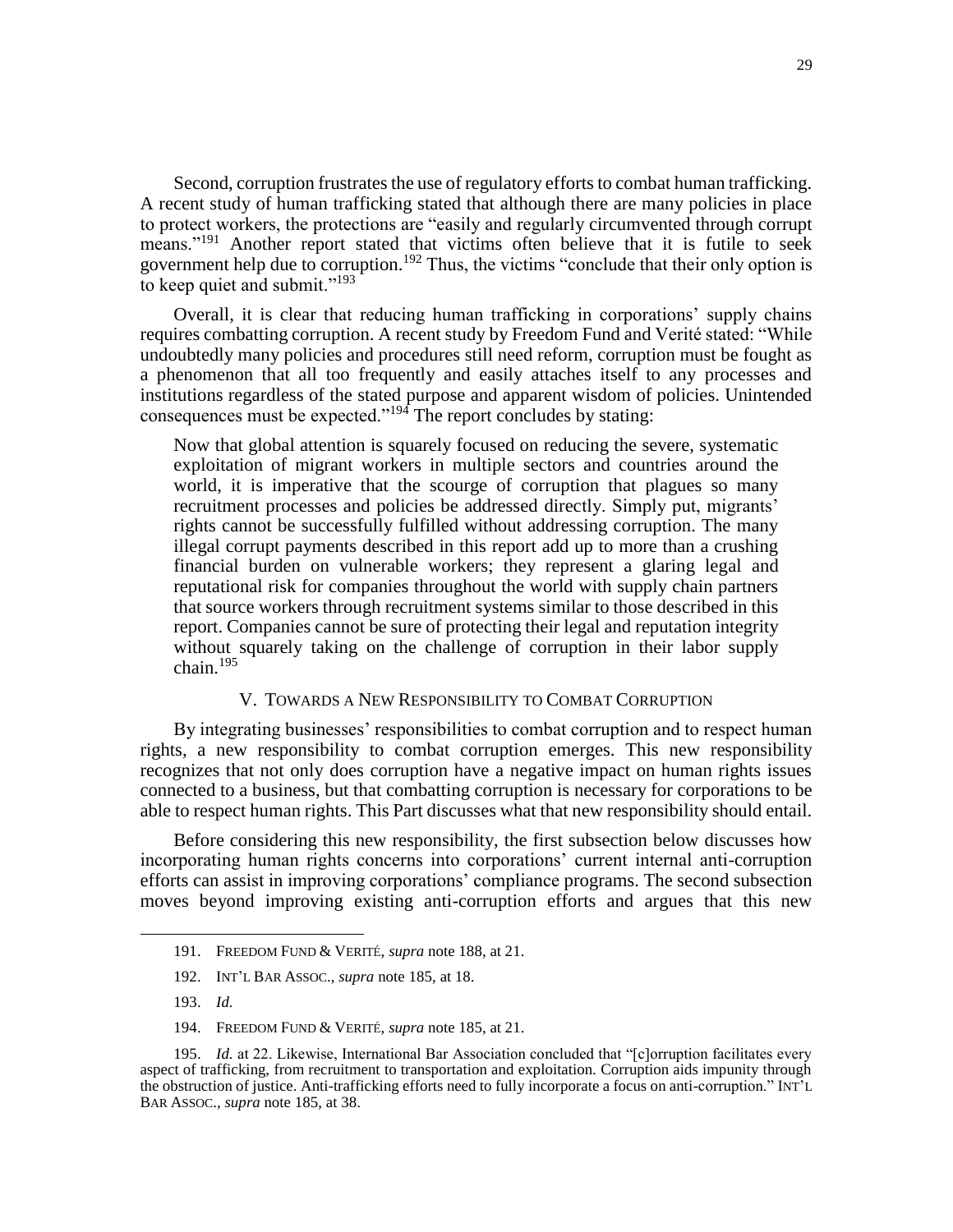Second, corruption frustrates the use of regulatory efforts to combat human trafficking. A recent study of human trafficking stated that although there are many policies in place to protect workers, the protections are "easily and regularly circumvented through corrupt means."<sup>191</sup> Another report stated that victims often believe that it is futile to seek government help due to corruption.<sup>192</sup> Thus, the victims "conclude that their only option is to keep quiet and submit."<sup>193</sup>

Overall, it is clear that reducing human trafficking in corporations' supply chains requires combatting corruption. A recent study by Freedom Fund and Verité stated: "While undoubtedly many policies and procedures still need reform, corruption must be fought as a phenomenon that all too frequently and easily attaches itself to any processes and institutions regardless of the stated purpose and apparent wisdom of policies. Unintended consequences must be expected."<sup>194</sup> The report concludes by stating:

Now that global attention is squarely focused on reducing the severe, systematic exploitation of migrant workers in multiple sectors and countries around the world, it is imperative that the scourge of corruption that plagues so many recruitment processes and policies be addressed directly. Simply put, migrants' rights cannot be successfully fulfilled without addressing corruption. The many illegal corrupt payments described in this report add up to more than a crushing financial burden on vulnerable workers; they represent a glaring legal and reputational risk for companies throughout the world with supply chain partners that source workers through recruitment systems similar to those described in this report. Companies cannot be sure of protecting their legal and reputation integrity without squarely taking on the challenge of corruption in their labor supply chain.<sup>195</sup>

### V. TOWARDS A NEW RESPONSIBILITY TO COMBAT CORRUPTION

By integrating businesses' responsibilities to combat corruption and to respect human rights, a new responsibility to combat corruption emerges. This new responsibility recognizes that not only does corruption have a negative impact on human rights issues connected to a business, but that combatting corruption is necessary for corporations to be able to respect human rights. This Part discusses what that new responsibility should entail.

Before considering this new responsibility, the first subsection below discusses how incorporating human rights concerns into corporations' current internal anti-corruption efforts can assist in improving corporations' compliance programs. The second subsection moves beyond improving existing anti-corruption efforts and argues that this new

<sup>191.</sup> FREEDOM FUND & VERITÉ, *supra* note 188, at 21.

<sup>192.</sup> INT'L BAR ASSOC., *supra* note 185, at 18.

<sup>193.</sup> *Id.*

<sup>194.</sup> FREEDOM FUND & VERITÉ, *supra* note 185, at 21.

<sup>195.</sup> *Id.* at 22. Likewise, International Bar Association concluded that "[c]orruption facilitates every aspect of trafficking, from recruitment to transportation and exploitation. Corruption aids impunity through the obstruction of justice. Anti-trafficking efforts need to fully incorporate a focus on anti-corruption." INT'L BAR ASSOC., *supra* note 185, at 38.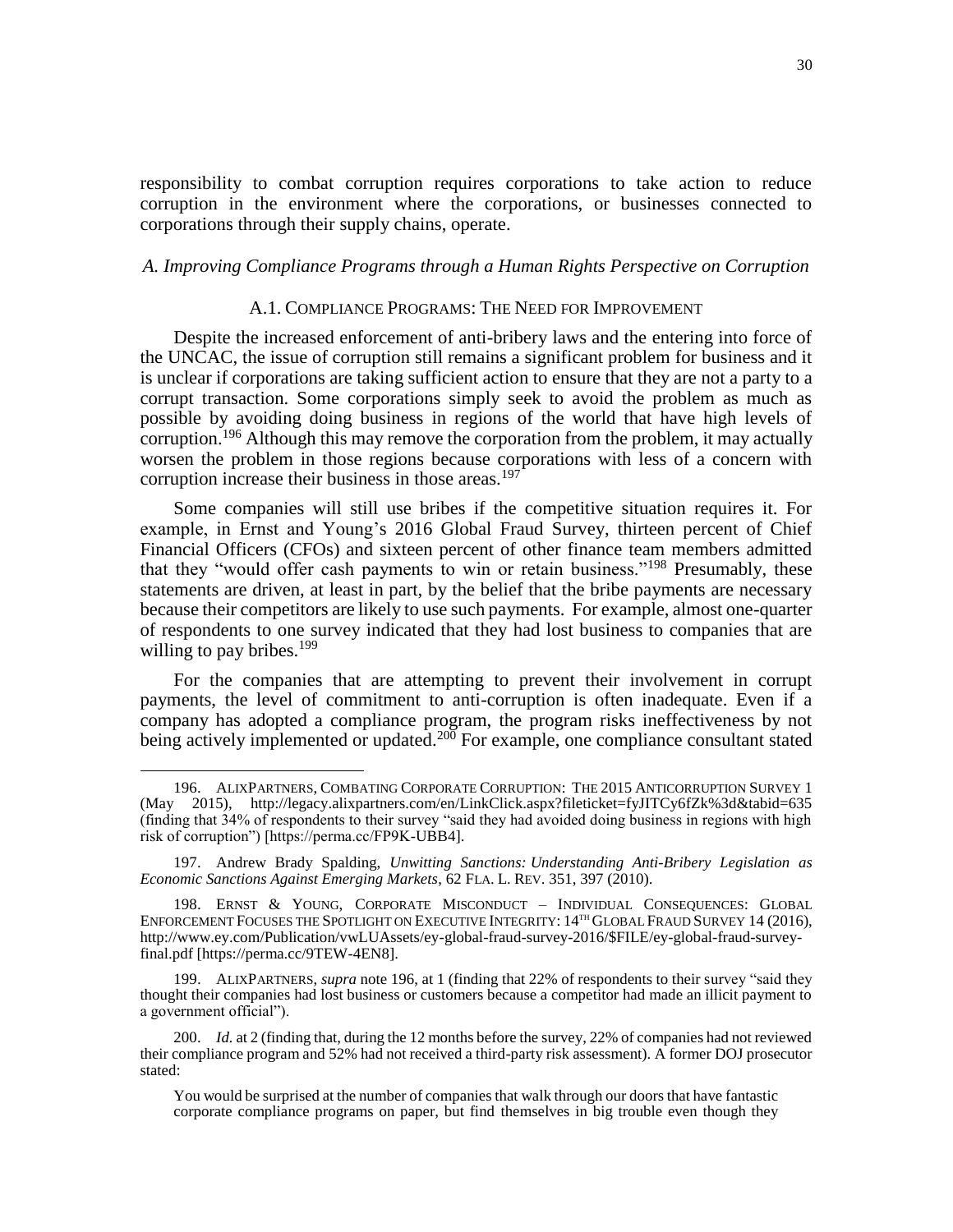responsibility to combat corruption requires corporations to take action to reduce corruption in the environment where the corporations, or businesses connected to corporations through their supply chains, operate.

# *A. Improving Compliance Programs through a Human Rights Perspective on Corruption*

## A.1. COMPLIANCE PROGRAMS: THE NEED FOR IMPROVEMENT

Despite the increased enforcement of anti-bribery laws and the entering into force of the UNCAC, the issue of corruption still remains a significant problem for business and it is unclear if corporations are taking sufficient action to ensure that they are not a party to a corrupt transaction. Some corporations simply seek to avoid the problem as much as possible by avoiding doing business in regions of the world that have high levels of corruption.<sup>196</sup> Although this may remove the corporation from the problem, it may actually worsen the problem in those regions because corporations with less of a concern with corruption increase their business in those areas.<sup>197</sup>

Some companies will still use bribes if the competitive situation requires it. For example, in Ernst and Young's 2016 Global Fraud Survey, thirteen percent of Chief Financial Officers (CFOs) and sixteen percent of other finance team members admitted that they "would offer cash payments to win or retain business."<sup>198</sup> Presumably, these statements are driven, at least in part, by the belief that the bribe payments are necessary because their competitors are likely to use such payments. For example, almost one-quarter of respondents to one survey indicated that they had lost business to companies that are willing to pay bribes. $199$ 

For the companies that are attempting to prevent their involvement in corrupt payments, the level of commitment to anti-corruption is often inadequate. Even if a company has adopted a compliance program, the program risks ineffectiveness by not being actively implemented or updated.<sup>200</sup> For example, one compliance consultant stated

<sup>196.</sup> ALIXPARTNERS, COMBATING CORPORATE CORRUPTION: THE 2015 ANTICORRUPTION SURVEY 1 (May 2015), http://legacy.alixpartners.com/en/LinkClick.aspx?fileticket=fyJITCy6fZk%3d&tabid=635 (finding that 34% of respondents to their survey "said they had avoided doing business in regions with high risk of corruption") [https://perma.cc/FP9K-UBB4].

<sup>197.</sup> Andrew Brady Spalding, *Unwitting Sanctions: Understanding Anti-Bribery Legislation as Economic Sanctions Against Emerging Markets*, 62 FLA. L. REV. 351, 397 (2010).

<sup>198.</sup> ERNST & YOUNG, CORPORATE MISCONDUCT – INDIVIDUAL CONSEQUENCES: GLOBAL ENFORCEMENT FOCUSES THE SPOTLIGHT ON EXECUTIVE INTEGRITY: 14<sup>TH</sup> GLOBAL FRAUD SURVEY 14 (2016), http://www.ey.com/Publication/vwLUAssets/ey-global-fraud-survey-2016/\$FILE/ey-global-fraud-surveyfinal.pdf [https://perma.cc/9TEW-4EN8].

<sup>199.</sup> ALIXPARTNERS, *supra* note 196, at 1 (finding that 22% of respondents to their survey "said they thought their companies had lost business or customers because a competitor had made an illicit payment to a government official").

<sup>200.</sup> *Id.* at 2 (finding that, during the 12 months before the survey, 22% of companies had not reviewed their compliance program and 52% had not received a third-party risk assessment). A former DOJ prosecutor stated:

You would be surprised at the number of companies that walk through our doors that have fantastic corporate compliance programs on paper, but find themselves in big trouble even though they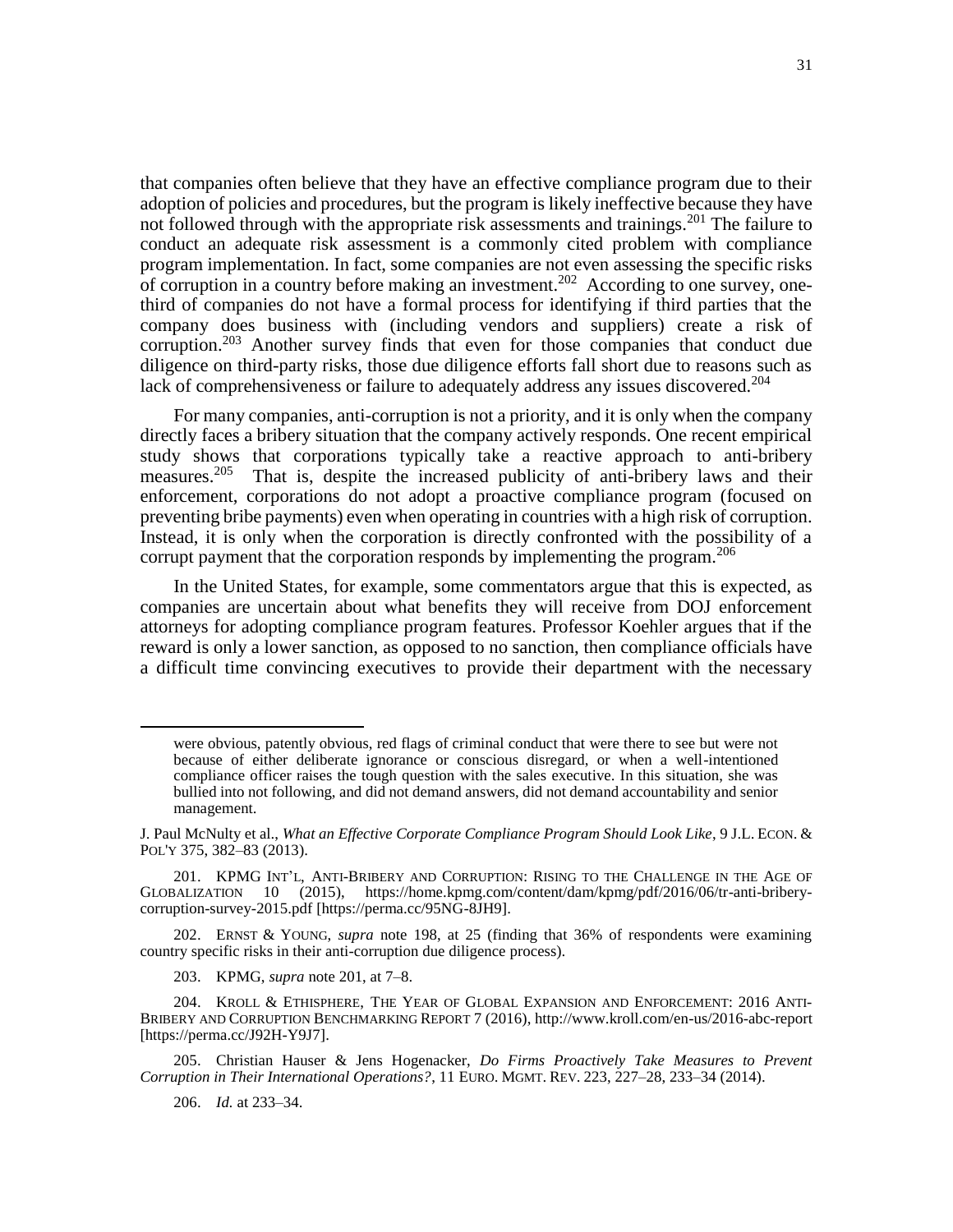that companies often believe that they have an effective compliance program due to their adoption of policies and procedures, but the program is likely ineffective because they have not followed through with the appropriate risk assessments and trainings.<sup>201</sup> The failure to conduct an adequate risk assessment is a commonly cited problem with compliance program implementation. In fact, some companies are not even assessing the specific risks of corruption in a country before making an investment.<sup>202</sup> According to one survey, onethird of companies do not have a formal process for identifying if third parties that the company does business with (including vendors and suppliers) create a risk of corruption.<sup>203</sup> Another survey finds that even for those companies that conduct due diligence on third-party risks, those due diligence efforts fall short due to reasons such as lack of comprehensiveness or failure to adequately address any issues discovered.<sup>204</sup>

For many companies, anti-corruption is not a priority, and it is only when the company directly faces a bribery situation that the company actively responds. One recent empirical study shows that corporations typically take a reactive approach to anti-bribery measures.<sup>205</sup> That is, despite the increased publicity of anti-bribery laws and their enforcement, corporations do not adopt a proactive compliance program (focused on preventing bribe payments) even when operating in countries with a high risk of corruption. Instead, it is only when the corporation is directly confronted with the possibility of a corrupt payment that the corporation responds by implementing the program.<sup>206</sup>

In the United States, for example, some commentators argue that this is expected, as companies are uncertain about what benefits they will receive from DOJ enforcement attorneys for adopting compliance program features. Professor Koehler argues that if the reward is only a lower sanction, as opposed to no sanction, then compliance officials have a difficult time convincing executives to provide their department with the necessary

202. ERNST & YOUNG, *supra* note 198, at 25 (finding that 36% of respondents were examining country specific risks in their anti-corruption due diligence process).

203. KPMG, *supra* note 201, at 7–8.

204. KROLL & ETHISPHERE, THE YEAR OF GLOBAL EXPANSION AND ENFORCEMENT: 2016 ANTI-BRIBERY AND CORRUPTION BENCHMARKING REPORT 7 (2016), http://www.kroll.com/en-us/2016-abc-report [https://perma.cc/J92H-Y9J7].

205. Christian Hauser & Jens Hogenacker, *Do Firms Proactively Take Measures to Prevent Corruption in Their International Operations?*, 11 EURO. MGMT. REV. 223, 227–28, 233–34 (2014).

206. *Id.* at 233–34.

were obvious, patently obvious, red flags of criminal conduct that were there to see but were not because of either deliberate ignorance or conscious disregard, or when a well-intentioned compliance officer raises the tough question with the sales executive. In this situation, she was bullied into not following, and did not demand answers, did not demand accountability and senior management.

J. Paul McNulty et al., *What an Effective Corporate Compliance Program Should Look Like*, 9 J.L. ECON. & POL'Y 375, 382–83 (2013).

<sup>201.</sup> KPMG INT'L, ANTI-BRIBERY AND CORRUPTION: RISING TO THE CHALLENGE IN THE AGE OF GLOBALIZATION 10 (2015), [https://home.kpmg.com/content/dam/kpmg/pdf/2016/06/tr-anti-bribery](https://home.kpmg.com/content/dam/kpmg/pdf/2016/06/tr-anti-bribery-corruption-survey-2015.pdf)[corruption-survey-2015.pdf](https://home.kpmg.com/content/dam/kpmg/pdf/2016/06/tr-anti-bribery-corruption-survey-2015.pdf) [https://perma.cc/95NG-8JH9].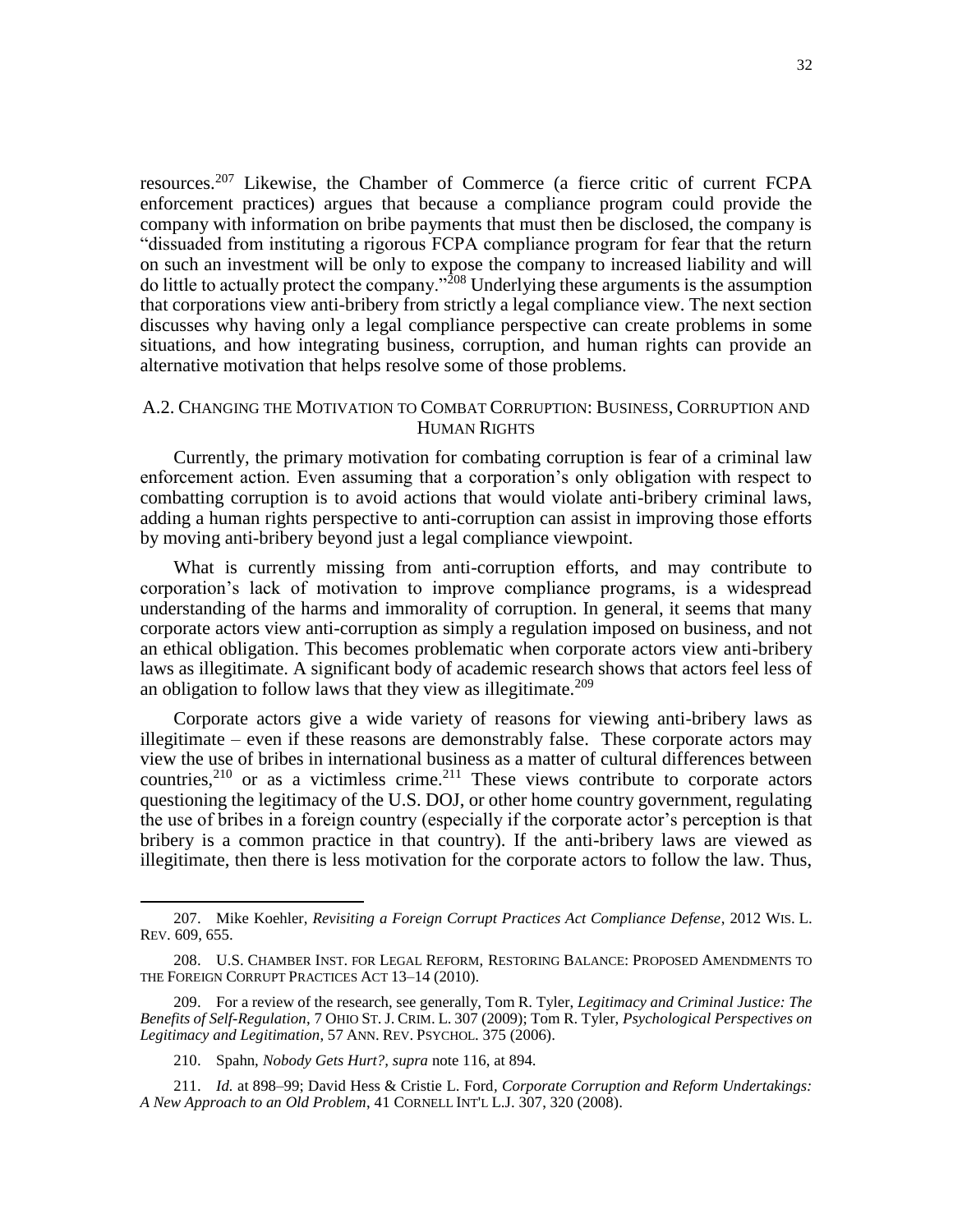resources.<sup>207</sup> Likewise, the Chamber of Commerce (a fierce critic of current FCPA enforcement practices) argues that because a compliance program could provide the company with information on bribe payments that must then be disclosed, the company is "dissuaded from instituting a rigorous FCPA compliance program for fear that the return on such an investment will be only to expose the company to increased liability and will do little to actually protect the company."<sup>208</sup> Underlying these arguments is the assumption that corporations view anti-bribery from strictly a legal compliance view. The next section discusses why having only a legal compliance perspective can create problems in some situations, and how integrating business, corruption, and human rights can provide an alternative motivation that helps resolve some of those problems.

# A.2. CHANGING THE MOTIVATION TO COMBAT CORRUPTION: BUSINESS, CORRUPTION AND HUMAN RIGHTS

Currently, the primary motivation for combating corruption is fear of a criminal law enforcement action. Even assuming that a corporation's only obligation with respect to combatting corruption is to avoid actions that would violate anti-bribery criminal laws, adding a human rights perspective to anti-corruption can assist in improving those efforts by moving anti-bribery beyond just a legal compliance viewpoint.

What is currently missing from anti-corruption efforts, and may contribute to corporation's lack of motivation to improve compliance programs, is a widespread understanding of the harms and immorality of corruption. In general, it seems that many corporate actors view anti-corruption as simply a regulation imposed on business, and not an ethical obligation. This becomes problematic when corporate actors view anti-bribery laws as illegitimate. A significant body of academic research shows that actors feel less of an obligation to follow laws that they view as illegitimate. $209$ 

Corporate actors give a wide variety of reasons for viewing anti-bribery laws as illegitimate – even if these reasons are demonstrably false. These corporate actors may view the use of bribes in international business as a matter of cultural differences between countries,  $2^{10}$  or as a victimless crime.  $2^{11}$  These views contribute to corporate actors questioning the legitimacy of the U.S. DOJ, or other home country government, regulating the use of bribes in a foreign country (especially if the corporate actor's perception is that bribery is a common practice in that country). If the anti-bribery laws are viewed as illegitimate, then there is less motivation for the corporate actors to follow the law. Thus,

<sup>207.</sup> Mike Koehler, *Revisiting a Foreign Corrupt Practices Act Compliance Defense*, 2012 WIS. L. REV. 609, 655.

<sup>208.</sup> U.S. CHAMBER INST. FOR LEGAL REFORM, RESTORING BALANCE: PROPOSED AMENDMENTS TO THE FOREIGN CORRUPT PRACTICES ACT 13–14 (2010).

<sup>209.</sup> For a review of the research, see generally, Tom R. Tyler, *Legitimacy and Criminal Justice: The Benefits of Self-Regulation*, 7 OHIO ST. J. CRIM. L. 307 (2009); Tom R. Tyler, *Psychological Perspectives on Legitimacy and Legitimation*, 57 ANN. REV. PSYCHOL. 375 (2006).

<sup>210.</sup> Spahn, *Nobody Gets Hurt?, supra* note 116, at 894.

<sup>211.</sup> *Id.* at 898–99; David Hess & Cristie L. Ford*, Corporate Corruption and Reform Undertakings: A New Approach to an Old Problem*, 41 CORNELL INT'L L.J. 307, 320 (2008).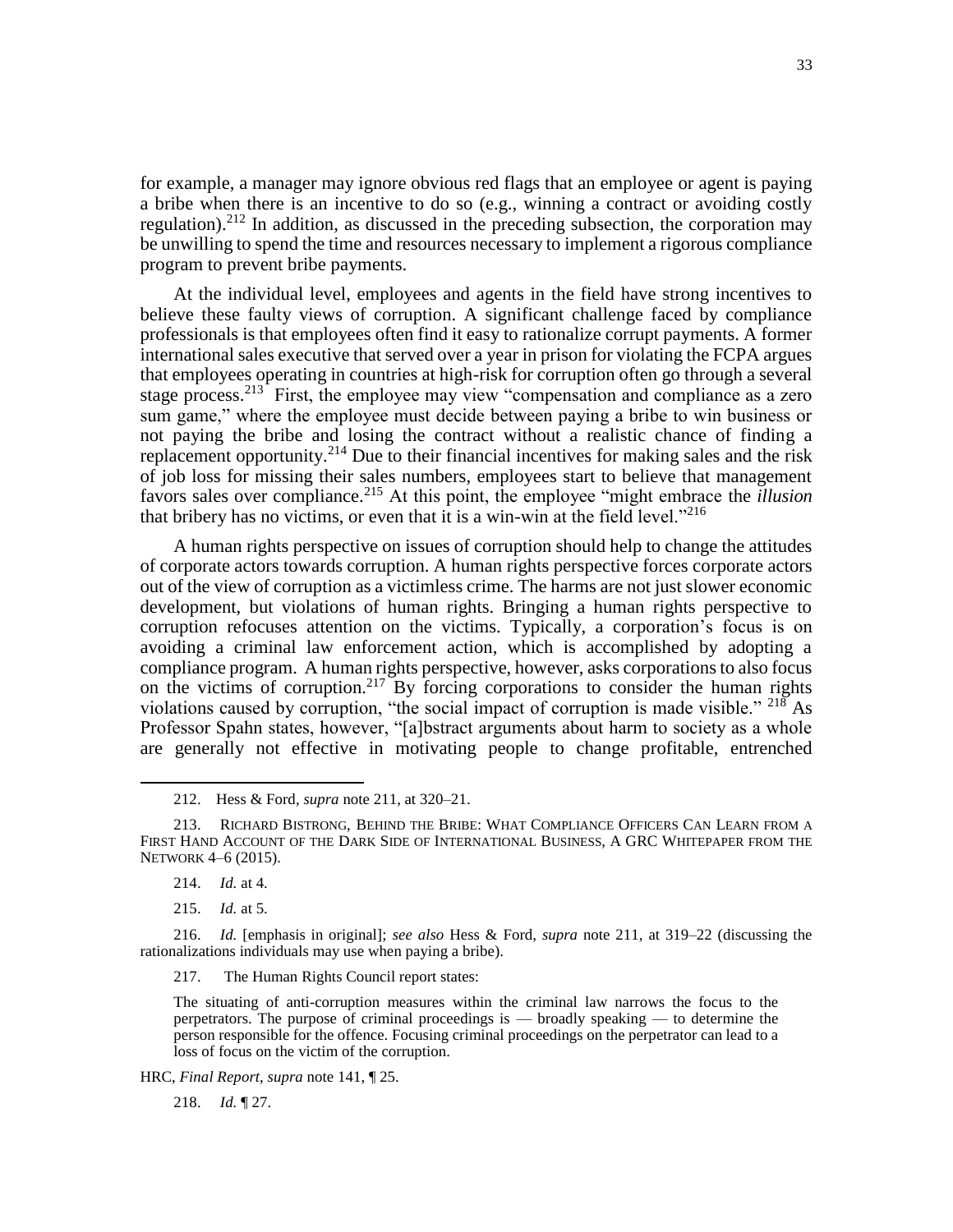for example, a manager may ignore obvious red flags that an employee or agent is paying a bribe when there is an incentive to do so (e.g., winning a contract or avoiding costly regulation).<sup>212</sup> In addition, as discussed in the preceding subsection, the corporation may be unwilling to spend the time and resources necessary to implement a rigorous compliance program to prevent bribe payments.

At the individual level, employees and agents in the field have strong incentives to believe these faulty views of corruption. A significant challenge faced by compliance professionals is that employees often find it easy to rationalize corrupt payments. A former international sales executive that served over a year in prison for violating the FCPA argues that employees operating in countries at high-risk for corruption often go through a several stage process.<sup>213</sup> First, the employee may view "compensation and compliance as a zero sum game," where the employee must decide between paying a bribe to win business or not paying the bribe and losing the contract without a realistic chance of finding a replacement opportunity.<sup>214</sup> Due to their financial incentives for making sales and the risk of job loss for missing their sales numbers, employees start to believe that management favors sales over compliance.<sup>215</sup> At this point, the employee "might embrace the *illusion*  that bribery has no victims, or even that it is a win-win at the field level."<sup>216</sup>

A human rights perspective on issues of corruption should help to change the attitudes of corporate actors towards corruption. A human rights perspective forces corporate actors out of the view of corruption as a victimless crime. The harms are not just slower economic development, but violations of human rights. Bringing a human rights perspective to corruption refocuses attention on the victims. Typically, a corporation's focus is on avoiding a criminal law enforcement action, which is accomplished by adopting a compliance program. A human rights perspective, however, asks corporations to also focus on the victims of corruption.<sup>217</sup> By forcing corporations to consider the human rights violations caused by corruption, "the social impact of corruption is made visible." <sup>218</sup> As Professor Spahn states, however, "[a]bstract arguments about harm to society as a whole are generally not effective in motivating people to change profitable, entrenched

 $\overline{\phantom{a}}$ 

217. The Human Rights Council report states:

The situating of anti-corruption measures within the criminal law narrows the focus to the perpetrators. The purpose of criminal proceedings is — broadly speaking — to determine the person responsible for the offence. Focusing criminal proceedings on the perpetrator can lead to a loss of focus on the victim of the corruption.

HRC, *Final Report*, *supra* note 141, ¶ 25.

218. *Id.* ¶ 27.

<sup>212.</sup> Hess & Ford*, supra* note 211, at 320–21.

<sup>213.</sup> RICHARD BISTRONG, BEHIND THE BRIBE: WHAT COMPLIANCE OFFICERS CAN LEARN FROM A FIRST HAND ACCOUNT OF THE DARK SIDE OF INTERNATIONAL BUSINESS, A GRC WHITEPAPER FROM THE NETWORK 4–6 (2015).

<sup>214.</sup> *Id.* at 4.

<sup>215.</sup> *Id.* at 5.

<sup>216.</sup> *Id.* [emphasis in original]; *see also* Hess & Ford, *supra* note 211, at 319–22 (discussing the rationalizations individuals may use when paying a bribe).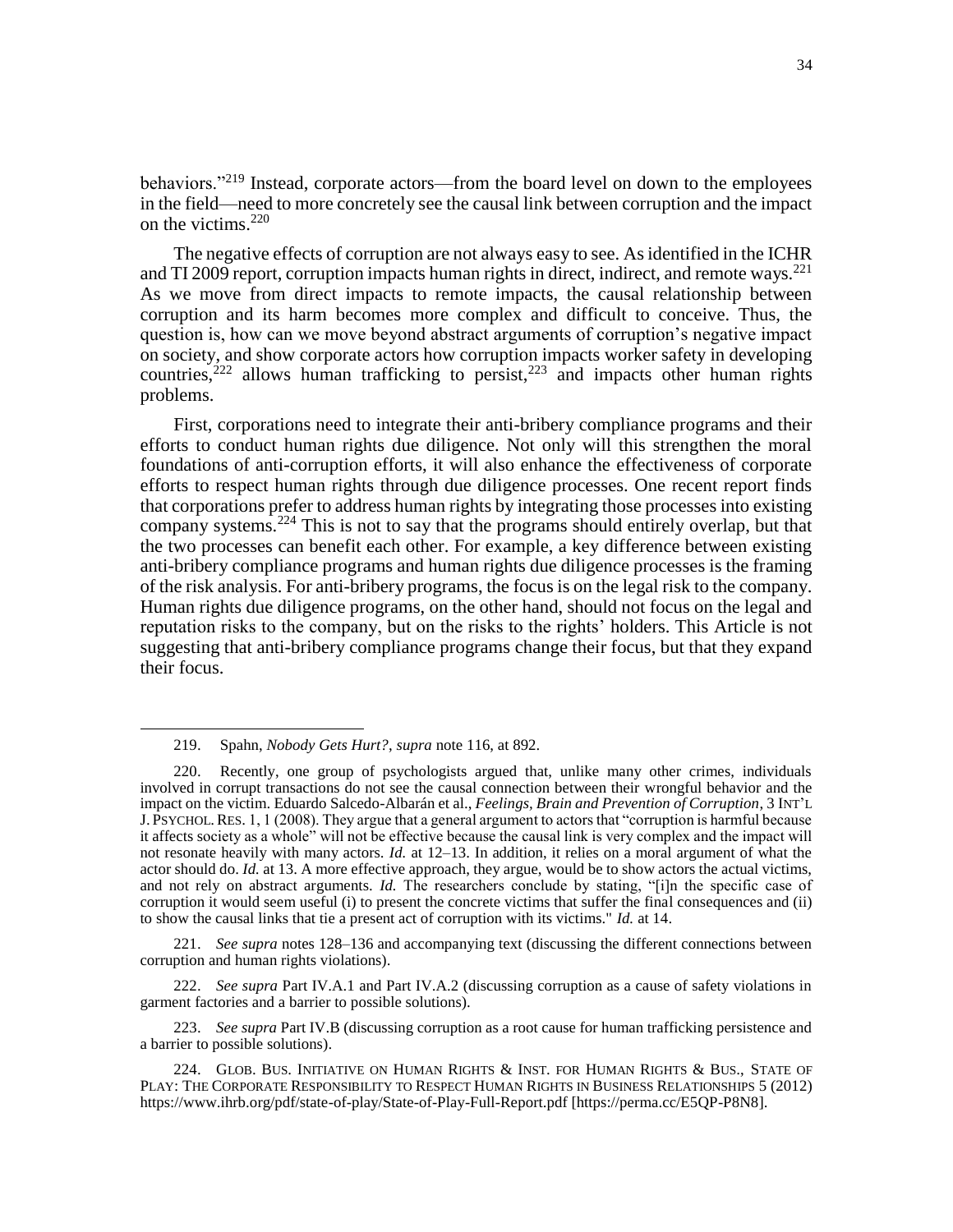behaviors."<sup>219</sup> Instead, corporate actors—from the board level on down to the employees in the field—need to more concretely see the causal link between corruption and the impact on the victims. $220$ 

The negative effects of corruption are not always easy to see. As identified in the ICHR and TI 2009 report, corruption impacts human rights in direct, indirect, and remote ways.<sup>221</sup> As we move from direct impacts to remote impacts, the causal relationship between corruption and its harm becomes more complex and difficult to conceive. Thus, the question is, how can we move beyond abstract arguments of corruption's negative impact on society, and show corporate actors how corruption impacts worker safety in developing countries, $222$  allows human trafficking to persist, $223$  and impacts other human rights problems.

First, corporations need to integrate their anti-bribery compliance programs and their efforts to conduct human rights due diligence. Not only will this strengthen the moral foundations of anti-corruption efforts, it will also enhance the effectiveness of corporate efforts to respect human rights through due diligence processes. One recent report finds that corporations prefer to address human rights by integrating those processes into existing company systems.<sup>224</sup> This is not to say that the programs should entirely overlap, but that the two processes can benefit each other. For example, a key difference between existing anti-bribery compliance programs and human rights due diligence processes is the framing of the risk analysis. For anti-bribery programs, the focus is on the legal risk to the company. Human rights due diligence programs, on the other hand, should not focus on the legal and reputation risks to the company, but on the risks to the rights' holders. This Article is not suggesting that anti-bribery compliance programs change their focus, but that they expand their focus.

 $\overline{\phantom{a}}$ 

221. *See supra* notes 128–136 and accompanying text (discussing the different connections between corruption and human rights violations).

222. *See supra* Part IV.A.1 and Part IV.A.2 (discussing corruption as a cause of safety violations in garment factories and a barrier to possible solutions).

223. *See supra* Part IV.B (discussing corruption as a root cause for human trafficking persistence and a barrier to possible solutions).

<sup>219.</sup> Spahn, *Nobody Gets Hurt?*, *supra* note 116, at 892.

<sup>220.</sup> Recently, one group of psychologists argued that, unlike many other crimes, individuals involved in corrupt transactions do not see the causal connection between their wrongful behavior and the impact on the victim. Eduardo Salcedo-Albarán et al., *Feelings, Brain and Prevention of Corruption*, 3 INT'L J. PSYCHOL.RES. 1, 1 (2008). They argue that a general argument to actors that "corruption is harmful because it affects society as a whole" will not be effective because the causal link is very complex and the impact will not resonate heavily with many actors. *Id.* at 12–13. In addition, it relies on a moral argument of what the actor should do. *Id.* at 13. A more effective approach, they argue, would be to show actors the actual victims, and not rely on abstract arguments. *Id.* The researchers conclude by stating, "[i]n the specific case of corruption it would seem useful (i) to present the concrete victims that suffer the final consequences and (ii) to show the causal links that tie a present act of corruption with its victims." *Id.* at 14.

<sup>224.</sup> GLOB. BUS. INITIATIVE ON HUMAN RIGHTS & INST. FOR HUMAN RIGHTS & BUS., STATE OF PLAY: THE CORPORATE RESPONSIBILITY TO RESPECT HUMAN RIGHTS IN BUSINESS RELATIONSHIPS 5 (2012) <https://www.ihrb.org/pdf/state-of-play/State-of-Play-Full-Report.pdf> [https://perma.cc/E5QP-P8N8].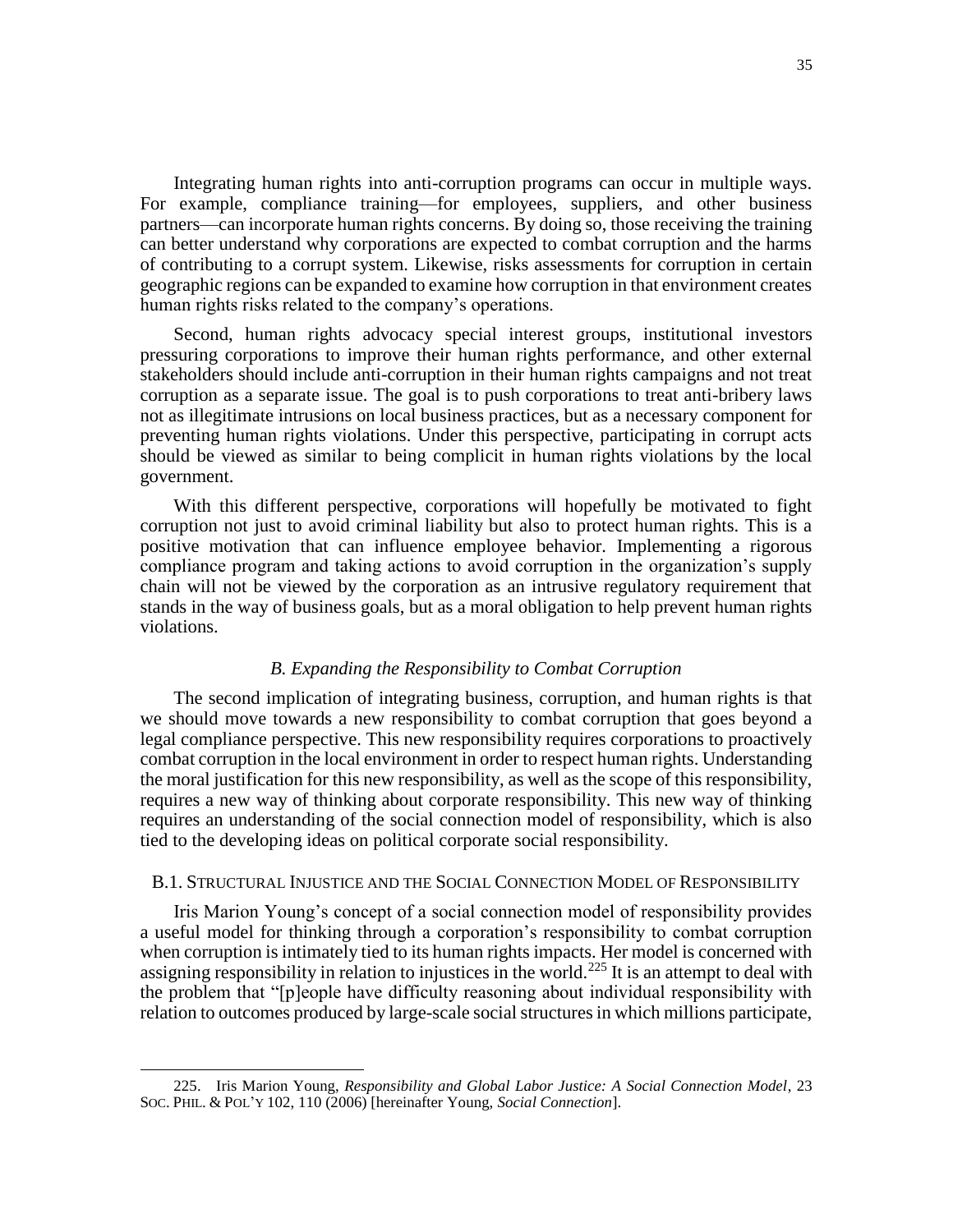Integrating human rights into anti-corruption programs can occur in multiple ways. For example, compliance training—for employees, suppliers, and other business partners—can incorporate human rights concerns. By doing so, those receiving the training can better understand why corporations are expected to combat corruption and the harms of contributing to a corrupt system. Likewise, risks assessments for corruption in certain geographic regions can be expanded to examine how corruption in that environment creates human rights risks related to the company's operations.

Second, human rights advocacy special interest groups, institutional investors pressuring corporations to improve their human rights performance, and other external stakeholders should include anti-corruption in their human rights campaigns and not treat corruption as a separate issue. The goal is to push corporations to treat anti-bribery laws not as illegitimate intrusions on local business practices, but as a necessary component for preventing human rights violations. Under this perspective, participating in corrupt acts should be viewed as similar to being complicit in human rights violations by the local government.

With this different perspective, corporations will hopefully be motivated to fight corruption not just to avoid criminal liability but also to protect human rights. This is a positive motivation that can influence employee behavior. Implementing a rigorous compliance program and taking actions to avoid corruption in the organization's supply chain will not be viewed by the corporation as an intrusive regulatory requirement that stands in the way of business goals, but as a moral obligation to help prevent human rights violations.

# *B. Expanding the Responsibility to Combat Corruption*

The second implication of integrating business, corruption, and human rights is that we should move towards a new responsibility to combat corruption that goes beyond a legal compliance perspective. This new responsibility requires corporations to proactively combat corruption in the local environment in order to respect human rights. Understanding the moral justification for this new responsibility, as well as the scope of this responsibility, requires a new way of thinking about corporate responsibility. This new way of thinking requires an understanding of the social connection model of responsibility, which is also tied to the developing ideas on political corporate social responsibility.

# B.1. STRUCTURAL INJUSTICE AND THE SOCIAL CONNECTION MODEL OF RESPONSIBILITY

Iris Marion Young's concept of a social connection model of responsibility provides a useful model for thinking through a corporation's responsibility to combat corruption when corruption is intimately tied to its human rights impacts. Her model is concerned with assigning responsibility in relation to injustices in the world.<sup>225</sup> It is an attempt to deal with the problem that "[p]eople have difficulty reasoning about individual responsibility with relation to outcomes produced by large-scale social structures in which millions participate,

<sup>225.</sup> Iris Marion Young, *Responsibility and Global Labor Justice: A Social Connection Model*, 23 SOC. PHIL. & POL'Y 102, 110 (2006) [hereinafter Young, *Social Connection*].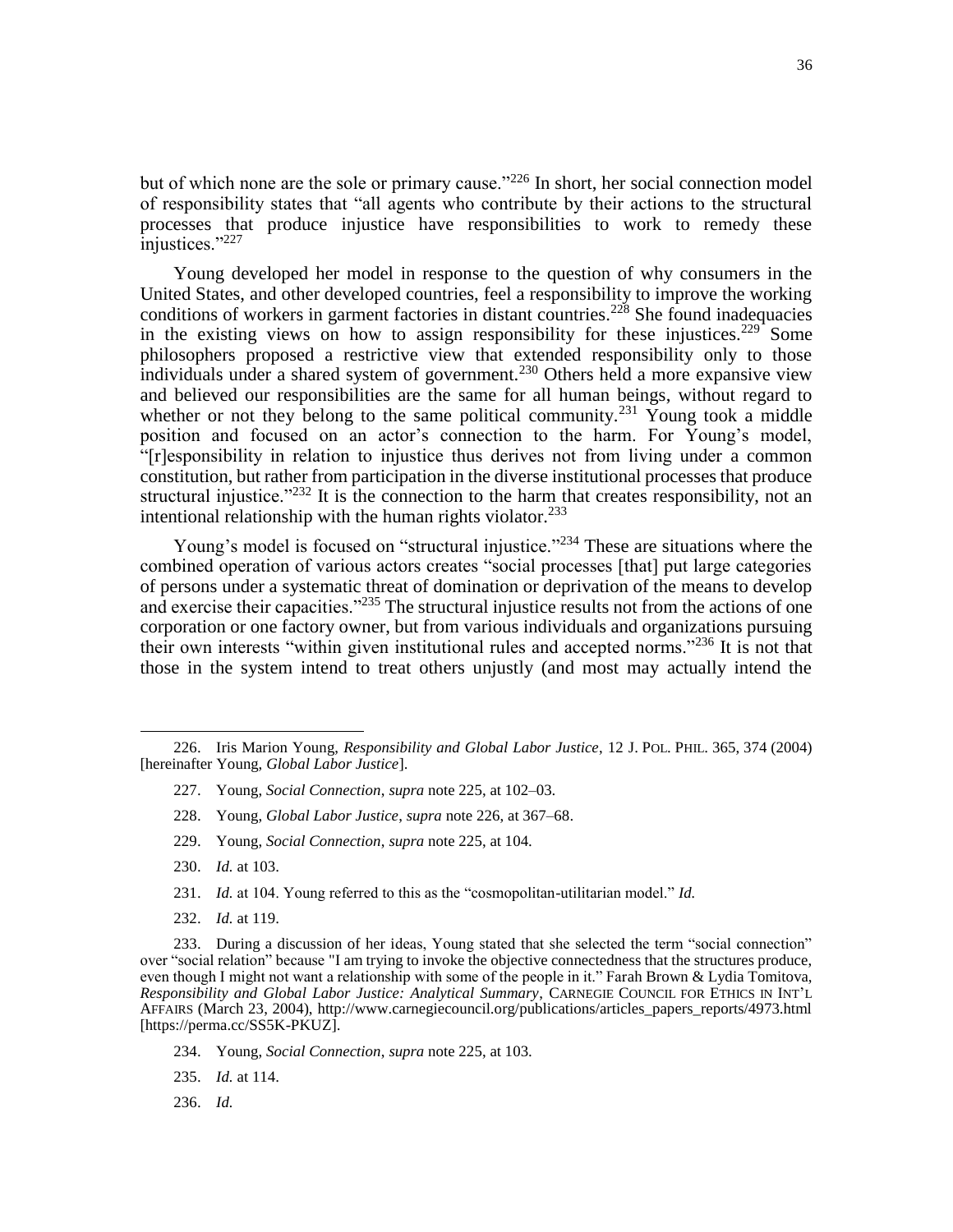but of which none are the sole or primary cause." $^{226}$  In short, her social connection model of responsibility states that "all agents who contribute by their actions to the structural processes that produce injustice have responsibilities to work to remedy these injustices."<sup>227</sup>

Young developed her model in response to the question of why consumers in the United States, and other developed countries, feel a responsibility to improve the working conditions of workers in garment factories in distant countries.<sup>228</sup> She found inadequacies in the existing views on how to assign responsibility for these injustices.<sup>229</sup> Some philosophers proposed a restrictive view that extended responsibility only to those individuals under a shared system of government.<sup>230</sup> Others held a more expansive view and believed our responsibilities are the same for all human beings, without regard to whether or not they belong to the same political community.<sup>231</sup> Young took a middle position and focused on an actor's connection to the harm. For Young's model, "[r]esponsibility in relation to injustice thus derives not from living under a common constitution, but rather from participation in the diverse institutional processes that produce structural injustice."<sup>232</sup> It is the connection to the harm that creates responsibility, not an intentional relationship with the human rights violator. $^{233}$ 

Young's model is focused on "structural injustice."<sup>234</sup> These are situations where the combined operation of various actors creates "social processes [that] put large categories of persons under a systematic threat of domination or deprivation of the means to develop and exercise their capacities."<sup>235</sup> The structural injustice results not from the actions of one corporation or one factory owner, but from various individuals and organizations pursuing their own interests "within given institutional rules and accepted norms."<sup>236</sup> It is not that those in the system intend to treat others unjustly (and most may actually intend the

- 227. Young, *Social Connection*, *supra* note 225, at 102–03.
- 228. Young, *Global Labor Justice*, *supra* note 226, at 367–68.
- 229. Young, *Social Connection*, *supra* note 225, at 104.
- 230. *Id.* at 103.

- 231. *Id.* at 104. Young referred to this as the "cosmopolitan-utilitarian model." *Id.*
- 232. *Id.* at 119.

- 234. Young, *Social Connection*, *supra* note 225, at 103.
- 235. *Id.* at 114.
- 236. *Id.*

<sup>226.</sup> Iris Marion Young, *Responsibility and Global Labor Justice*, 12 J. POL. PHIL. 365, 374 (2004) [hereinafter Young, *Global Labor Justice*].

<sup>233.</sup> During a discussion of her ideas, Young stated that she selected the term "social connection" over "social relation" because "I am trying to invoke the objective connectedness that the structures produce, even though I might not want a relationship with some of the people in it." Farah Brown & Lydia Tomitova, *Responsibility and Global Labor Justice: Analytical Summary*, CARNEGIE COUNCIL FOR ETHICS IN INT'L AFFAIRS (March 23, 2004), http://www.carnegiecouncil.org/publications/articles\_papers\_reports/4973.html [https://perma.cc/SS5K-PKUZ].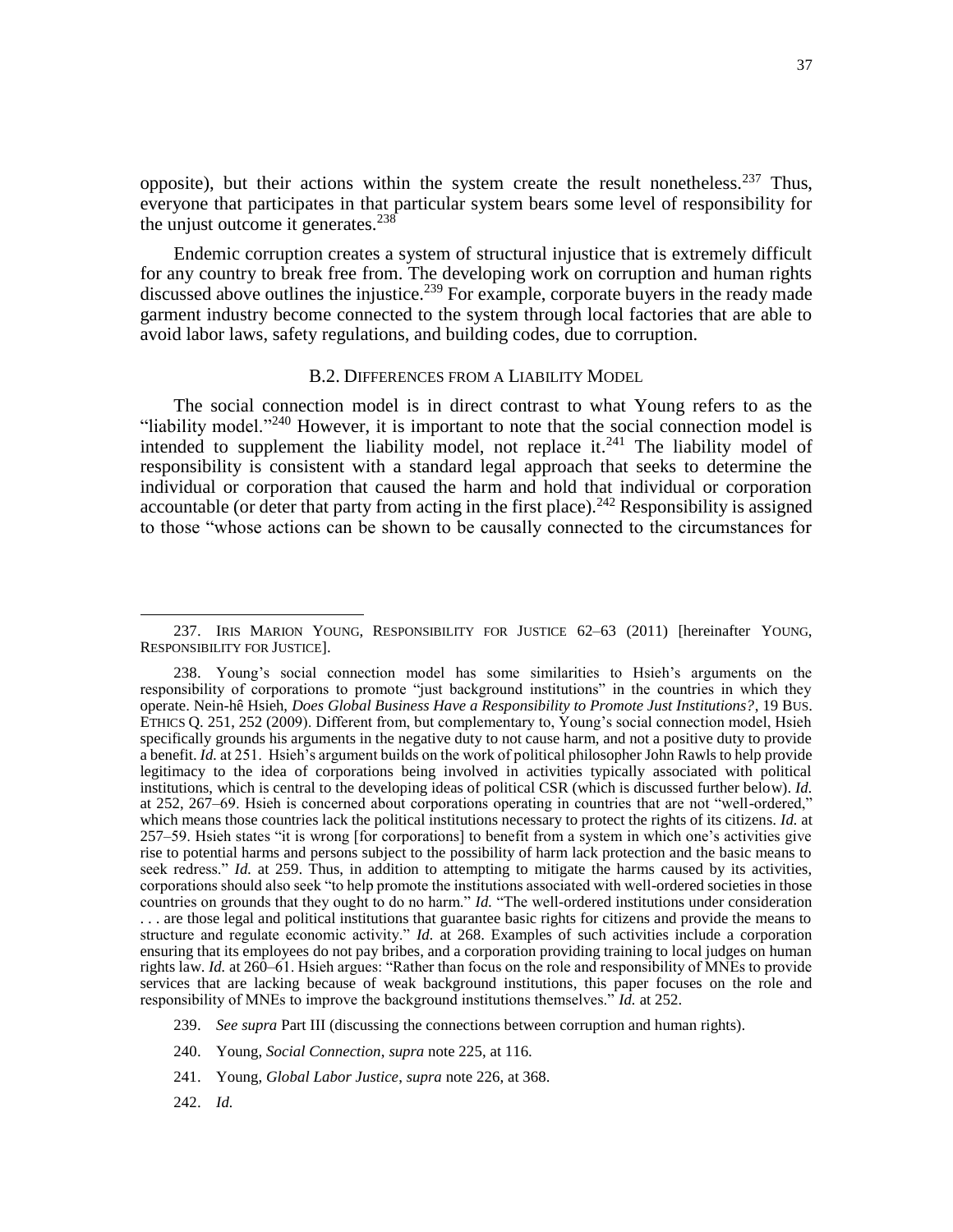opposite), but their actions within the system create the result nonetheless.  $237$  Thus, everyone that participates in that particular system bears some level of responsibility for the unjust outcome it generates. $238$ 

Endemic corruption creates a system of structural injustice that is extremely difficult for any country to break free from. The developing work on corruption and human rights discussed above outlines the injustice.<sup>239</sup> For example, corporate buyers in the ready made garment industry become connected to the system through local factories that are able to avoid labor laws, safety regulations, and building codes, due to corruption.

#### B.2. DIFFERENCES FROM A LIABILITY MODEL

The social connection model is in direct contrast to what Young refers to as the "liability model."<sup>240</sup> However, it is important to note that the social connection model is intended to supplement the liability model, not replace it.<sup>241</sup> The liability model of responsibility is consistent with a standard legal approach that seeks to determine the individual or corporation that caused the harm and hold that individual or corporation accountable (or deter that party from acting in the first place).<sup>242</sup> Responsibility is assigned to those "whose actions can be shown to be causally connected to the circumstances for

242. *Id.*

 $\overline{\phantom{a}}$ 237. IRIS MARION YOUNG, RESPONSIBILITY FOR JUSTICE 62–63 (2011) [hereinafter YOUNG, RESPONSIBILITY FOR JUSTICE].

<sup>238.</sup> Young's social connection model has some similarities to Hsieh's arguments on the responsibility of corporations to promote "just background institutions" in the countries in which they operate. Nein-hê Hsieh, *Does Global Business Have a Responsibility to Promote Just Institutions?*, 19 BUS. ETHICS Q. 251, 252 (2009). Different from, but complementary to, Young's social connection model, Hsieh specifically grounds his arguments in the negative duty to not cause harm, and not a positive duty to provide a benefit. *Id.* at 251. Hsieh's argument builds on the work of political philosopher John Rawls to help provide legitimacy to the idea of corporations being involved in activities typically associated with political institutions, which is central to the developing ideas of political CSR (which is discussed further below). *Id.* at 252, 267–69. Hsieh is concerned about corporations operating in countries that are not "well-ordered," which means those countries lack the political institutions necessary to protect the rights of its citizens. *Id.* at 257–59. Hsieh states "it is wrong [for corporations] to benefit from a system in which one's activities give rise to potential harms and persons subject to the possibility of harm lack protection and the basic means to seek redress." *Id.* at 259. Thus, in addition to attempting to mitigate the harms caused by its activities, corporations should also seek "to help promote the institutions associated with well-ordered societies in those countries on grounds that they ought to do no harm." *Id.* "The well-ordered institutions under consideration . . . are those legal and political institutions that guarantee basic rights for citizens and provide the means to structure and regulate economic activity." *Id.* at 268. Examples of such activities include a corporation ensuring that its employees do not pay bribes, and a corporation providing training to local judges on human rights law. *Id.* at 260–61. Hsieh argues: "Rather than focus on the role and responsibility of MNEs to provide services that are lacking because of weak background institutions, this paper focuses on the role and responsibility of MNEs to improve the background institutions themselves." *Id.* at 252.

<sup>239.</sup> *See supra* Part III (discussing the connections between corruption and human rights).

<sup>240.</sup> Young, *Social Connection*, *supra* note 225, at 116.

<sup>241.</sup> Young, *Global Labor Justice*, *supra* note 226, at 368.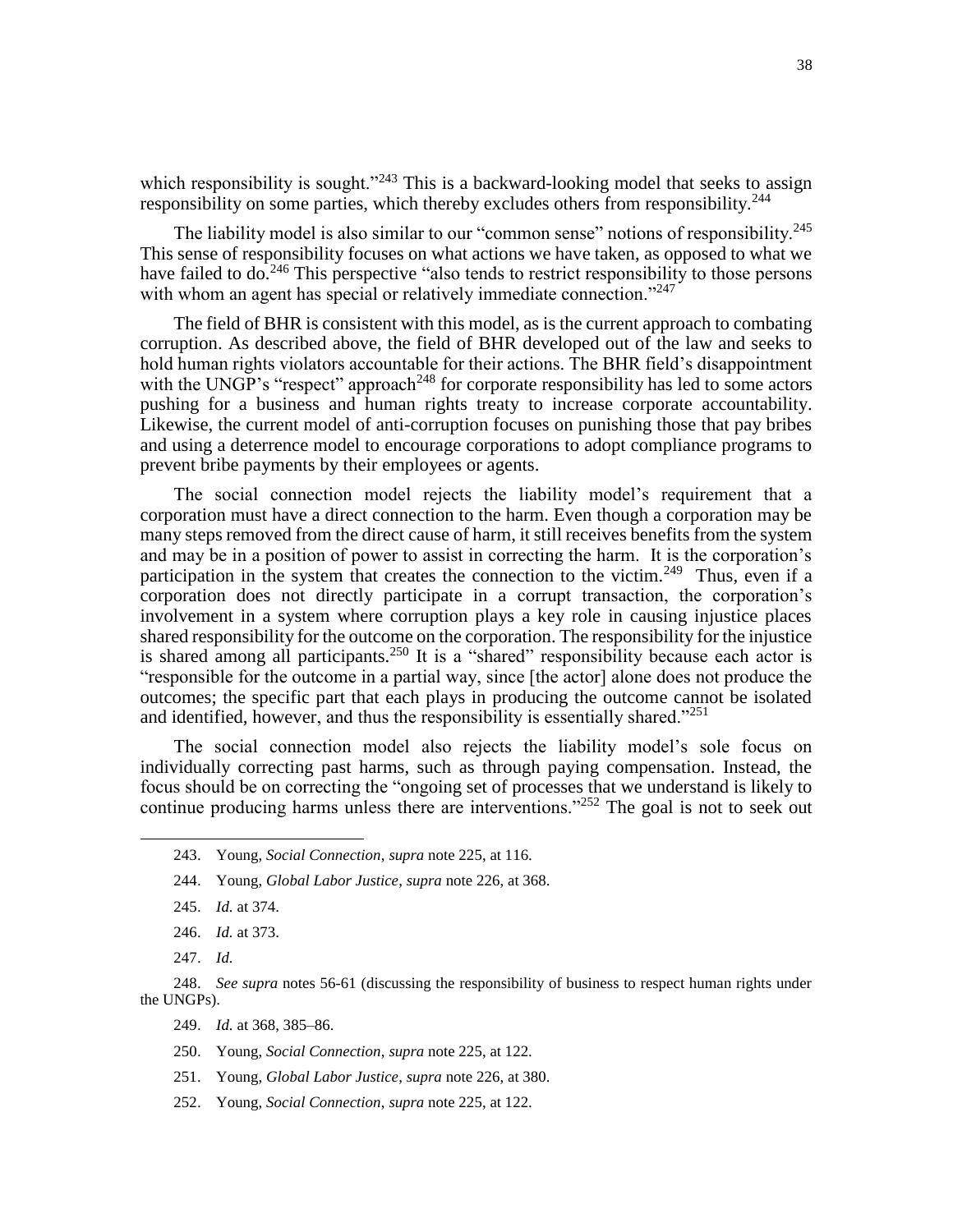which responsibility is sought."<sup>243</sup> This is a backward-looking model that seeks to assign responsibility on some parties, which thereby excludes others from responsibility.<sup>244</sup>

The liability model is also similar to our "common sense" notions of responsibility.<sup>245</sup> This sense of responsibility focuses on what actions we have taken, as opposed to what we have failed to do.<sup>246</sup> This perspective "also tends to restrict responsibility to those persons with whom an agent has special or relatively immediate connection."<sup>247</sup>

The field of BHR is consistent with this model, as is the current approach to combating corruption. As described above, the field of BHR developed out of the law and seeks to hold human rights violators accountable for their actions. The BHR field's disappointment with the UNGP's "respect" approach<sup>248</sup> for corporate responsibility has led to some actors pushing for a business and human rights treaty to increase corporate accountability. Likewise, the current model of anti-corruption focuses on punishing those that pay bribes and using a deterrence model to encourage corporations to adopt compliance programs to prevent bribe payments by their employees or agents.

The social connection model rejects the liability model's requirement that a corporation must have a direct connection to the harm. Even though a corporation may be many steps removed from the direct cause of harm, it still receives benefits from the system and may be in a position of power to assist in correcting the harm. It is the corporation's participation in the system that creates the connection to the victim.<sup>249</sup> Thus, even if a corporation does not directly participate in a corrupt transaction, the corporation's involvement in a system where corruption plays a key role in causing injustice places shared responsibility for the outcome on the corporation. The responsibility for the injustice is shared among all participants.<sup>250</sup> It is a "shared" responsibility because each actor is "responsible for the outcome in a partial way, since [the actor] alone does not produce the outcomes; the specific part that each plays in producing the outcome cannot be isolated and identified, however, and thus the responsibility is essentially shared."<sup>251</sup>

The social connection model also rejects the liability model's sole focus on individually correcting past harms, such as through paying compensation. Instead, the focus should be on correcting the "ongoing set of processes that we understand is likely to continue producing harms unless there are interventions."<sup>252</sup> The goal is not to seek out

- 245. *Id.* at 374.
- 246. *Id.* at 373.
- 247. *Id.*

- 249. *Id.* at 368, 385–86.
- 250. Young, *Social Connection*, *supra* note 225, at 122.
- 251. Young, *Global Labor Justice*, *supra* note 226, at 380.
- 252. Young, *Social Connection*, *supra* note 225, at 122.

<sup>243.</sup> Young, *Social Connection*, *supra* note 225, at 116.

<sup>244.</sup> Young, *Global Labor Justice*, *supra* note 226, at 368.

<sup>248.</sup> *See supra* notes 56-61 (discussing the responsibility of business to respect human rights under the UNGPs).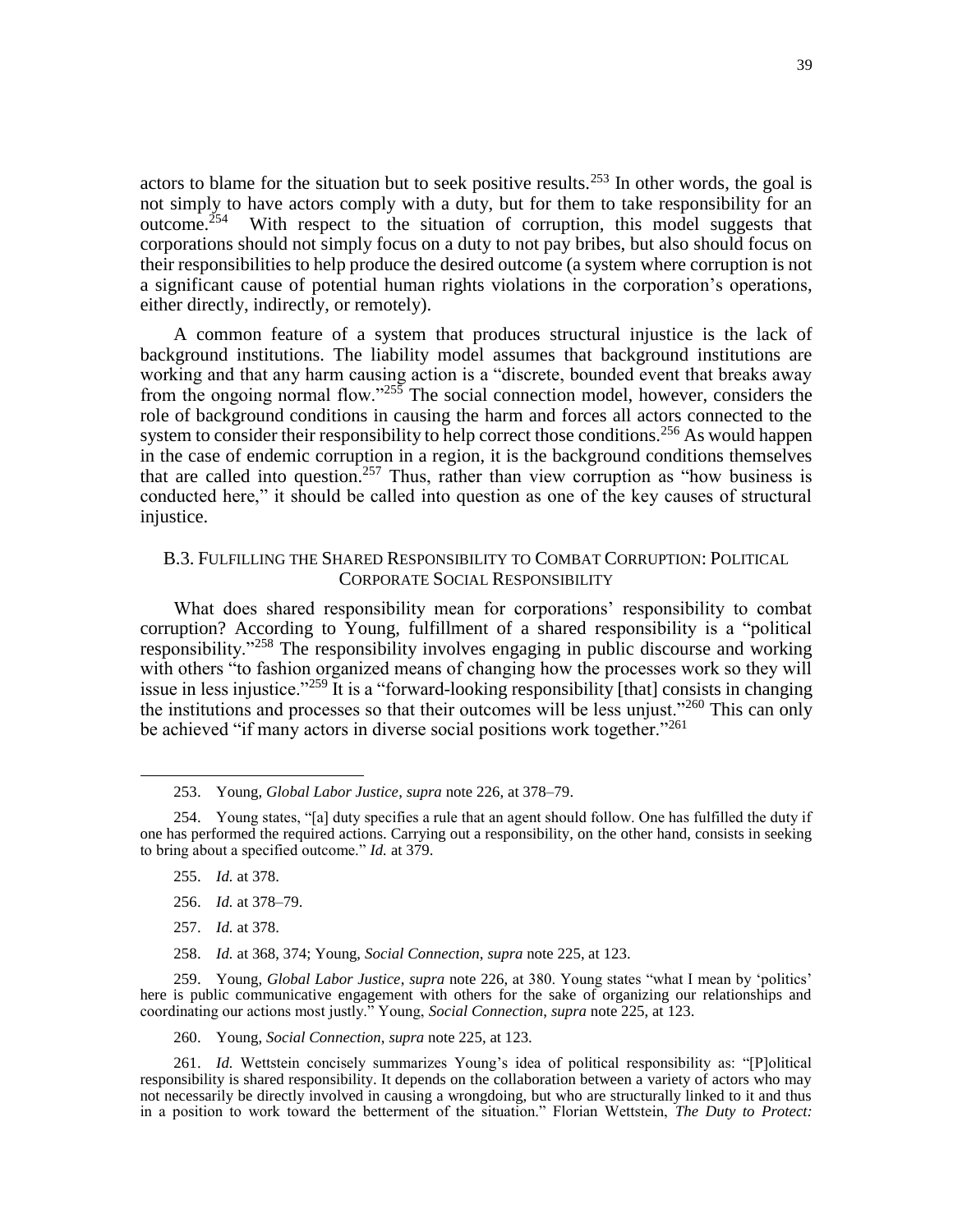actors to blame for the situation but to seek positive results.<sup>253</sup> In other words, the goal is not simply to have actors comply with a duty, but for them to take responsibility for an outcome.<sup>254</sup> With respect to the situation of corruption, this model suggests that corporations should not simply focus on a duty to not pay bribes, but also should focus on their responsibilities to help produce the desired outcome (a system where corruption is not a significant cause of potential human rights violations in the corporation's operations, either directly, indirectly, or remotely).

A common feature of a system that produces structural injustice is the lack of background institutions. The liability model assumes that background institutions are working and that any harm causing action is a "discrete, bounded event that breaks away from the ongoing normal flow."<sup>255</sup> The social connection model, however, considers the role of background conditions in causing the harm and forces all actors connected to the system to consider their responsibility to help correct those conditions.<sup>256</sup> As would happen in the case of endemic corruption in a region, it is the background conditions themselves that are called into question.<sup>257</sup> Thus, rather than view corruption as "how business is conducted here," it should be called into question as one of the key causes of structural injustice.

# B.3. FULFILLING THE SHARED RESPONSIBILITY TO COMBAT CORRUPTION: POLITICAL CORPORATE SOCIAL RESPONSIBILITY

What does shared responsibility mean for corporations' responsibility to combat corruption? According to Young, fulfillment of a shared responsibility is a "political responsibility."<sup>258</sup> The responsibility involves engaging in public discourse and working with others "to fashion organized means of changing how the processes work so they will issue in less injustice."<sup>259</sup> It is a "forward-looking responsibility [that] consists in changing the institutions and processes so that their outcomes will be less unjust."<sup>260</sup> This can only be achieved "if many actors in diverse social positions work together."<sup>261</sup>

255. *Id.* at 378.

 $\overline{\phantom{a}}$ 

- 256. *Id.* at 378–79.
- 257. *Id.* at 378.
- 258. *Id.* at 368, 374; Young, *Social Connection*, *supra* note 225, at 123.

259. Young, *Global Labor Justice*, *supra* note 226, at 380. Young states "what I mean by 'politics' here is public communicative engagement with others for the sake of organizing our relationships and coordinating our actions most justly." Young, *Social Connection*, *supra* note 225, at 123.

260. Young, *Social Connection*, *supra* note 225, at 123.

<sup>253.</sup> Young, *Global Labor Justice*, *supra* note 226, at 378–79.

<sup>254.</sup> Young states, "[a] duty specifies a rule that an agent should follow. One has fulfilled the duty if one has performed the required actions. Carrying out a responsibility, on the other hand, consists in seeking to bring about a specified outcome." *Id.* at 379.

<sup>261.</sup> *Id.* Wettstein concisely summarizes Young's idea of political responsibility as: "[P]olitical responsibility is shared responsibility. It depends on the collaboration between a variety of actors who may not necessarily be directly involved in causing a wrongdoing, but who are structurally linked to it and thus in a position to work toward the betterment of the situation." Florian Wettstein, *The Duty to Protect:*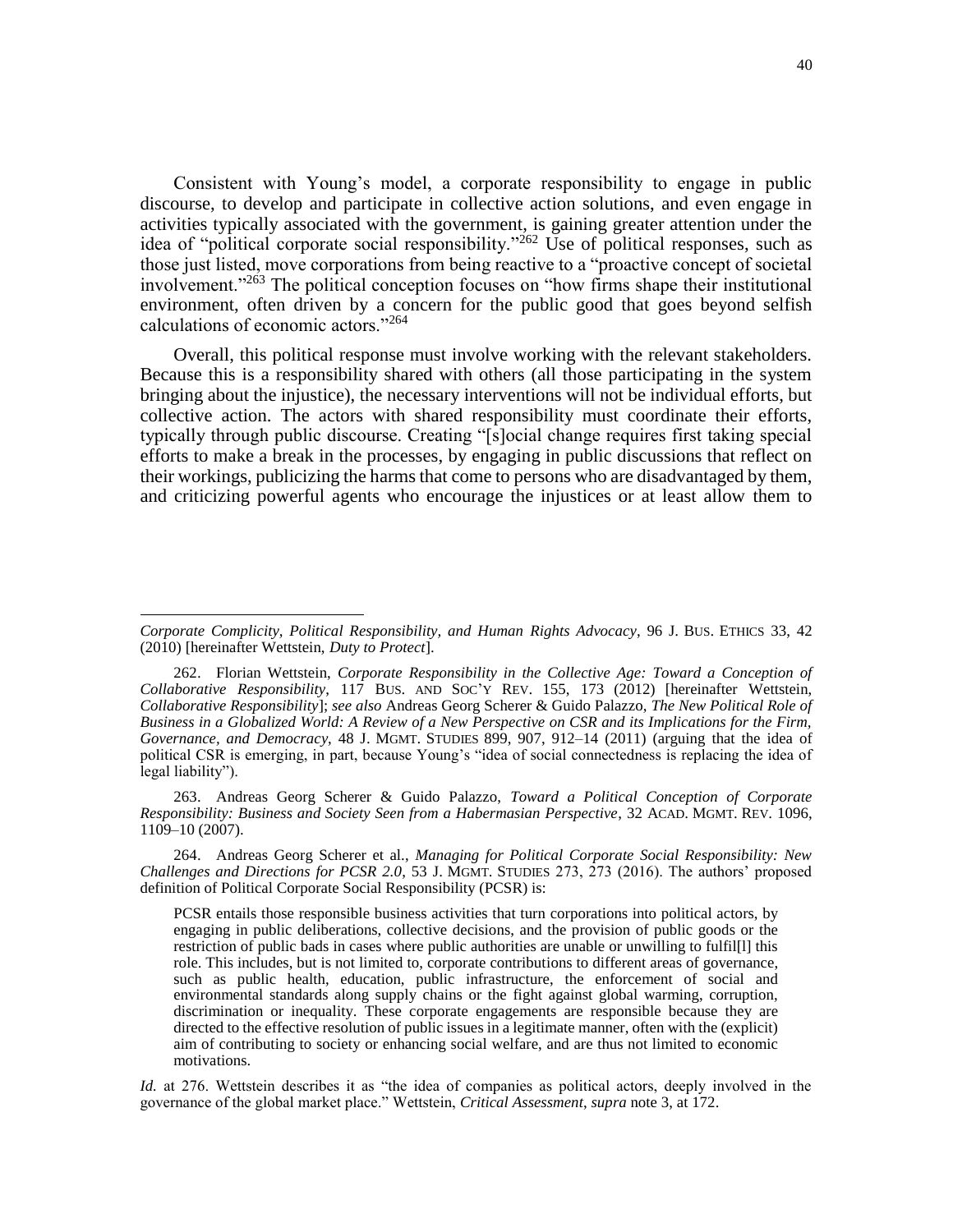Consistent with Young's model, a corporate responsibility to engage in public discourse, to develop and participate in collective action solutions, and even engage in activities typically associated with the government, is gaining greater attention under the idea of "political corporate social responsibility."<sup>262</sup> Use of political responses, such as those just listed, move corporations from being reactive to a "proactive concept of societal involvement."<sup>263</sup> The political conception focuses on "how firms shape their institutional environment, often driven by a concern for the public good that goes beyond selfish calculations of economic actors."<sup>264</sup>

Overall, this political response must involve working with the relevant stakeholders. Because this is a responsibility shared with others (all those participating in the system bringing about the injustice), the necessary interventions will not be individual efforts, but collective action. The actors with shared responsibility must coordinate their efforts, typically through public discourse. Creating "[s]ocial change requires first taking special efforts to make a break in the processes, by engaging in public discussions that reflect on their workings, publicizing the harms that come to persons who are disadvantaged by them, and criticizing powerful agents who encourage the injustices or at least allow them to

 $\overline{\phantom{a}}$ 

263. Andreas Georg Scherer & Guido Palazzo, *Toward a Political Conception of Corporate Responsibility: Business and Society Seen from a Habermasian Perspective*, 32 ACAD. MGMT. REV. 1096, 1109–10 (2007).

264. Andreas Georg Scherer et al., *Managing for Political Corporate Social Responsibility: New Challenges and Directions for PCSR 2.0*, 53 J. MGMT. STUDIES 273, 273 (2016). The authors' proposed definition of Political Corporate Social Responsibility (PCSR) is:

PCSR entails those responsible business activities that turn corporations into political actors, by engaging in public deliberations, collective decisions, and the provision of public goods or the restriction of public bads in cases where public authorities are unable or unwilling to fulfil[l] this role. This includes, but is not limited to, corporate contributions to different areas of governance, such as public health, education, public infrastructure, the enforcement of social and environmental standards along supply chains or the fight against global warming, corruption, discrimination or inequality. These corporate engagements are responsible because they are directed to the effective resolution of public issues in a legitimate manner, often with the (explicit) aim of contributing to society or enhancing social welfare, and are thus not limited to economic motivations.

*Id.* at 276. Wettstein describes it as "the idea of companies as political actors, deeply involved in the governance of the global market place." Wettstein, *Critical Assessment*, *supra* note [3,](#page-2-1) at 172.

*Corporate Complicity, Political Responsibility, and Human Rights Advocacy*, 96 J. BUS. ETHICS 33, 42 (2010) [hereinafter Wettstein, *Duty to Protect*].

<sup>262.</sup> Florian Wettstein, *Corporate Responsibility in the Collective Age: Toward a Conception of Collaborative Responsibility*, 117 BUS. AND SOC'Y REV. 155, 173 (2012) [hereinafter Wettstein, *Collaborative Responsibility*]; *see also* Andreas Georg Scherer & Guido Palazzo, *The New Political Role of Business in a Globalized World: A Review of a New Perspective on CSR and its Implications for the Firm, Governance, and Democracy*, 48 J. MGMT. STUDIES 899, 907, 912–14 (2011) (arguing that the idea of political CSR is emerging, in part, because Young's "idea of social connectedness is replacing the idea of legal liability").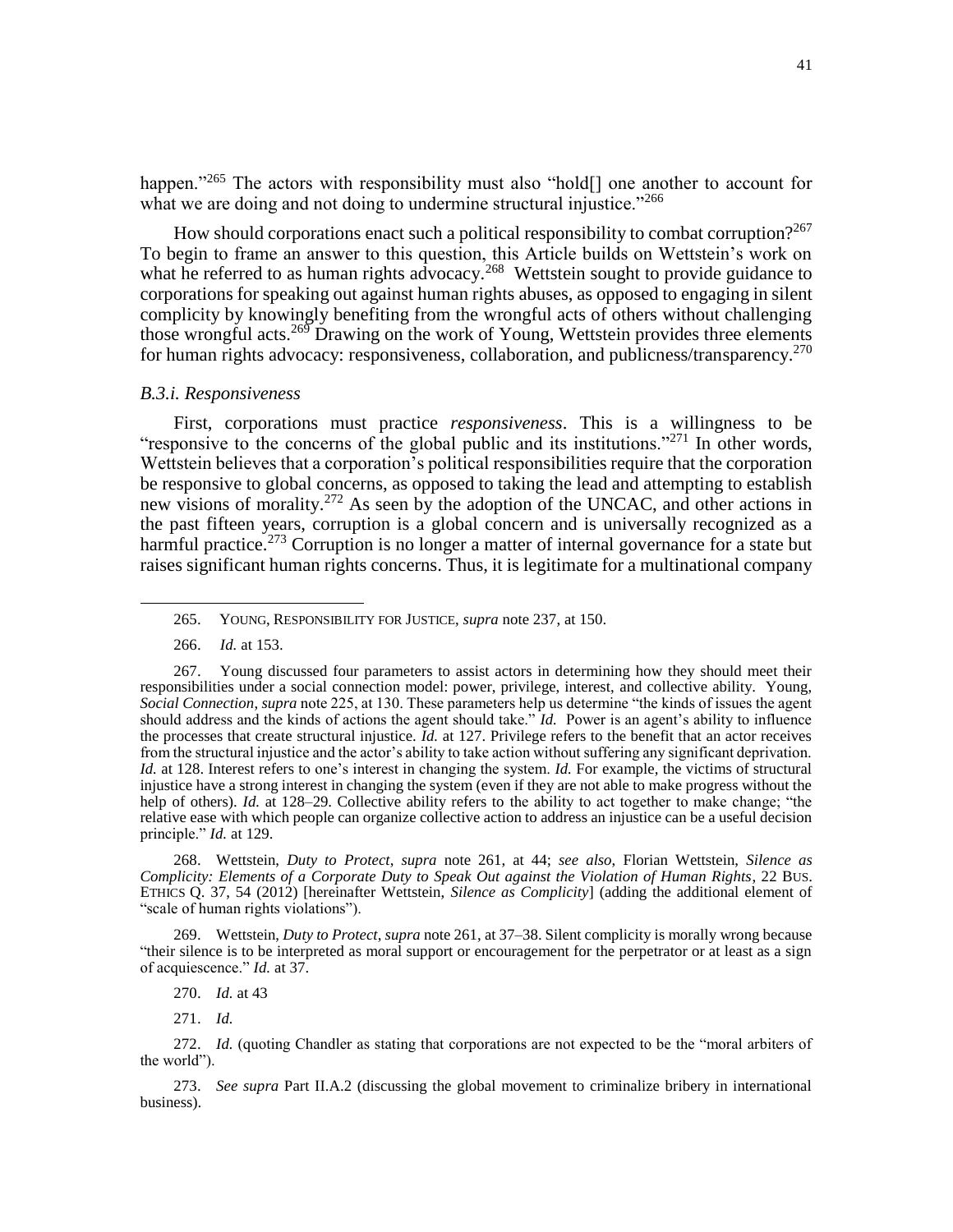happen."<sup>265</sup> The actors with responsibility must also "hold<sup>[]</sup> one another to account for what we are doing and not doing to undermine structural injustice."<sup>266</sup>

How should corporations enact such a political responsibility to combat corruption?<sup>267</sup> To begin to frame an answer to this question, this Article builds on Wettstein's work on what he referred to as human rights advocacy.<sup>268</sup> Wettstein sought to provide guidance to corporations for speaking out against human rights abuses, as opposed to engaging in silent complicity by knowingly benefiting from the wrongful acts of others without challenging those wrongful acts.<sup>269</sup> Drawing on the work of Young, Wettstein provides three elements for human rights advocacy: responsiveness, collaboration, and publicness/transparency.<sup>270</sup>

#### *B.3.i. Responsiveness*

First, corporations must practice *responsiveness*. This is a willingness to be "responsive to the concerns of the global public and its institutions."<sup>271</sup> In other words, Wettstein believes that a corporation's political responsibilities require that the corporation be responsive to global concerns, as opposed to taking the lead and attempting to establish new visions of morality.<sup>272</sup> As seen by the adoption of the UNCAC, and other actions in the past fifteen years, corruption is a global concern and is universally recognized as a harmful practice.<sup>273</sup> Corruption is no longer a matter of internal governance for a state but raises significant human rights concerns. Thus, it is legitimate for a multinational company

 $\overline{\phantom{a}}$ 

268. Wettstein, *Duty to Protect*, *supra* note 261, at 44; *see also*, Florian Wettstein, *Silence as Complicity: Elements of a Corporate Duty to Speak Out against the Violation of Human Rights*, 22 BUS. ETHICS Q. 37, 54 (2012) [hereinafter Wettstein, *Silence as Complicity*] (adding the additional element of "scale of human rights violations").

269. Wettstein, *Duty to Protect*, *supra* note 261, at 37–38. Silent complicity is morally wrong because "their silence is to be interpreted as moral support or encouragement for the perpetrator or at least as a sign of acquiescence." *Id.* at 37.

270. *Id.* at 43

271. *Id.*

272. *Id.* (quoting Chandler as stating that corporations are not expected to be the "moral arbiters of the world").

273. *See supra* Part II.A.2 (discussing the global movement to criminalize bribery in international business).

<sup>265.</sup> YOUNG, RESPONSIBILITY FOR JUSTICE, *supra* note 237, at 150.

<sup>266.</sup> *Id.* at 153.

<sup>267.</sup> Young discussed four parameters to assist actors in determining how they should meet their responsibilities under a social connection model: power, privilege, interest, and collective ability. Young, *Social Connection*, *supra* note 225, at 130. These parameters help us determine "the kinds of issues the agent should address and the kinds of actions the agent should take." *Id.* Power is an agent's ability to influence the processes that create structural injustice. *Id.* at 127. Privilege refers to the benefit that an actor receives from the structural injustice and the actor's ability to take action without suffering any significant deprivation. *Id.* at 128. Interest refers to one's interest in changing the system. *Id.* For example, the victims of structural injustice have a strong interest in changing the system (even if they are not able to make progress without the help of others). *Id.* at 128–29. Collective ability refers to the ability to act together to make change; "the relative ease with which people can organize collective action to address an injustice can be a useful decision principle." *Id.* at 129.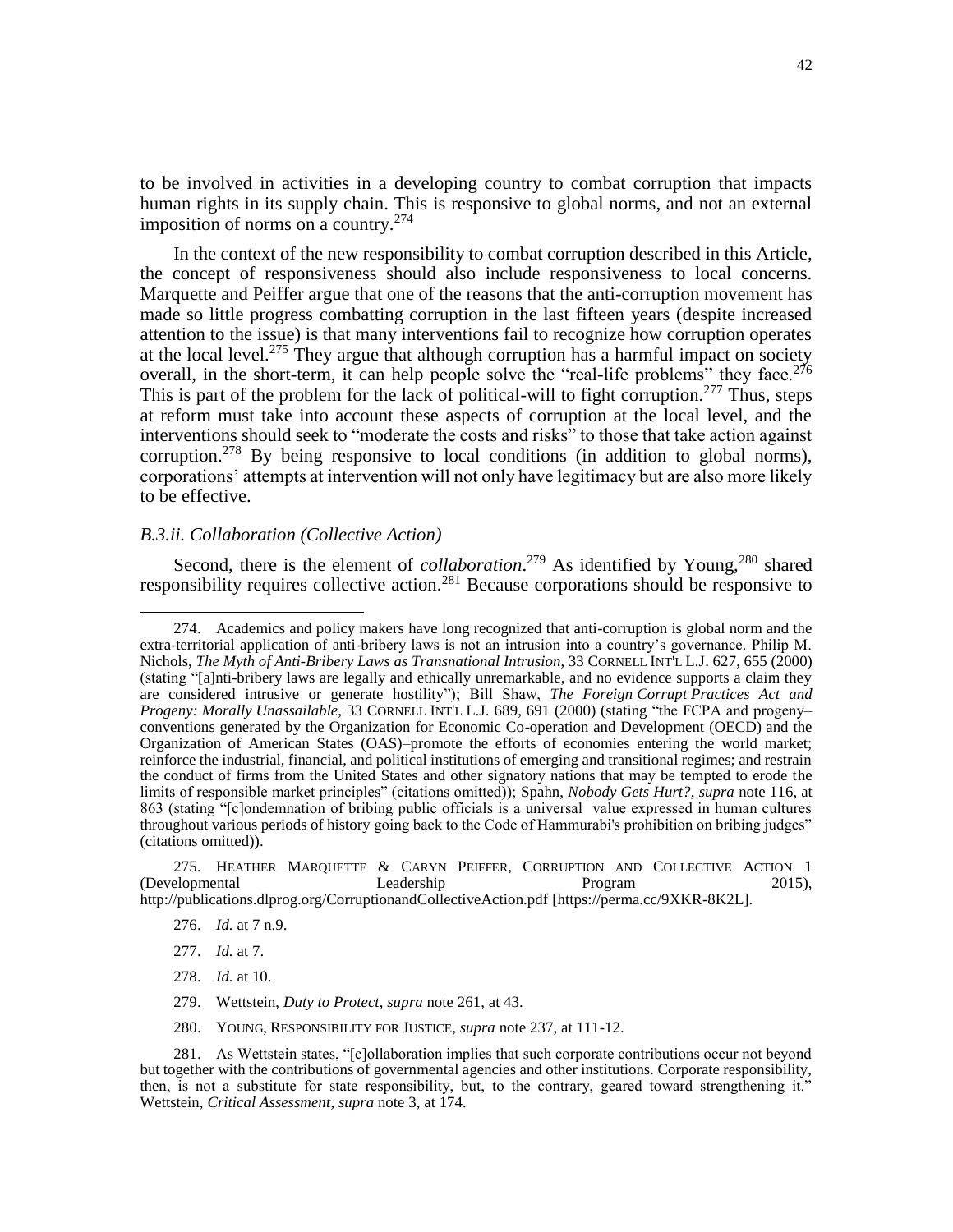to be involved in activities in a developing country to combat corruption that impacts human rights in its supply chain. This is responsive to global norms, and not an external imposition of norms on a country. $274$ 

In the context of the new responsibility to combat corruption described in this Article, the concept of responsiveness should also include responsiveness to local concerns. Marquette and Peiffer argue that one of the reasons that the anti-corruption movement has made so little progress combatting corruption in the last fifteen years (despite increased attention to the issue) is that many interventions fail to recognize how corruption operates at the local level.<sup>275</sup> They argue that although corruption has a harmful impact on society overall, in the short-term, it can help people solve the "real-life problems" they face.<sup>276</sup> This is part of the problem for the lack of political-will to fight corruption.<sup>277</sup> Thus, steps at reform must take into account these aspects of corruption at the local level, and the interventions should seek to "moderate the costs and risks" to those that take action against corruption.<sup>278</sup> By being responsive to local conditions (in addition to global norms), corporations' attempts at intervention will not only have legitimacy but are also more likely to be effective.

## *B.3.ii. Collaboration (Collective Action)*

Second, there is the element of *collaboration*.<sup>279</sup> As identified by Young,<sup>280</sup> shared responsibility requires collective action.<sup>281</sup> Because corporations should be responsive to

275. HEATHER MARQUETTE & CARYN PEIFFER, CORRUPTION AND COLLECTIVE ACTION 1 [Developmental Leadership Program 2015). (Developmental Leadership Program 2015), <http://publications.dlprog.org/CorruptionandCollectiveAction.pdf> [https://perma.cc/9XKR-8K2L].

 $\overline{\phantom{a}}$ 

280. YOUNG, RESPONSIBILITY FOR JUSTICE, *supra* note 237, at 111-12.

<sup>274.</sup> Academics and policy makers have long recognized that anti-corruption is global norm and the extra-territorial application of anti-bribery laws is not an intrusion into a country's governance. Philip M. Nichols, *The Myth of Anti-Bribery Laws as Transnational Intrusion*, 33 CORNELL INT'L L.J. 627, 655 (2000) (stating "[a]nti-bribery laws are legally and ethically unremarkable, and no evidence supports a claim they are considered intrusive or generate hostility"); Bill Shaw, *The Foreign Corrupt Practices Act and Progeny: Morally Unassailable*, 33 CORNELL INT'L L.J. 689, 691 (2000) (stating "the FCPA and progeny– conventions generated by the Organization for Economic Co-operation and Development (OECD) and the Organization of American States (OAS)–promote the efforts of economies entering the world market; reinforce the industrial, financial, and political institutions of emerging and transitional regimes; and restrain the conduct of firms from the United States and other signatory nations that may be tempted to erode the limits of responsible market principles" (citations omitted)); Spahn, *Nobody Gets Hurt?*, *supra* note 116, at 863 (stating "[c]ondemnation of bribing public officials is a universal value expressed in human cultures throughout various periods of history going back to the Code of Hammurabi's prohibition on bribing judges" (citations omitted)).

<sup>276.</sup> *Id.* at 7 n.9.

<sup>277.</sup> *Id.* at 7.

<sup>278.</sup> *Id.* at 10.

<sup>279.</sup> Wettstein, *Duty to Protect*, *supra* note 261, at 43.

<sup>281.</sup> As Wettstein states, "[c]ollaboration implies that such corporate contributions occur not beyond but together with the contributions of governmental agencies and other institutions. Corporate responsibility, then, is not a substitute for state responsibility, but, to the contrary, geared toward strengthening it." Wettstein, *Critical Assessment*, *supra* not[e 3,](#page-2-1) at 174.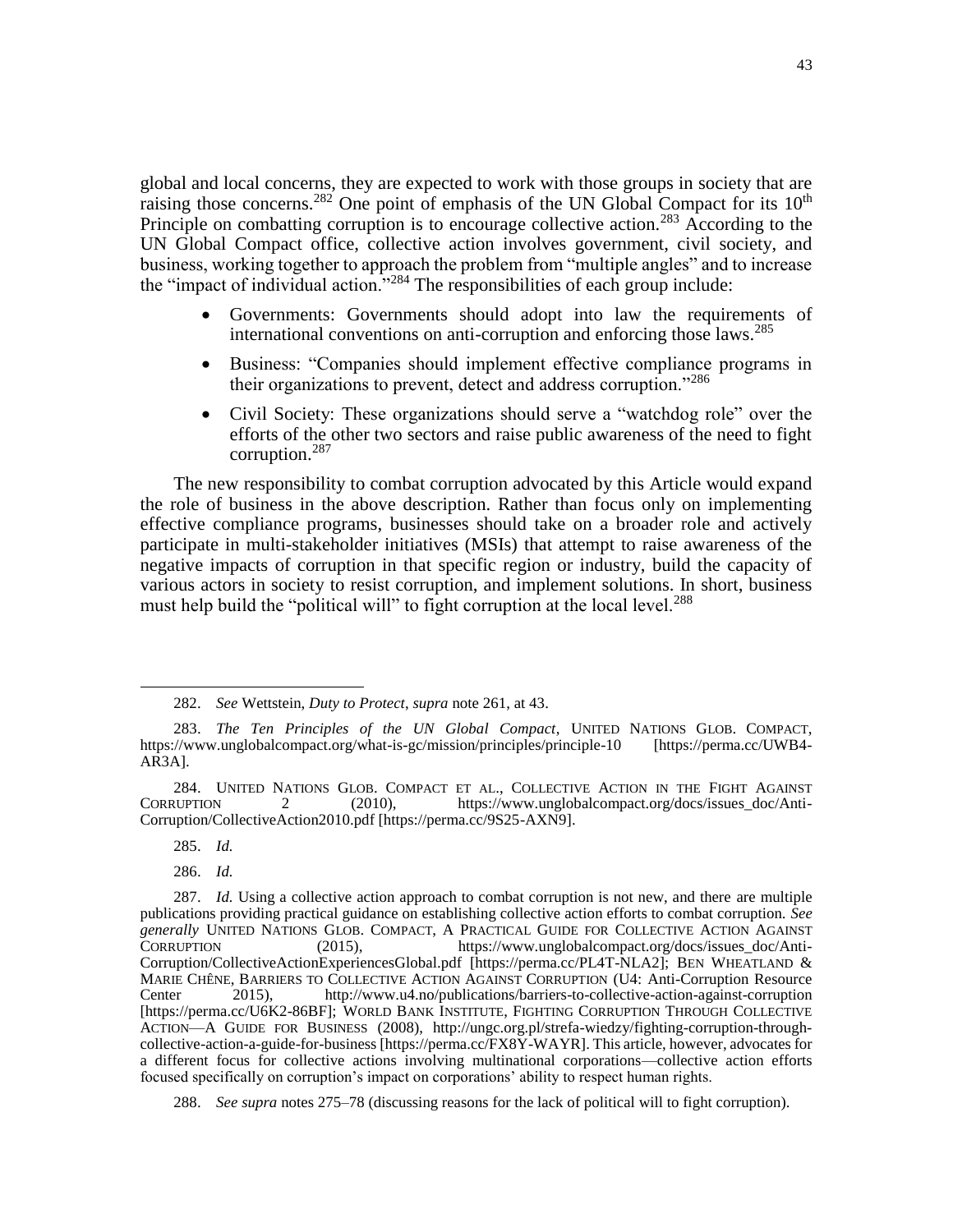global and local concerns, they are expected to work with those groups in society that are raising those concerns.<sup>282</sup> One point of emphasis of the UN Global Compact for its  $10<sup>th</sup>$ Principle on combatting corruption is to encourage collective action.<sup>283</sup> According to the UN Global Compact office, collective action involves government, civil society, and business, working together to approach the problem from "multiple angles" and to increase the "impact of individual action."<sup>284</sup> The responsibilities of each group include:

- Governments: Governments should adopt into law the requirements of international conventions on anti-corruption and enforcing those laws.<sup>285</sup>
- Business: "Companies should implement effective compliance programs in their organizations to prevent, detect and address corruption."<sup>286</sup>
- Civil Society: These organizations should serve a "watchdog role" over the efforts of the other two sectors and raise public awareness of the need to fight corruption.<sup>287</sup>

The new responsibility to combat corruption advocated by this Article would expand the role of business in the above description. Rather than focus only on implementing effective compliance programs, businesses should take on a broader role and actively participate in multi-stakeholder initiatives (MSIs) that attempt to raise awareness of the negative impacts of corruption in that specific region or industry, build the capacity of various actors in society to resist corruption, and implement solutions. In short, business must help build the "political will" to fight corruption at the local level.<sup>288</sup>

285. *Id.*

 $\overline{\phantom{a}}$ 

286. *Id.*

<sup>282.</sup> *See* Wettstein, *Duty to Protect*, *supra* note 261, at 43.

<sup>283.</sup> *The Ten Principles of the UN Global Compact*, UNITED NATIONS GLOB. COMPACT, https://www.unglobalcompact.org/what-is-gc/mission/principles/principle-10 [https://perma.cc/UWB4- AR3A].

<sup>284.</sup> UNITED NATIONS GLOB. COMPACT ET AL., COLLECTIVE ACTION IN THE FIGHT AGAINST CORRUPTION 2 (2010), https://www.unglobalcompact.org/docs/issues doc/Anti-2 (2010), https://www.unglobalcompact.org/docs/issues\_doc/Anti-Corruption/CollectiveAction2010.pdf [https://perma.cc/9S25-AXN9].

<sup>287.</sup> *Id.* Using a collective action approach to combat corruption is not new, and there are multiple publications providing practical guidance on establishing collective action efforts to combat corruption. *See generally* UNITED NATIONS GLOB. COMPACT, A PRACTICAL GUIDE FOR COLLECTIVE ACTION AGAINST CORRUPTION (2015), [https://www.unglobalcompact.org/docs/issues\\_doc/Anti-](https://www.unglobalcompact.org/docs/issues_doc/Anti-Corruption/CollectiveActionExperiencesGlobal.pdf)[Corruption/CollectiveActionExperiencesGlobal.pdf](https://www.unglobalcompact.org/docs/issues_doc/Anti-Corruption/CollectiveActionExperiencesGlobal.pdf) [https://perma.cc/PL4T-NLA2]; BEN WHEATLAND & MARIE CHÊNE, BARRIERS TO COLLECTIVE ACTION AGAINST CORRUPTION (U4: Anti-Corruption Resource<br>Center 2015). http://www.u4.no/publications/barriers-to-collective-action-against-corruption <http://www.u4.no/publications/barriers-to-collective-action-against-corruption> [https://perma.cc/U6K2-86BF]; WORLD BANK INSTITUTE, FIGHTING CORRUPTION THROUGH COLLECTIVE ACTION—A GUIDE FOR BUSINESS (2008), [http://ungc.org.pl/strefa-wiedzy/fighting-corruption-through](http://ungc.org.pl/strefa-wiedzy/fighting-corruption-through-collective-action-a-guide-for-business)[collective-action-a-guide-for-business](http://ungc.org.pl/strefa-wiedzy/fighting-corruption-through-collective-action-a-guide-for-business) [https://perma.cc/FX8Y-WAYR]. This article, however, advocates for a different focus for collective actions involving multinational corporations—collective action efforts focused specifically on corruption's impact on corporations' ability to respect human rights.

<sup>288.</sup> *See supra* notes 275–78 (discussing reasons for the lack of political will to fight corruption).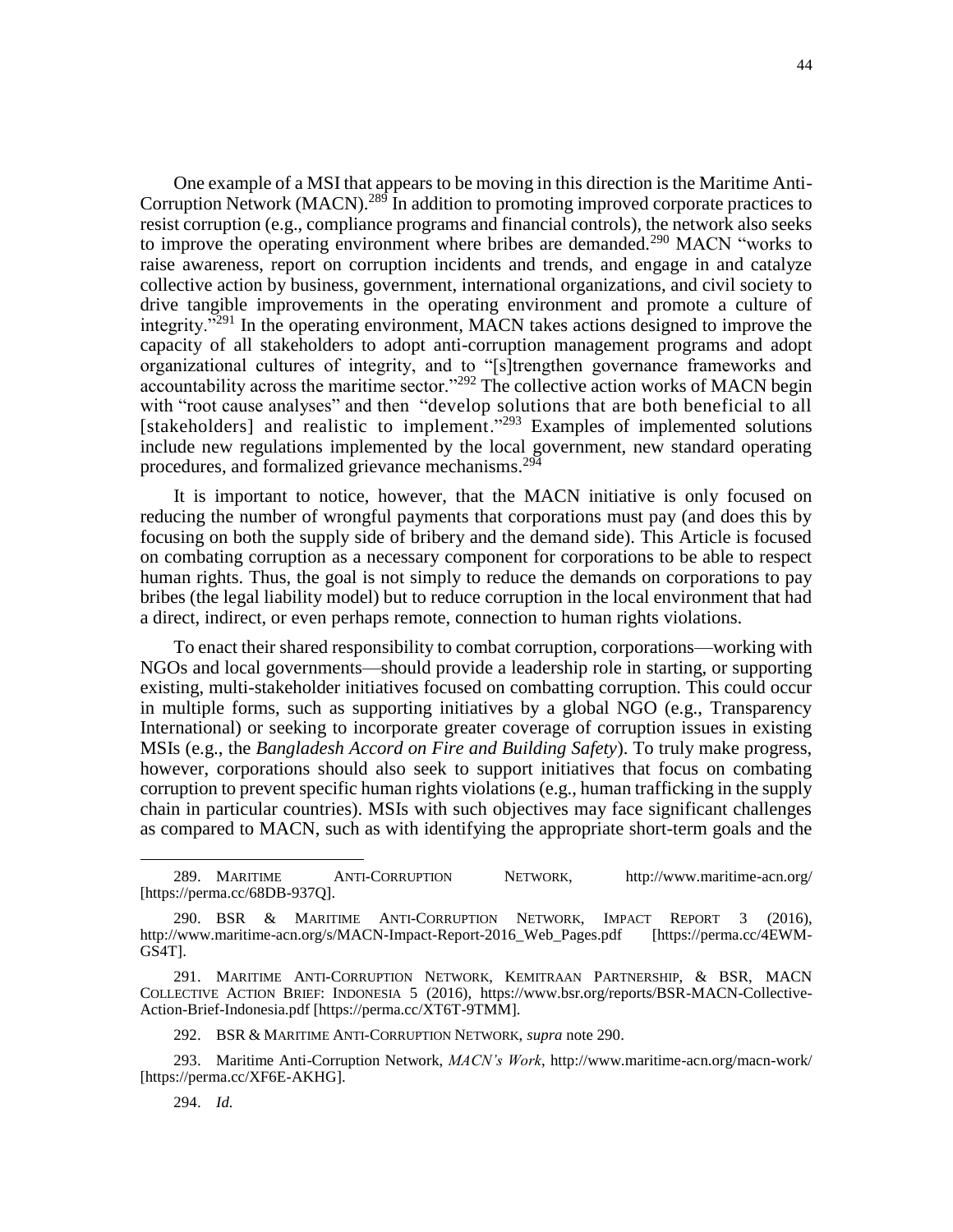One example of a MSI that appears to be moving in this direction is the Maritime Anti-Corruption Network (MACN).<sup>289</sup> In addition to promoting improved corporate practices to resist corruption (e.g., compliance programs and financial controls), the network also seeks to improve the operating environment where bribes are demanded.<sup>290</sup> MACN "works to raise awareness, report on corruption incidents and trends, and engage in and catalyze collective action by business, government, international organizations, and civil society to drive tangible improvements in the operating environment and promote a culture of integrity."<sup>291</sup> In the operating environment, MACN takes actions designed to improve the capacity of all stakeholders to adopt anti-corruption management programs and adopt organizational cultures of integrity, and to "[s]trengthen governance frameworks and accountability across the maritime sector."<sup>292</sup> The collective action works of MACN begin with "root cause analyses" and then "develop solutions that are both beneficial to all [stakeholders] and realistic to implement."<sup>293</sup> Examples of implemented solutions include new regulations implemented by the local government, new standard operating procedures, and formalized grievance mechanisms.<sup>294</sup>

It is important to notice, however, that the MACN initiative is only focused on reducing the number of wrongful payments that corporations must pay (and does this by focusing on both the supply side of bribery and the demand side). This Article is focused on combating corruption as a necessary component for corporations to be able to respect human rights. Thus, the goal is not simply to reduce the demands on corporations to pay bribes (the legal liability model) but to reduce corruption in the local environment that had a direct, indirect, or even perhaps remote, connection to human rights violations.

To enact their shared responsibility to combat corruption, corporations—working with NGOs and local governments—should provide a leadership role in starting, or supporting existing, multi-stakeholder initiatives focused on combatting corruption. This could occur in multiple forms, such as supporting initiatives by a global NGO (e.g., Transparency International) or seeking to incorporate greater coverage of corruption issues in existing MSIs (e.g., the *Bangladesh Accord on Fire and Building Safety*). To truly make progress, however, corporations should also seek to support initiatives that focus on combating corruption to prevent specific human rights violations (e.g., human trafficking in the supply chain in particular countries). MSIs with such objectives may face significant challenges as compared to MACN, such as with identifying the appropriate short-term goals and the

294. *Id.*

<sup>289.</sup> MARITIME ANTI-CORRUPTION NETWORK, <http://www.maritime-acn.org/> [https://perma.cc/68DB-937Q].

<sup>290.</sup> BSR & MARITIME ANTI-CORRUPTION NETWORK, IMPACT REPORT 3 (2016),<br>//www.maritime-acn.org/s/MACN-Impact-Report-2016\_Web\_Pages.pdf [https://perma.cc/4EWM[http://www.maritime-acn.org/s/MACN-Impact-Report-2016\\_Web\\_Pages.pdf](http://www.maritime-acn.org/s/MACN-Impact-Report-2016_Web_Pages.pdf) GS4T].

<sup>291.</sup> MARITIME ANTI-CORRUPTION NETWORK, KEMITRAAN PARTNERSHIP, & BSR, MACN COLLECTIVE ACTION BRIEF: INDONESIA 5 (2016), https://www.bsr.org/reports/BSR-MACN-Collective-Action-Brief-Indonesia.pdf [https://perma.cc/XT6T-9TMM].

<sup>292.</sup> BSR & MARITIME ANTI-CORRUPTION NETWORK, *supra* note 290.

<sup>293.</sup> Maritime Anti-Corruption Network, *MACN's Work*,<http://www.maritime-acn.org/macn-work/> [https://perma.cc/XF6E-AKHG].